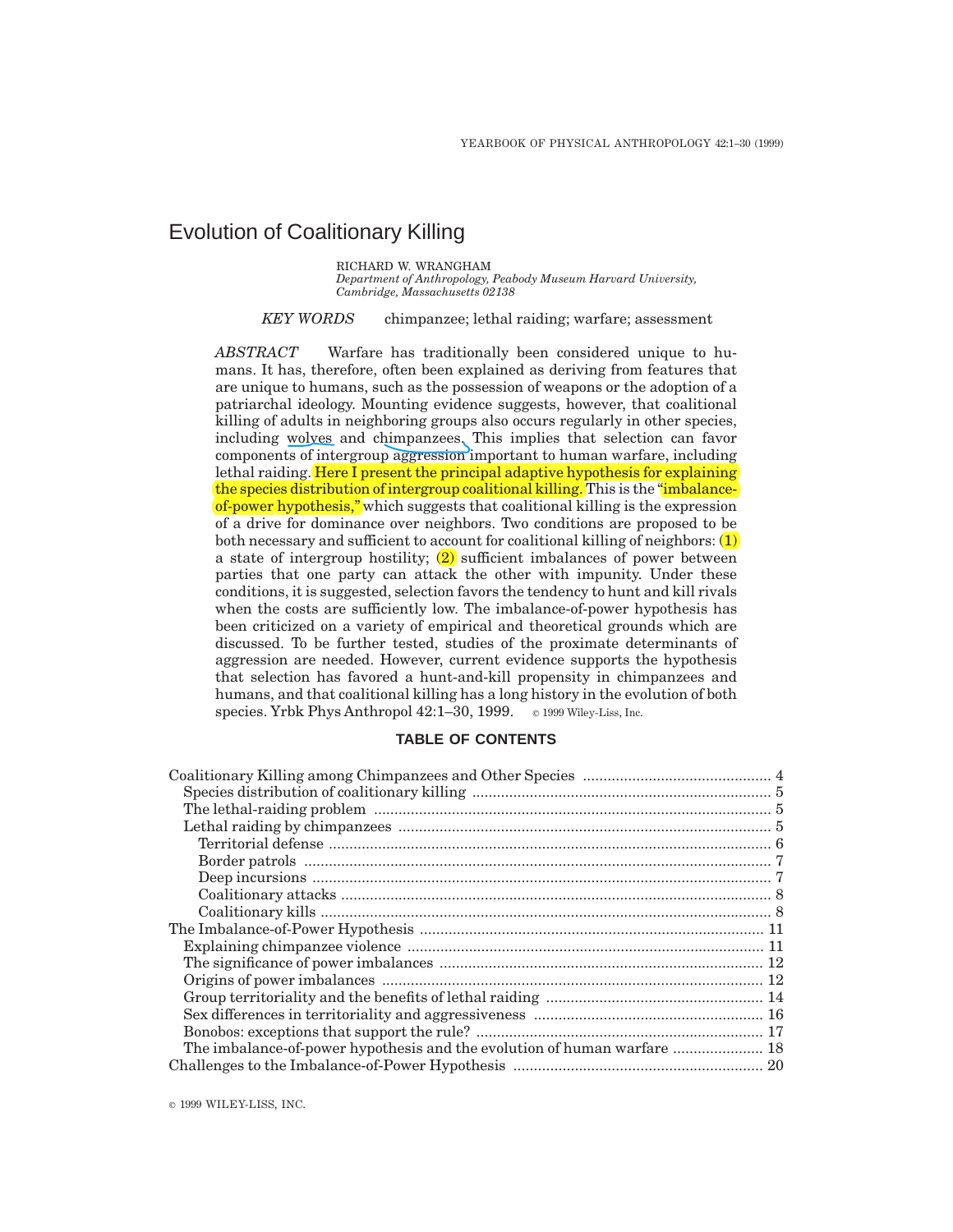# Evolution of Coalitionary Killing

RICHARD W. WRANGHAM *Department of Anthropology, Peabody Museum Harvard University, Cambridge, Massachusetts 02138*

*KEY WORDS* chimpanzee; lethal raiding; warfare; assessment

*ABSTRACT* Warfare has traditionally been considered unique to humans. It has, therefore, often been explained as deriving from features that are unique to humans, such as the possession of weapons or the adoption of a patriarchal ideology. Mounting evidence suggests, however, that coalitional killing of adults in neighboring groups also occurs regularly in other species, including wolves and chimpanzees. This implies that selection can favor components of intergroup aggression important to human warfare, including lethal raiding. Here I present the principal adaptive hypothesis for explaining the species distribution of intergroup coalitional killing. This is the 'imbalanceof-power hypothesis,'' which suggests that coalitional killing is the expression of a drive for dominance over neighbors. Two conditions are proposed to be both necessary and sufficient to account for coalitional killing of neighbors:  $(1)$ a state of intergroup hostility;  $(2)$  sufficient imbalances of power between parties that one party can attack the other with impunity. Under these conditions, it is suggested, selection favors the tendency to hunt and kill rivals when the costs are sufficiently low. The imbalance-of-power hypothesis has been criticized on a variety of empirical and theoretical grounds which are discussed. To be further tested, studies of the proximate determinants of aggression are needed. However, current evidence supports the hypothesis that selection has favored a hunt-and-kill propensity in chimpanzees and humans, and that coalitional killing has a long history in the evolution of both species. Yrbk Phys Anthropol  $42:1-30$ , 1999.  $\circ$  1999 Wiley-Liss, Inc.

# **TABLE OF CONTENTS**

| The imbalance-of-power hypothesis and the evolution of human warfare  18 |  |
|--------------------------------------------------------------------------|--|
|                                                                          |  |

 $\diamond$  1999 WILEY-LISS, INC.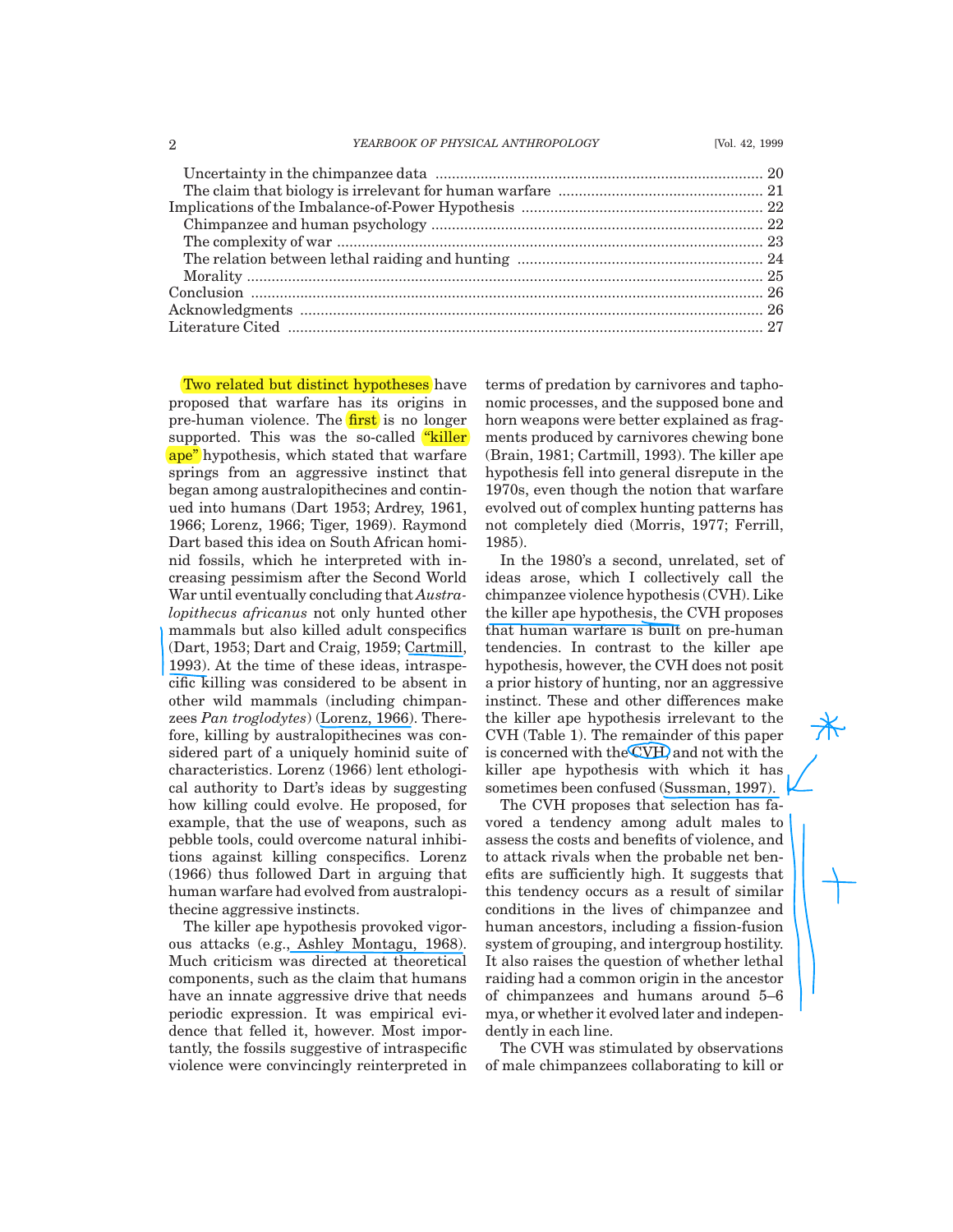Two related but distinct hypotheses have proposed that warfare has its origins in pre-human violence. The first is no longer supported. This was the so-called "killer" ape'' hypothesis, which stated that warfare springs from an aggressive instinct that began among australopithecines and continued into humans (Dart 1953; Ardrey, 1961, 1966; Lorenz, 1966; Tiger, 1969). Raymond Dart based this idea on South African hominid fossils, which he interpreted with increasing pessimism after the Second World War until eventually concluding that *Australopithecus africanus* not only hunted other mammals but also killed adult conspecifics (Dart, 1953; Dart and Craig, 1959; Cartmill, 1993). At the time of these ideas, intraspecific killing was considered to be absent in other wild mammals (including chimpanzees *Pan troglodytes*) (Lorenz, 1966). Therefore, killing by australopithecines was considered part of a uniquely hominid suite of characteristics. Lorenz (1966) lent ethological authority to Dart's ideas by suggesting how killing could evolve. He proposed, for example, that the use of weapons, such as pebble tools, could overcome natural inhibitions against killing conspecifics. Lorenz (1966) thus followed Dart in arguing that human warfare had evolved from australopithecine aggressive instincts.

The killer ape hypothesis provoked vigorous attacks (e.g., Ashley Montagu, 1968). Much criticism was directed at theoretical components, such as the claim that humans have an innate aggressive drive that needs periodic expression. It was empirical evidence that felled it, however. Most importantly, the fossils suggestive of intraspecific violence were convincingly reinterpreted in terms of predation by carnivores and taphonomic processes, and the supposed bone and horn weapons were better explained as fragments produced by carnivores chewing bone (Brain, 1981; Cartmill, 1993). The killer ape hypothesis fell into general disrepute in the 1970s, even though the notion that warfare evolved out of complex hunting patterns has not completely died (Morris, 1977; Ferrill, 1985).

In the 1980's a second, unrelated, set of ideas arose, which I collectively call the chimpanzee violence hypothesis (CVH). Like the killer ape hypothesis, the CVH proposes that human warfare is built on pre-human tendencies. In contrast to the killer ape hypothesis, however, the CVH does not posit a prior history of hunting, nor an aggressive instinct. These and other differences make the killer ape hypothesis irrelevant to the CVH (Table 1). The remainder of this paper is concerned with the CVH, and not with the killer ape hypothesis with which it has sometimes been confused (Sussman, 1997).

The CVH proposes that selection has favored a tendency among adult males to assess the costs and benefits of violence, and to attack rivals when the probable net benefits are sufficiently high. It suggests that this tendency occurs as a result of similar conditions in the lives of chimpanzee and human ancestors, including a fission-fusion system of grouping, and intergroup hostility. It also raises the question of whether lethal raiding had a common origin in the ancestor of chimpanzees and humans around 5–6 mya, or whether it evolved later and independently in each line.

The CVH was stimulated by observations of male chimpanzees collaborating to kill or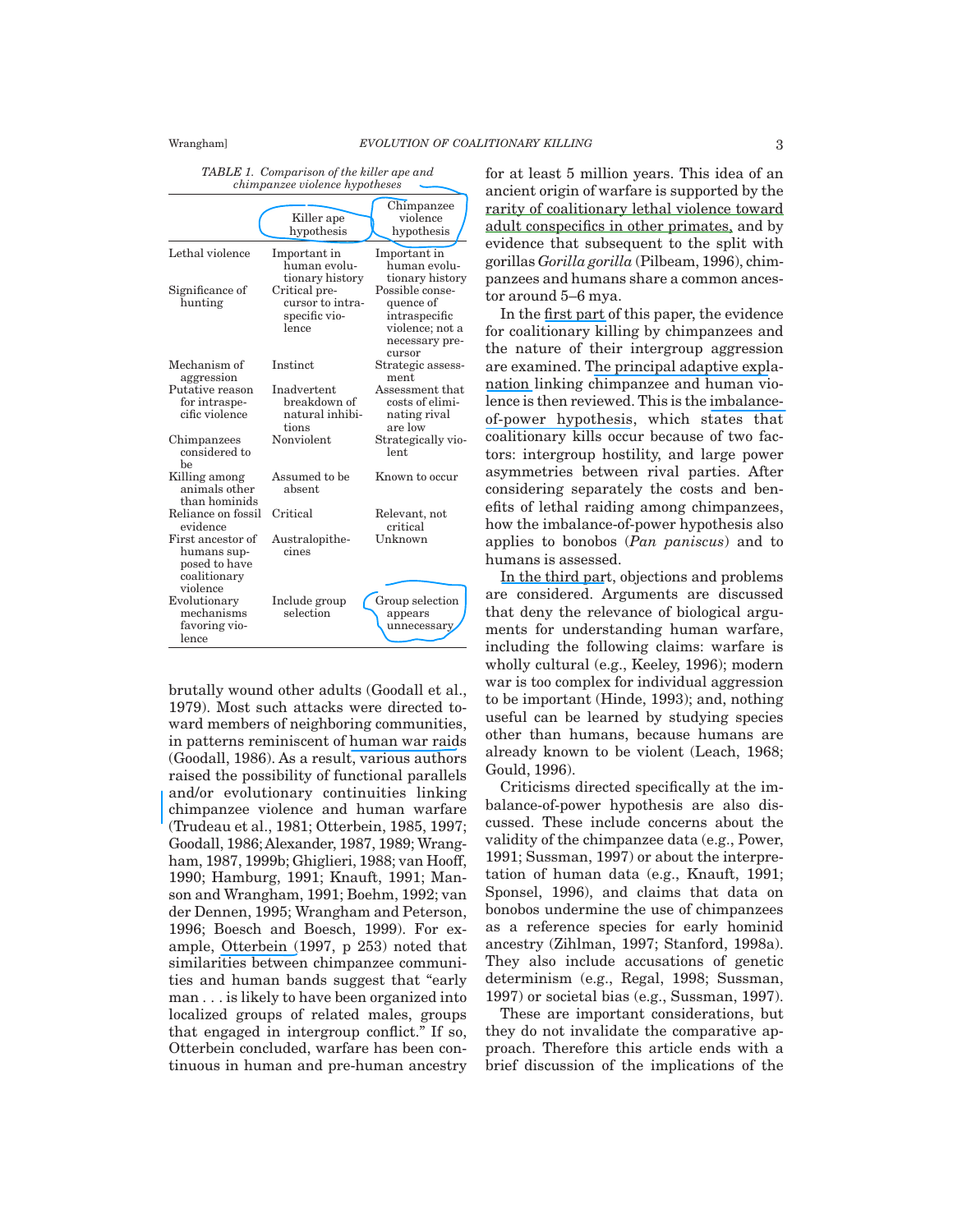|                                                                                                                  | TABLE 1. Comparison of the killer ape and<br>chimpanzee violence hypotheses                                    |                                                                                                                                                 |
|------------------------------------------------------------------------------------------------------------------|----------------------------------------------------------------------------------------------------------------|-------------------------------------------------------------------------------------------------------------------------------------------------|
|                                                                                                                  | Killer ape<br>hypothesis                                                                                       | Chimpanzee<br>violence<br>hypothesis                                                                                                            |
| Lethal violence<br>Significance of<br>hunting                                                                    | Important in<br>human evolu-<br>tionary history<br>Critical pre-<br>cursor to intra-<br>specific vio-<br>lence | Important in<br>human evolu-<br>tionary history<br>Possible conse-<br>quence of<br>intraspecific<br>violence; not a<br>necessary pre-<br>cursor |
| Mechanism of<br>aggression<br>Putative reason<br>for intraspe-<br>cific violence<br>Chimpanzees<br>considered to | Instinct<br>Inadvertent<br>breakdown of<br>natural inhibi-<br>tions<br>Nonviolent                              | Strategic assess-<br>ment<br>Assessment that<br>costs of elimi-<br>nating rival<br>are low<br>Strategically vio-<br>lent.                       |
| be<br>Killing among<br>animals other<br>than hominids                                                            | Assumed to be<br>absent                                                                                        | Known to occur                                                                                                                                  |
| Reliance on fossil<br>evidence<br>First ancestor of<br>humans sup-<br>posed to have<br>coalitionary<br>violence  | Critical<br>Australopithe-<br>cines                                                                            | Relevant, not<br>critical<br>Unknown                                                                                                            |
| Evolutionary<br>mechanisms<br>favoring vio-<br>lence                                                             | Include group<br>selection                                                                                     | Group selection<br>appears<br>unnecessary                                                                                                       |

brutally wound other adults (Goodall et al., 1979). Most such attacks were directed toward members of neighboring communities, in patterns reminiscent of human war raids (Goodall, 1986). As a result, various authors raised the possibility of functional parallels and/or evolutionary continuities linking chimpanzee violence and human warfare (Trudeau et al., 1981; Otterbein, 1985, 1997; Goodall, 1986;Alexander, 1987, 1989; Wrangham, 1987, 1999b; Ghiglieri, 1988; van Hooff, 1990; Hamburg, 1991; Knauft, 1991; Manson and Wrangham, 1991; Boehm, 1992; van der Dennen, 1995; Wrangham and Peterson, 1996; Boesch and Boesch, 1999). For example, Otterbein (1997, p 253) noted that similarities between chimpanzee communities and human bands suggest that "early" man . . . is likely to have been organized into localized groups of related males, groups that engaged in intergroup conflict.'' If so, Otterbein concluded, warfare has been continuous in human and pre-human ancestry for at least 5 million years. This idea of an ancient origin of warfare is supported by the rarity of coalitionary lethal violence toward adult conspecifics in other primates, and by evidence that subsequent to the split with gorillas *Gorilla gorilla* (Pilbeam, 1996), chimpanzees and humans share a common ancestor around 5–6 mya.

In the first part of this paper, the evidence for coalitionary killing by chimpanzees and the nature of their intergroup aggression are examined. The principal adaptive explanation linking chimpanzee and human violence is then reviewed. This is the imbalanceof-power hypothesis, which states that coalitionary kills occur because of two factors: intergroup hostility, and large power asymmetries between rival parties. After considering separately the costs and benefits of lethal raiding among chimpanzees, how the imbalance-of-power hypothesis also applies to bonobos (*Pan paniscus*) and to humans is assessed.

In the third part, objections and problems are considered. Arguments are discussed that deny the relevance of biological arguments for understanding human warfare, including the following claims: warfare is wholly cultural (e.g., Keeley, 1996); modern war is too complex for individual aggression to be important (Hinde, 1993); and, nothing useful can be learned by studying species other than humans, because humans are already known to be violent (Leach, 1968; Gould, 1996).

Criticisms directed specifically at the imbalance-of-power hypothesis are also discussed. These include concerns about the validity of the chimpanzee data (e.g., Power, 1991; Sussman, 1997) or about the interpretation of human data (e.g., Knauft, 1991; Sponsel, 1996), and claims that data on bonobos undermine the use of chimpanzees as a reference species for early hominid ancestry (Zihlman, 1997; Stanford, 1998a). They also include accusations of genetic determinism (e.g., Regal, 1998; Sussman, 1997) or societal bias (e.g., Sussman, 1997).

These are important considerations, but they do not invalidate the comparative approach. Therefore this article ends with a brief discussion of the implications of the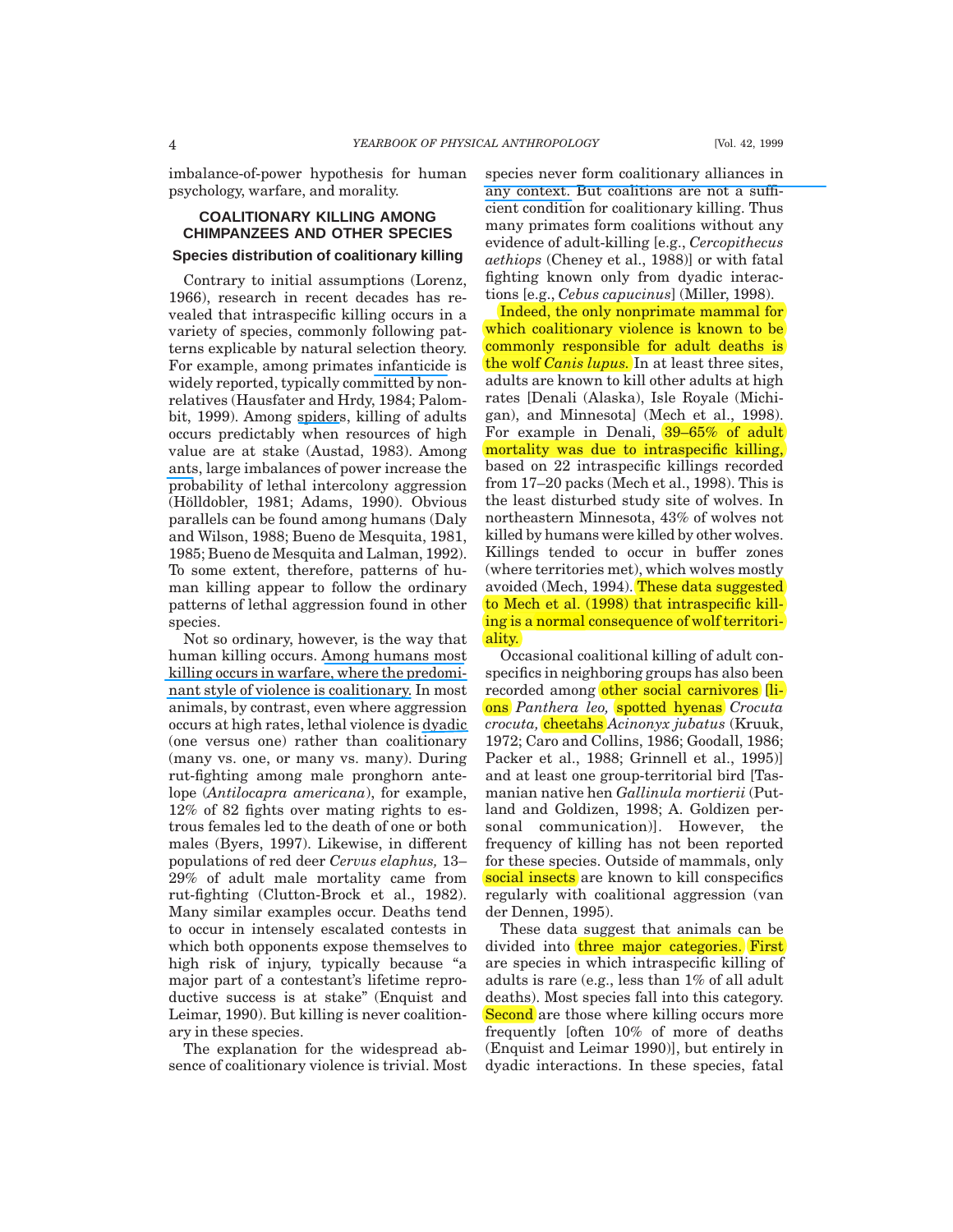imbalance-of-power hypothesis for human psychology, warfare, and morality.

# **COALITIONARY KILLING AMONG CHIMPANZEES AND OTHER SPECIES Species distribution of coalitionary killing**

Contrary to initial assumptions (Lorenz, 1966), research in recent decades has revealed that intraspecific killing occurs in a variety of species, commonly following patterns explicable by natural selection theory. For example, among primates infanticide is widely reported, typically committed by nonrelatives (Hausfater and Hrdy, 1984; Palombit, 1999). Among spiders, killing of adults occurs predictably when resources of high value are at stake (Austad, 1983). Among ants, large imbalances of power increase the probability of lethal intercolony aggression (Hölldobler, 1981; Adams, 1990). Obvious parallels can be found among humans (Daly and Wilson, 1988; Bueno de Mesquita, 1981, 1985; Bueno de Mesquita and Lalman, 1992). To some extent, therefore, patterns of human killing appear to follow the ordinary patterns of lethal aggression found in other species.

Not so ordinary, however, is the way that human killing occurs. Among humans most killing occurs in warfare, where the predominant style of violence is coalitionary. In most animals, by contrast, even where aggression occurs at high rates, lethal violence is dyadic (one versus one) rather than coalitionary (many vs. one, or many vs. many). During rut-fighting among male pronghorn antelope (*Antilocapra americana*), for example, 12% of 82 fights over mating rights to estrous females led to the death of one or both males (Byers, 1997). Likewise, in different populations of red deer *Cervus elaphus,* 13– 29% of adult male mortality came from rut-fighting (Clutton-Brock et al., 1982). Many similar examples occur. Deaths tend to occur in intensely escalated contests in which both opponents expose themselves to high risk of injury, typically because "a major part of a contestant's lifetime reproductive success is at stake" (Enquist and Leimar, 1990). But killing is never coalitionary in these species.

The explanation for the widespread absence of coalitionary violence is trivial. Most species never form coalitionary alliances in any context. But coalitions are not a sufficient condition for coalitionary killing. Thus many primates form coalitions without any evidence of adult-killing [e.g., *Cercopithecus aethiops* (Cheney et al., 1988)] or with fatal fighting known only from dyadic interactions [e.g., *Cebus capucinus*] (Miller, 1998).

Indeed, the only nonprimate mammal for which coalitionary violence is known to be commonly responsible for adult deaths is the wolf *Canis lupus.* In at least three sites, adults are known to kill other adults at high rates [Denali (Alaska), Isle Royale (Michigan), and Minnesota] (Mech et al., 1998). For example in Denali, 39–65% of adult mortality was due to intraspecific killing, based on 22 intraspecific killings recorded from 17–20 packs (Mech et al., 1998). This is the least disturbed study site of wolves. In northeastern Minnesota, 43% of wolves not killed by humans were killed by other wolves. Killings tended to occur in buffer zones (where territories met), which wolves mostly avoided (Mech, 1994). These data suggested to Mech et al. (1998) that intraspecific killing is a normal consequence of wolf territoriality.

Occasional coalitional killing of adult conspecifics in neighboring groups has also been recorded among other social carnivores [li-] ons *Panthera leo,* spotted hyenas *Crocuta crocuta,* cheetahs *Acinonyx jubatus* (Kruuk, 1972; Caro and Collins, 1986; Goodall, 1986; Packer et al., 1988; Grinnell et al., 1995)] and at least one group-territorial bird [Tasmanian native hen *Gallinula mortierii* (Putland and Goldizen, 1998; A. Goldizen personal communication)]. However, the frequency of killing has not been reported for these species. Outside of mammals, only social insects are known to kill conspecifics regularly with coalitional aggression (van der Dennen, 1995).

These data suggest that animals can be divided into three major categories. First are species in which intraspecific killing of adults is rare (e.g., less than 1% of all adult deaths). Most species fall into this category. Second are those where killing occurs more frequently [often 10% of more of deaths (Enquist and Leimar 1990)], but entirely in dyadic interactions. In these species, fatal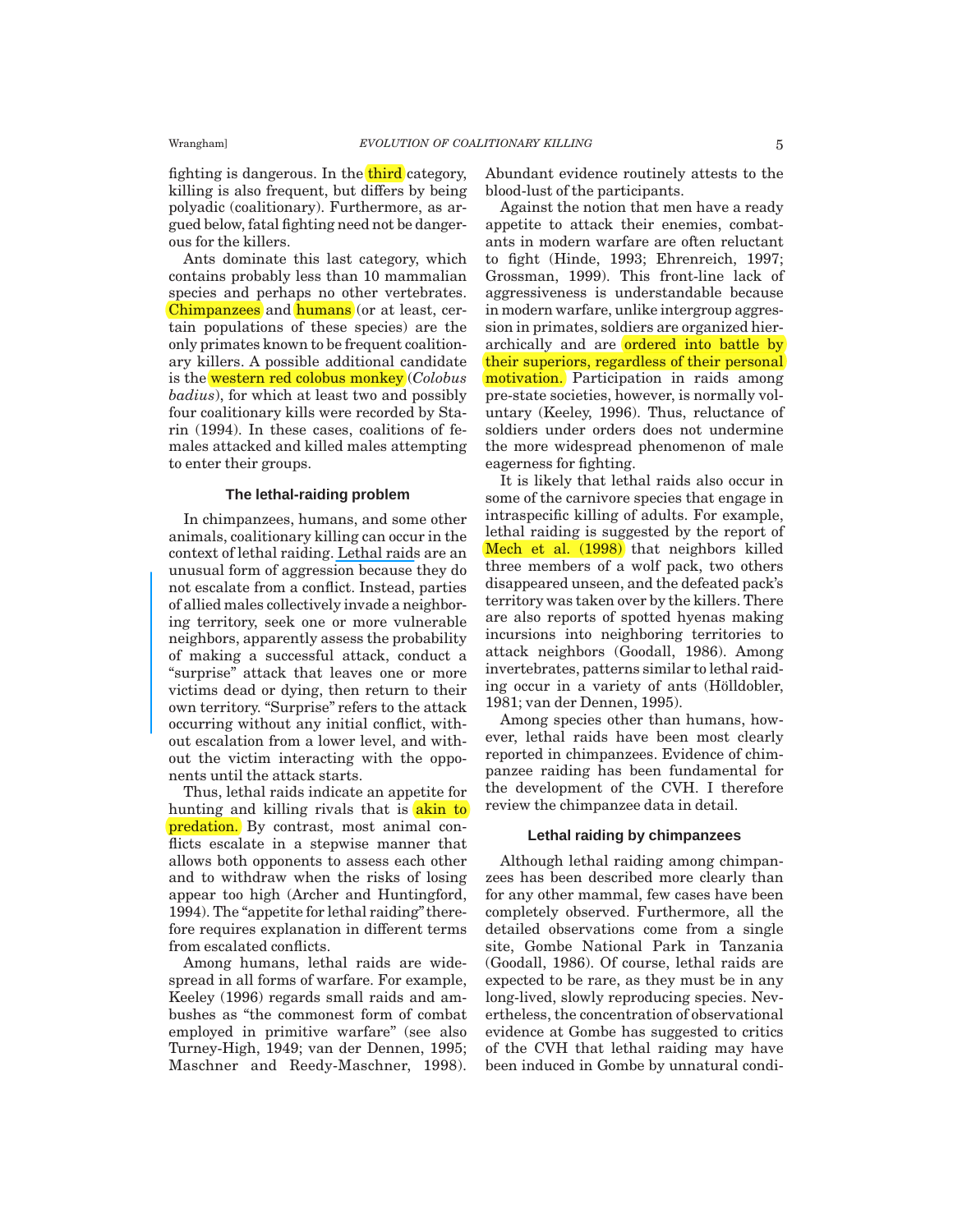fighting is dangerous. In the third category, killing is also frequent, but differs by being polyadic (coalitionary). Furthermore, as argued below, fatal fighting need not be dangerous for the killers.

Ants dominate this last category, which contains probably less than 10 mammalian species and perhaps no other vertebrates. Chimpanzees and humans (or at least, certain populations of these species) are the only primates known to be frequent coalitionary killers. A possible additional candidate is the western red colobus monkey (*Colobus badius*), for which at least two and possibly four coalitionary kills were recorded by Starin (1994). In these cases, coalitions of females attacked and killed males attempting to enter their groups.

## **The lethal-raiding problem**

In chimpanzees, humans, and some other animals, coalitionary killing can occur in the context of lethal raiding. Lethal raids are an unusual form of aggression because they do not escalate from a conflict. Instead, parties of allied males collectively invade a neighboring territory, seek one or more vulnerable neighbors, apparently assess the probability of making a successful attack, conduct a "surprise" attack that leaves one or more victims dead or dying, then return to their own territory. "Surprise" refers to the attack occurring without any initial conflict, without escalation from a lower level, and without the victim interacting with the opponents until the attack starts.

Thus, lethal raids indicate an appetite for hunting and killing rivals that is akin to predation. By contrast, most animal conflicts escalate in a stepwise manner that allows both opponents to assess each other and to withdraw when the risks of losing appear too high (Archer and Huntingford, 1994). The "appetite for lethal raiding" therefore requires explanation in different terms from escalated conflicts.

Among humans, lethal raids are widespread in all forms of warfare. For example, Keeley (1996) regards small raids and ambushes as ''the commonest form of combat employed in primitive warfare'' (see also Turney-High, 1949; van der Dennen, 1995; Maschner and Reedy-Maschner, 1998). Abundant evidence routinely attests to the blood-lust of the participants.

Against the notion that men have a ready appetite to attack their enemies, combatants in modern warfare are often reluctant to fight (Hinde, 1993; Ehrenreich, 1997; Grossman, 1999). This front-line lack of aggressiveness is understandable because in modern warfare, unlike intergroup aggression in primates, soldiers are organized hierarchically and are ordered into battle by their superiors, regardless of their personal motivation. Participation in raids among pre-state societies, however, is normally voluntary (Keeley, 1996). Thus, reluctance of soldiers under orders does not undermine the more widespread phenomenon of male eagerness for fighting.

It is likely that lethal raids also occur in some of the carnivore species that engage in intraspecific killing of adults. For example, lethal raiding is suggested by the report of Mech et al. (1998) that neighbors killed three members of a wolf pack, two others disappeared unseen, and the defeated pack's territory was taken over by the killers. There are also reports of spotted hyenas making incursions into neighboring territories to attack neighbors (Goodall, 1986). Among invertebrates, patterns similar to lethal raiding occur in a variety of ants (Hölldobler, 1981; van der Dennen, 1995).

Among species other than humans, however, lethal raids have been most clearly reported in chimpanzees. Evidence of chimpanzee raiding has been fundamental for the development of the CVH. I therefore review the chimpanzee data in detail.

## **Lethal raiding by chimpanzees**

Although lethal raiding among chimpanzees has been described more clearly than for any other mammal, few cases have been completely observed. Furthermore, all the detailed observations come from a single site, Gombe National Park in Tanzania (Goodall, 1986). Of course, lethal raids are expected to be rare, as they must be in any long-lived, slowly reproducing species. Nevertheless, the concentration of observational evidence at Gombe has suggested to critics of the CVH that lethal raiding may have been induced in Gombe by unnatural condi-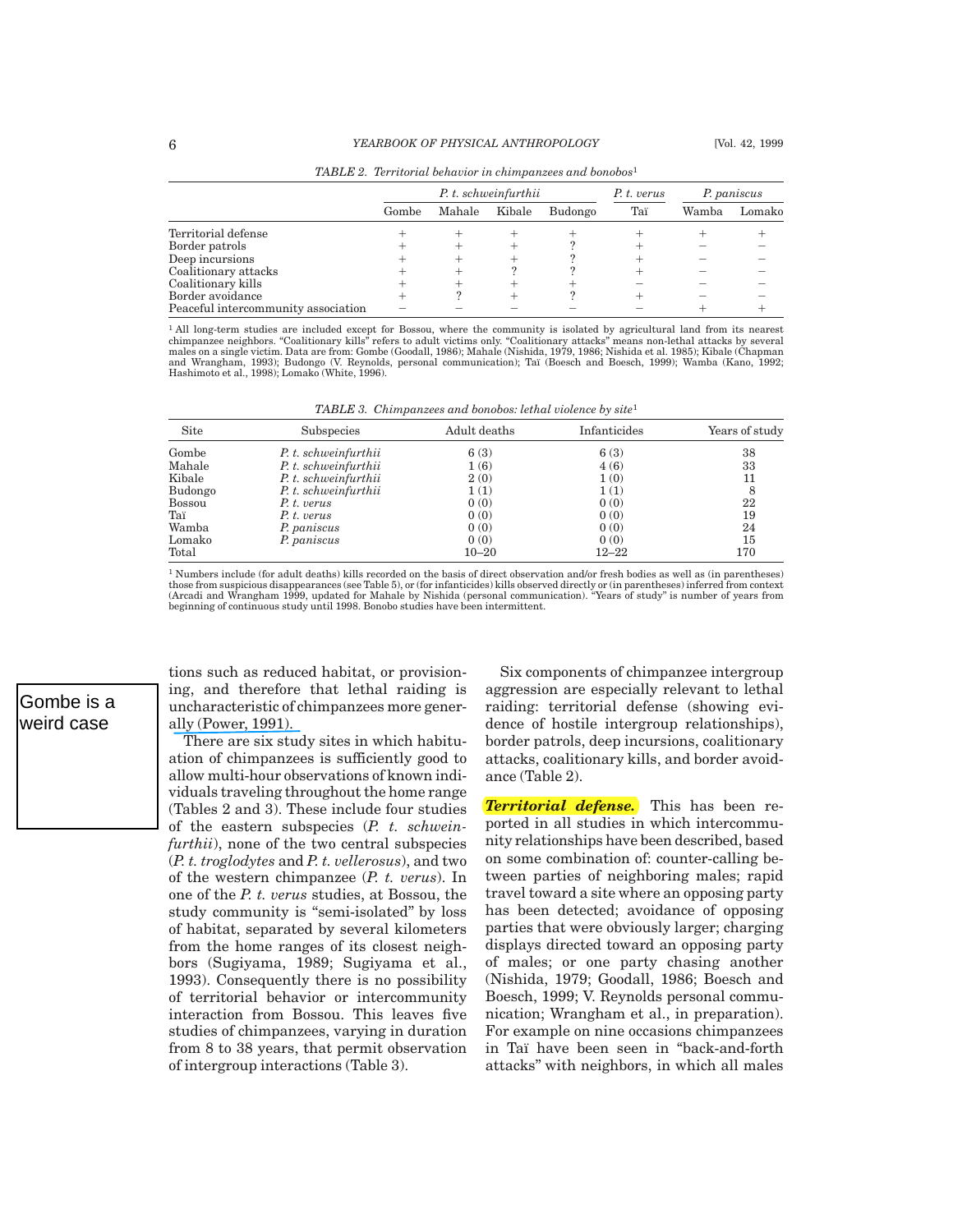|                                     |       |        | P.t. schweinfurthii | P.t. verus | P. paniscus |       |        |
|-------------------------------------|-------|--------|---------------------|------------|-------------|-------|--------|
|                                     | Gombe | Mahale | Kibale              | Budongo    | Taï         | Wamba | Lomako |
| Territorial defense                 |       |        |                     |            |             |       |        |
| Border patrols                      |       |        |                     |            |             |       |        |
| Deep incursions                     |       |        |                     |            |             |       |        |
| Coalitionary attacks                |       |        |                     |            |             |       |        |
| Coalitionary kills                  |       |        |                     |            |             |       |        |
| Border avoidance                    |       |        |                     |            |             |       |        |
| Peaceful intercommunity association |       |        |                     |            |             |       |        |

*TABLE 2. Territorial behavior in chimpanzees and bonobos*<sup>1</sup>

<sup>1</sup> All long-term studies are included except for Bossou, where the community is isolated by agricultural land from its nearest chimpanzee neighbors. "Coalitionary kills" refers to adult victims only. "Coalitionary attacks" means non-lethal attacks by several<br>males on a single victim. Data are from: Gombe (Goodall, 1986); Mahale (Nishida, 1979, 198 and Wrangham, 1993); Budongo (V. Reynolds, personal communication); Taı¨ (Boesch and Boesch, 1999); Wamba (Kano, 1992; Hashimoto et al., 1998); Lomako (White, 1996).

| <b>TABLE 3.</b> Chimpanzees and bonobos: lethal violence by site <sup>1</sup> |  |  |  |
|-------------------------------------------------------------------------------|--|--|--|
|                                                                               |  |  |  |

| Site    | Subspecies          | Adult deaths | Infanticides | Years of study |
|---------|---------------------|--------------|--------------|----------------|
| Gombe   | P.t. schweinfurthii | 6(3)         | 6(3)         | 38             |
| Mahale  | P.t. schweinfurthii | 1(6)         | 4(6)         | 33             |
| Kibale  | P.t. schweinfurthii | 2(0)         | 1(0)         | 11             |
| Budongo | P.t. schweinfurthii | 1(1)         | 1(1)         | 8              |
| Bossou  | P.t. verus          | 0(0)         | 0(0)         | 22             |
| Taï     | P.t. verus          | 0(0)         | 0(0)         | 19             |
| Wamba   | P. paniscus         | 0(0)         | 0(0)         | 24             |
| Lomako  | P. paniscus         | 0(0)         | 0(0)         | 15             |
| Total   |                     | $10 - 20$    | $12 - 22$    | 170            |

<sup>1</sup> Numbers include (for adult deaths) kills recorded on the basis of direct observation and/or fresh bodies as well as (in parentheses) those from suspicious disappearances (see Table 5), or (for infanticides) kills observed directly or (in parentheses) inferred from context (Arcadi and Wrangham 1999, updated for Mahale by Nishida (personal communication). ''Years of study'' is number of years from beginning of continuous study until 1998. Bonobo studies have been intermittent.

Gombe is a weird case

tions such as reduced habitat, or provisioning, and therefore that lethal raiding is uncharacteristic of chimpanzees more generally (Power, 1991).

There are six study sites in which habituation of chimpanzees is sufficiently good to allow multi-hour observations of known individuals traveling throughout the home range (Tables 2 and 3). These include four studies of the eastern subspecies (*P. t. schweinfurthii*), none of the two central subspecies (*P. t. troglodytes* and *P. t. vellerosus*), and two of the western chimpanzee (*P. t. verus*). In one of the *P. t. verus* studies, at Bossou, the study community is "semi-isolated" by loss of habitat, separated by several kilometers from the home ranges of its closest neighbors (Sugiyama, 1989; Sugiyama et al., 1993). Consequently there is no possibility of territorial behavior or intercommunity interaction from Bossou. This leaves five studies of chimpanzees, varying in duration from 8 to 38 years, that permit observation of intergroup interactions (Table 3).

Six components of chimpanzee intergroup aggression are especially relevant to lethal raiding: territorial defense (showing evidence of hostile intergroup relationships), border patrols, deep incursions, coalitionary attacks, coalitionary kills, and border avoidance (Table 2).

*Territorial defense.* This has been reported in all studies in which intercommunity relationships have been described, based on some combination of: counter-calling between parties of neighboring males; rapid travel toward a site where an opposing party has been detected; avoidance of opposing parties that were obviously larger; charging displays directed toward an opposing party of males; or one party chasing another (Nishida, 1979; Goodall, 1986; Boesch and Boesch, 1999; V. Reynolds personal communication; Wrangham et al., in preparation). For example on nine occasions chimpanzees in Taı¨ have been seen in ''back-and-forth attacks'' with neighbors, in which all males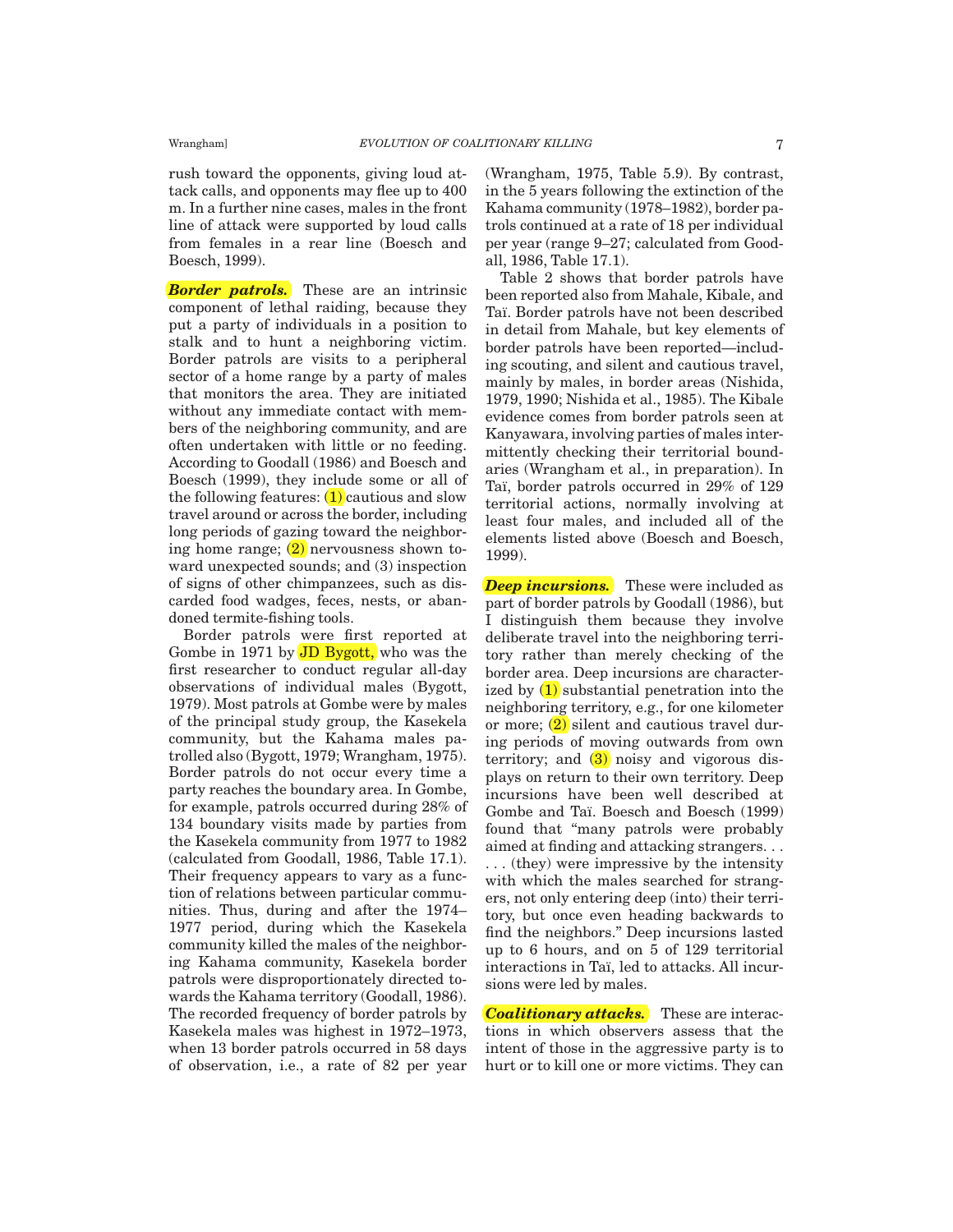rush toward the opponents, giving loud attack calls, and opponents may flee up to 400 m. In a further nine cases, males in the front line of attack were supported by loud calls from females in a rear line (Boesch and Boesch, 1999).

*Border patrols.* These are an intrinsic component of lethal raiding, because they put a party of individuals in a position to stalk and to hunt a neighboring victim. Border patrols are visits to a peripheral sector of a home range by a party of males that monitors the area. They are initiated without any immediate contact with members of the neighboring community, and are often undertaken with little or no feeding. According to Goodall (1986) and Boesch and Boesch (1999), they include some or all of the following features:  $(1)$  cautious and slow travel around or across the border, including long periods of gazing toward the neighboring home range;  $(2)$  nervousness shown toward unexpected sounds; and (3) inspection of signs of other chimpanzees, such as discarded food wadges, feces, nests, or abandoned termite-fishing tools.

Border patrols were first reported at Gombe in 1971 by JD Bygott, who was the first researcher to conduct regular all-day observations of individual males (Bygott, 1979). Most patrols at Gombe were by males of the principal study group, the Kasekela community, but the Kahama males patrolled also (Bygott, 1979; Wrangham, 1975). Border patrols do not occur every time a party reaches the boundary area. In Gombe, for example, patrols occurred during 28% of 134 boundary visits made by parties from the Kasekela community from 1977 to 1982 (calculated from Goodall, 1986, Table 17.1). Their frequency appears to vary as a function of relations between particular communities. Thus, during and after the 1974– 1977 period, during which the Kasekela community killed the males of the neighboring Kahama community, Kasekela border patrols were disproportionately directed towards the Kahama territory (Goodall, 1986). The recorded frequency of border patrols by Kasekela males was highest in 1972–1973, when 13 border patrols occurred in 58 days of observation, i.e., a rate of 82 per year

(Wrangham, 1975, Table 5.9). By contrast, in the 5 years following the extinction of the Kahama community (1978–1982), border patrols continued at a rate of 18 per individual per year (range 9–27; calculated from Goodall, 1986, Table 17.1).

Table 2 shows that border patrols have been reported also from Mahale, Kibale, and Taï. Border patrols have not been described in detail from Mahale, but key elements of border patrols have been reported—including scouting, and silent and cautious travel, mainly by males, in border areas (Nishida, 1979, 1990; Nishida et al., 1985). The Kibale evidence comes from border patrols seen at Kanyawara, involving parties of males intermittently checking their territorial boundaries (Wrangham et al., in preparation). In Taï, border patrols occurred in 29% of 129 territorial actions, normally involving at least four males, and included all of the elements listed above (Boesch and Boesch, 1999).

*Deep incursions.* These were included as part of border patrols by Goodall (1986), but I distinguish them because they involve deliberate travel into the neighboring territory rather than merely checking of the border area. Deep incursions are characterized by  $(1)$  substantial penetration into the neighboring territory, e.g., for one kilometer or more;  $(2)$  silent and cautious travel during periods of moving outwards from own territory; and  $(3)$  noisy and vigorous displays on return to their own territory. Deep incursions have been well described at Gombe and Taï. Boesch and Boesch (1999) found that "many patrols were probably aimed at finding and attacking strangers. . . . . . (they) were impressive by the intensity with which the males searched for strangers, not only entering deep (into) their territory, but once even heading backwards to find the neighbors.'' Deep incursions lasted up to 6 hours, and on 5 of 129 territorial interactions in Taï, led to attacks. All incursions were led by males.

*Coalitionary attacks.* These are interactions in which observers assess that the intent of those in the aggressive party is to hurt or to kill one or more victims. They can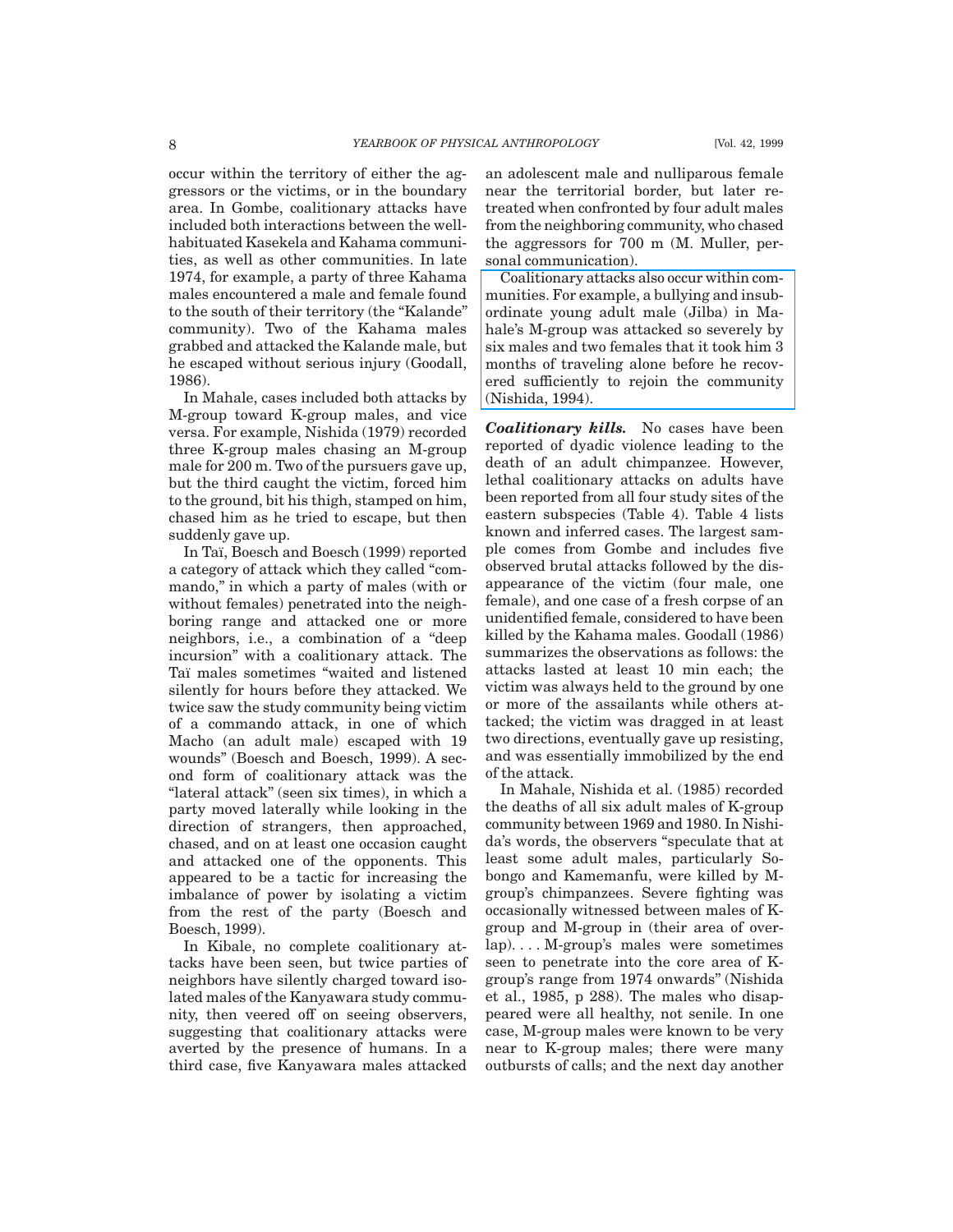occur within the territory of either the aggressors or the victims, or in the boundary area. In Gombe, coalitionary attacks have included both interactions between the wellhabituated Kasekela and Kahama communities, as well as other communities. In late 1974, for example, a party of three Kahama males encountered a male and female found to the south of their territory (the "Kalande" community). Two of the Kahama males grabbed and attacked the Kalande male, but he escaped without serious injury (Goodall, 1986).

In Mahale, cases included both attacks by M-group toward K-group males, and vice versa. For example, Nishida (1979) recorded three K-group males chasing an M-group male for 200 m. Two of the pursuers gave up, but the third caught the victim, forced him to the ground, bit his thigh, stamped on him, chased him as he tried to escape, but then suddenly gave up.

In Taï, Boesch and Boesch (1999) reported a category of attack which they called ''commando," in which a party of males (with or without females) penetrated into the neighboring range and attacked one or more neighbors, i.e., a combination of a ''deep incursion'' with a coalitionary attack. The Taï males sometimes "waited and listened silently for hours before they attacked. We twice saw the study community being victim of a commando attack, in one of which Macho (an adult male) escaped with 19 wounds'' (Boesch and Boesch, 1999). A second form of coalitionary attack was the "lateral attack" (seen six times), in which a party moved laterally while looking in the direction of strangers, then approached, chased, and on at least one occasion caught and attacked one of the opponents. This appeared to be a tactic for increasing the imbalance of power by isolating a victim from the rest of the party (Boesch and Boesch, 1999).

In Kibale, no complete coalitionary attacks have been seen, but twice parties of neighbors have silently charged toward isolated males of the Kanyawara study community, then veered off on seeing observers, suggesting that coalitionary attacks were averted by the presence of humans. In a third case, five Kanyawara males attacked an adolescent male and nulliparous female near the territorial border, but later retreated when confronted by four adult males from the neighboring community, who chased the aggressors for 700 m (M. Muller, personal communication).

Coalitionary attacks also occur within communities. For example, a bullying and insubordinate young adult male (Jilba) in Mahale's M-group was attacked so severely by six males and two females that it took him 3 months of traveling alone before he recovered sufficiently to rejoin the community (Nishida, 1994).

*Coalitionary kills.* No cases have been reported of dyadic violence leading to the death of an adult chimpanzee. However, lethal coalitionary attacks on adults have been reported from all four study sites of the eastern subspecies (Table 4). Table 4 lists known and inferred cases. The largest sample comes from Gombe and includes five observed brutal attacks followed by the disappearance of the victim (four male, one female), and one case of a fresh corpse of an unidentified female, considered to have been killed by the Kahama males. Goodall (1986) summarizes the observations as follows: the attacks lasted at least 10 min each; the victim was always held to the ground by one or more of the assailants while others attacked; the victim was dragged in at least two directions, eventually gave up resisting, and was essentially immobilized by the end of the attack.

In Mahale, Nishida et al. (1985) recorded the deaths of all six adult males of K-group community between 1969 and 1980. In Nishida's words, the observers ''speculate that at least some adult males, particularly Sobongo and Kamemanfu, were killed by Mgroup's chimpanzees. Severe fighting was occasionally witnessed between males of Kgroup and M-group in (their area of overlap).... M-group's males were sometimes seen to penetrate into the core area of Kgroup's range from 1974 onwards'' (Nishida et al., 1985, p 288). The males who disappeared were all healthy, not senile. In one case, M-group males were known to be very near to K-group males; there were many outbursts of calls; and the next day another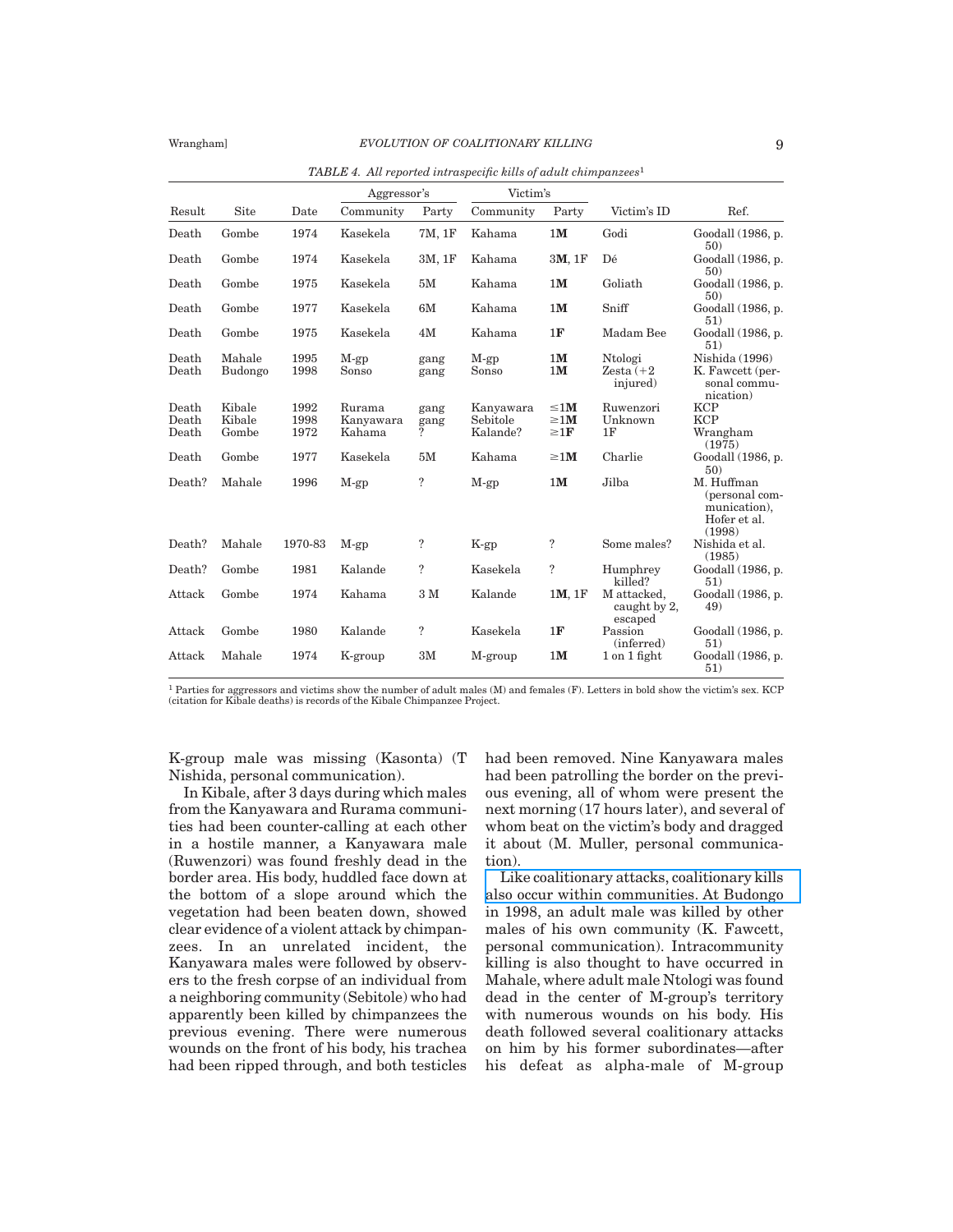### Wrangham] *EVOLUTION OF COALITIONARY KILLING* 9

|        |         |         | Aggressor's |                          |           | Victim's       |                                        |                                                                        |
|--------|---------|---------|-------------|--------------------------|-----------|----------------|----------------------------------------|------------------------------------------------------------------------|
| Result | Site    | Date    | Community   | Party                    | Community | Party          | Victim's ID                            | Ref.                                                                   |
| Death  | Gombe   | 1974    | Kasekela    | 7M, 1F                   | Kahama    | 1M             | Godi                                   | Goodall (1986, p.<br>50)                                               |
| Death  | Gombe   | 1974    | Kasekela    | 3M, 1F                   | Kahama    | 3M, 1F         | Dé                                     | Goodall (1986, p.<br>50)                                               |
| Death  | Gombe   | 1975    | Kasekela    | 5M                       | Kahama    | $1\mathbf{M}$  | Goliath                                | Goodall (1986, p.<br>50)                                               |
| Death  | Gombe   | 1977    | Kasekela    | 6M                       | Kahama    | 1M             | Sniff                                  | Goodall (1986, p.<br>51)                                               |
| Death  | Gombe   | 1975    | Kasekela    | 4M                       | Kahama    | 1 <sub>F</sub> | Madam Bee                              | Goodall (1986, p.<br>51)                                               |
| Death  | Mahale  | 1995    | $M$ -gp     | gang                     | $M$ -gp   | $1\mathbf{M}$  | Ntologi                                | Nishida (1996)                                                         |
| Death  | Budongo | 1998    | Sonso       | gang                     | Sonso     | $1\mathbf{M}$  | Zesta $(+2)$<br>injured)               | K. Fawcett (per-<br>sonal commu-<br>nication)                          |
| Death  | Kibale  | 1992    | Rurama      | gang                     | Kanyawara | $\leq 1$ M     | Ruwenzori                              | <b>KCP</b>                                                             |
| Death  | Kibale  | 1998    | Kanyawara   | gang                     | Sebitole  | $\geq 1$ M     | Unknown                                | <b>KCP</b>                                                             |
| Death  | Gombe   | 1972    | Kahama      |                          | Kalande?  | $\geq$ 1F      | 1F                                     | Wrangham<br>(1975)                                                     |
| Death  | Gombe   | 1977    | Kasekela    | 5M                       | Kahama    | $\geq$ 1M      | Charlie                                | Goodall (1986, p.<br>50)                                               |
| Death? | Mahale  | 1996    | $M$ -gp     | $\overline{\mathcal{E}}$ | $M$ -gp   | $1\mathbf{M}$  | Jilba                                  | M. Huffman<br>(personal com-<br>munication),<br>Hofer et al.<br>(1998) |
| Death? | Mahale  | 1970-83 | $M$ -gp     | ?                        | $K$ -gp   | $\ddot{?}$     | Some males?                            | Nishida et al.<br>(1985)                                               |
| Death? | Gombe   | 1981    | Kalande     | $\overline{\phantom{a}}$ | Kasekela  | $\ddot{?}$     | Humphrey<br>killed?                    | Goodall (1986, p.<br>51)                                               |
| Attack | Gombe   | 1974    | Kahama      | 3 <sub>M</sub>           | Kalande   | 1M, 1F         | M attacked,<br>caught by 2,<br>escaped | Goodall (1986, p.<br>49)                                               |
| Attack | Gombe   | 1980    | Kalande     | $\ddot{?}$               | Kasekela  | 1 <sub>F</sub> | Passion<br>(inferred)                  | Goodall (1986, p.<br>51)                                               |
| Attack | Mahale  | 1974    | K-group     | 3M                       | M-group   | 1M             | $1$ on $1$ fight                       | Goodall (1986, p.<br>51)                                               |

*TABLE 4. All reported intraspecific kills of adult chimpanzees*<sup>1</sup>

<sup>1</sup> Parties for aggressors and victims show the number of adult males (M) and females (F). Letters in bold show the victim's sex. KCP (citation for Kibale deaths) is records of the Kibale Chimpanzee Project.

K-group male was missing (Kasonta) (T Nishida, personal communication).

In Kibale, after 3 days during which males from the Kanyawara and Rurama communities had been counter-calling at each other in a hostile manner, a Kanyawara male (Ruwenzori) was found freshly dead in the border area. His body, huddled face down at the bottom of a slope around which the vegetation had been beaten down, showed clear evidence of a violent attack by chimpanzees. In an unrelated incident, the Kanyawara males were followed by observers to the fresh corpse of an individual from a neighboring community (Sebitole) who had apparently been killed by chimpanzees the previous evening. There were numerous wounds on the front of his body, his trachea had been ripped through, and both testicles had been removed. Nine Kanyawara males had been patrolling the border on the previous evening, all of whom were present the next morning (17 hours later), and several of whom beat on the victim's body and dragged it about (M. Muller, personal communication).

Like coalitionary attacks, coalitionary kills also occur within communities. At Budongo in 1998, an adult male was killed by other males of his own community (K. Fawcett, personal communication). Intracommunity killing is also thought to have occurred in Mahale, where adult male Ntologi was found dead in the center of M-group's territory with numerous wounds on his body. His death followed several coalitionary attacks on him by his former subordinates—after his defeat as alpha-male of M-group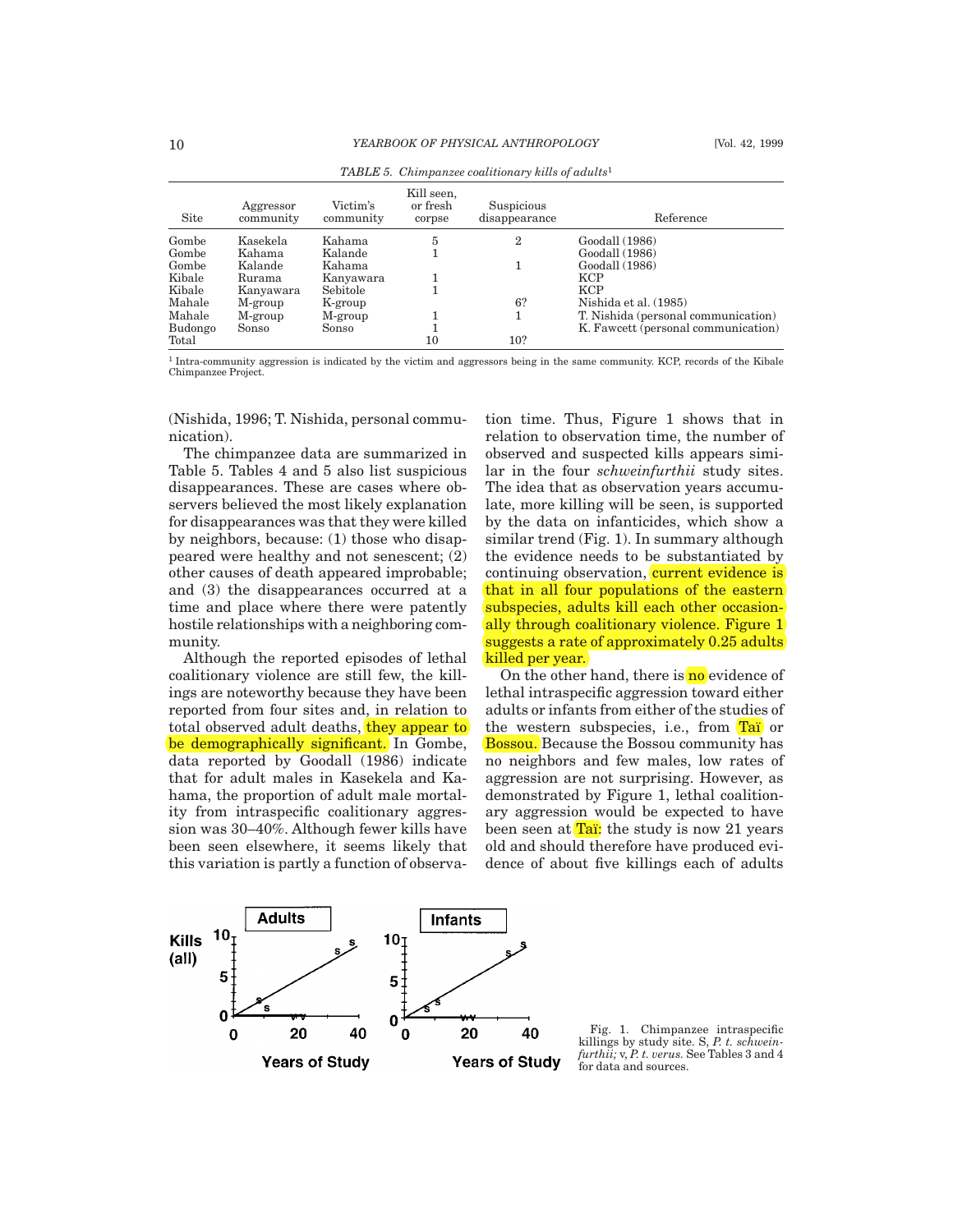|             | 1710111 д. Спитрангее соаннопат у киіз орандыз |                       |                                  |                             |                                     |  |  |  |  |
|-------------|------------------------------------------------|-----------------------|----------------------------------|-----------------------------|-------------------------------------|--|--|--|--|
| <b>Site</b> | Aggressor<br>community                         | Victim's<br>community | Kill seen,<br>or fresh<br>corpse | Suspicious<br>disappearance | Reference                           |  |  |  |  |
| Gombe       | Kasekela                                       | Kahama                | 5                                | $\overline{2}$              | Goodall (1986)                      |  |  |  |  |
| Gombe       | Kahama                                         | Kalande               |                                  |                             | Goodall (1986)                      |  |  |  |  |
| Gombe       | Kalande                                        | Kahama                |                                  |                             | Goodall (1986)                      |  |  |  |  |
| Kibale      | Rurama                                         | Kanyawara             |                                  |                             | <b>KCP</b>                          |  |  |  |  |
| Kibale      | Kanyawara                                      | Sebitole              |                                  |                             | <b>KCP</b>                          |  |  |  |  |
| Mahale      | M-group                                        | K-group               |                                  | 6?                          | Nishida et al. (1985)               |  |  |  |  |
| Mahale      | M-group                                        | M-group               |                                  |                             | T. Nishida (personal communication) |  |  |  |  |
| Budongo     | Sonso                                          | Sonso                 |                                  |                             | K. Fawcett (personal communication) |  |  |  |  |
| Total       |                                                |                       | 10                               | 10?                         |                                     |  |  |  |  |

*TABLE 5. Chimpanzee coalitionary kills of adults*<sup>1</sup>

<sup>1</sup> Intra-community aggression is indicated by the victim and aggressors being in the same community. KCP, records of the Kibale Chimpanzee Project.

(Nishida, 1996; T. Nishida, personal communication).

The chimpanzee data are summarized in Table 5. Tables 4 and 5 also list suspicious disappearances. These are cases where observers believed the most likely explanation for disappearances was that they were killed by neighbors, because: (1) those who disappeared were healthy and not senescent; (2) other causes of death appeared improbable; and (3) the disappearances occurred at a time and place where there were patently hostile relationships with a neighboring community.

Although the reported episodes of lethal coalitionary violence are still few, the killings are noteworthy because they have been reported from four sites and, in relation to total observed adult deaths, they appear to be demographically significant. In Gombe, data reported by Goodall (1986) indicate that for adult males in Kasekela and Kahama, the proportion of adult male mortality from intraspecific coalitionary aggression was 30–40%. Although fewer kills have been seen elsewhere, it seems likely that this variation is partly a function of observation time. Thus, Figure 1 shows that in relation to observation time, the number of observed and suspected kills appears similar in the four *schweinfurthii* study sites. The idea that as observation years accumulate, more killing will be seen, is supported by the data on infanticides, which show a similar trend (Fig. 1). In summary although the evidence needs to be substantiated by continuing observation, current evidence is that in all four populations of the eastern subspecies, adults kill each other occasionally through coalitionary violence. Figure 1 suggests a rate of approximately 0.25 adults killed per year.

On the other hand, there is no evidence of lethal intraspecific aggression toward either adults or infants from either of the studies of the western subspecies, i.e., from Tai) or Bossou. Because the Bossou community has no neighbors and few males, low rates of aggression are not surprising. However, as demonstrated by Figure 1, lethal coalitionary aggression would be expected to have been seen at Tai the study is now 21 years old and should therefore have produced evidence of about five killings each of adults



Fig. 1. Chimpanzee intraspecific killings by study site. S, *P. t. schweinfurthii;* v, *P. t. verus.* See Tables 3 and 4 for data and sources.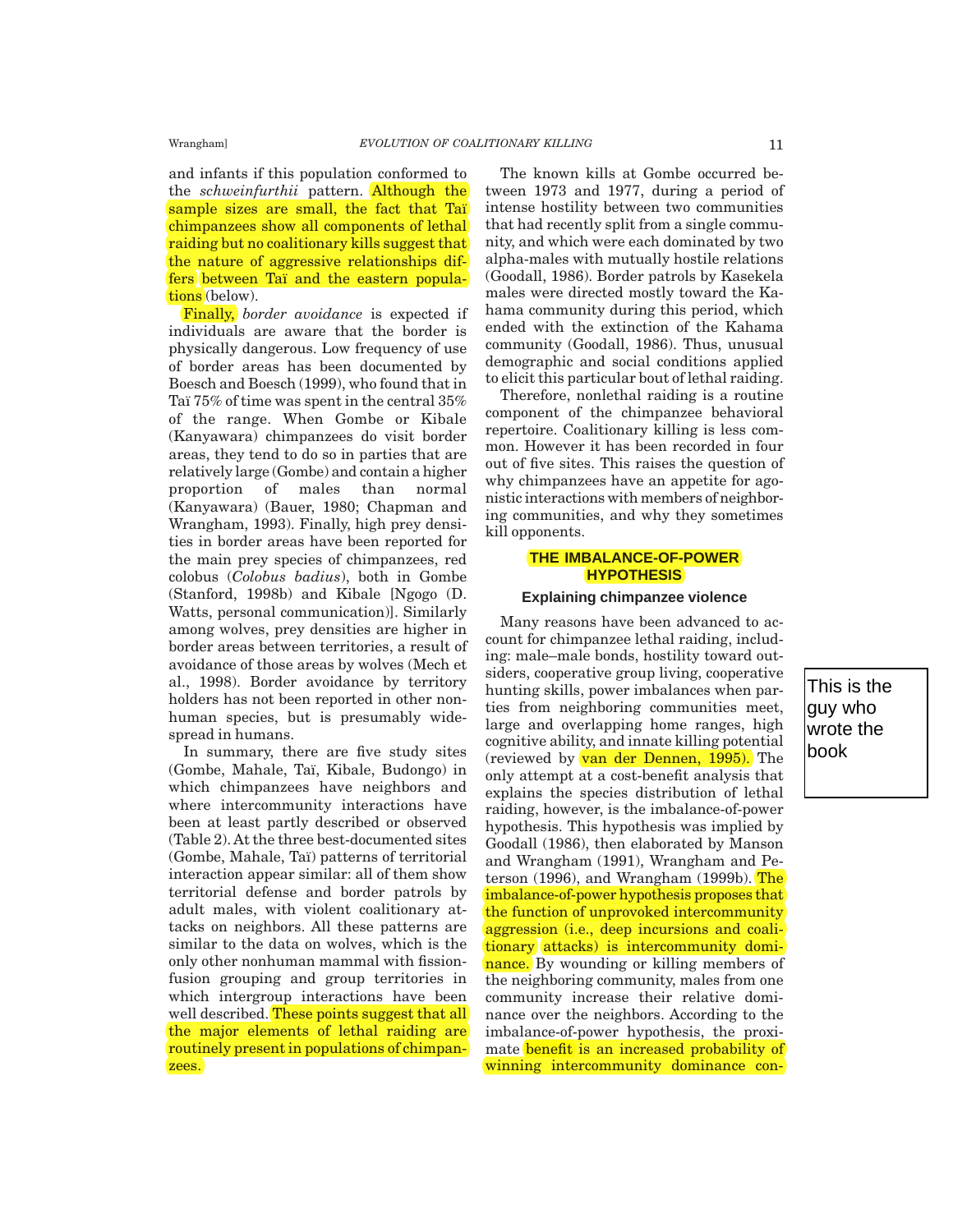and infants if this population conformed to the *schweinfurthii* pattern. Although the sample sizes are small, the fact that Tai chimpanzees show all components of lethal raiding but no coalitionary kills suggest that the nature of aggressive relationships differs between Tai and the eastern populations (below).

Finally, *border avoidance* is expected if individuals are aware that the border is physically dangerous. Low frequency of use of border areas has been documented by Boesch and Boesch (1999), who found that in Taï 75% of time was spent in the central 35% of the range. When Gombe or Kibale (Kanyawara) chimpanzees do visit border areas, they tend to do so in parties that are relatively large (Gombe) and contain a higher proportion of males than normal (Kanyawara) (Bauer, 1980; Chapman and Wrangham, 1993). Finally, high prey densities in border areas have been reported for the main prey species of chimpanzees, red colobus (*Colobus badius*), both in Gombe (Stanford, 1998b) and Kibale [Ngogo (D. Watts, personal communication)]. Similarly among wolves, prey densities are higher in border areas between territories, a result of avoidance of those areas by wolves (Mech et al., 1998). Border avoidance by territory holders has not been reported in other nonhuman species, but is presumably widespread in humans.

In summary, there are five study sites (Gombe, Mahale, Taï, Kibale, Budongo) in which chimpanzees have neighbors and where intercommunity interactions have been at least partly described or observed (Table 2). At the three best-documented sites (Gombe, Mahale, Taı¨) patterns of territorial interaction appear similar: all of them show territorial defense and border patrols by adult males, with violent coalitionary attacks on neighbors. All these patterns are similar to the data on wolves, which is the only other nonhuman mammal with fissionfusion grouping and group territories in which intergroup interactions have been well described. These points suggest that all the major elements of lethal raiding are routinely present in populations of chimpanzees.

The known kills at Gombe occurred between 1973 and 1977, during a period of intense hostility between two communities that had recently split from a single community, and which were each dominated by two alpha-males with mutually hostile relations (Goodall, 1986). Border patrols by Kasekela males were directed mostly toward the Kahama community during this period, which ended with the extinction of the Kahama community (Goodall, 1986). Thus, unusual demographic and social conditions applied to elicit this particular bout of lethal raiding.

Therefore, nonlethal raiding is a routine component of the chimpanzee behavioral repertoire. Coalitionary killing is less common. However it has been recorded in four out of five sites. This raises the question of why chimpanzees have an appetite for agonistic interactions with members of neighboring communities, and why they sometimes kill opponents.

# **THE IMBALANCE-OF-POWER HYPOTHESIS**

### **Explaining chimpanzee violence**

Many reasons have been advanced to account for chimpanzee lethal raiding, including: male–male bonds, hostility toward outsiders, cooperative group living, cooperative hunting skills, power imbalances when parties from neighboring communities meet, large and overlapping home ranges, high cognitive ability, and innate killing potential  $(reviewed$  by van der Dennen, 1995). The only attempt at a cost-benefit analysis that explains the species distribution of lethal raiding, however, is the imbalance-of-power hypothesis. This hypothesis was implied by Goodall (1986), then elaborated by Manson and Wrangham (1991), Wrangham and Peterson  $(1996)$ , and Wrangham  $(1999b)$ . The imbalance-of-power hypothesis proposes that the function of unprovoked intercommunity aggression (i.e., deep incursions and coali $t$ ionary  $\alpha$ ttacks) is intercommunity dominance. By wounding or killing members of the neighboring community, males from one community increase their relative dominance over the neighbors. According to the imbalance-of-power hypothesis, the proximate (benefit) is an increased probability of winning intercommunity dominance con-

This is the guy who wrote the book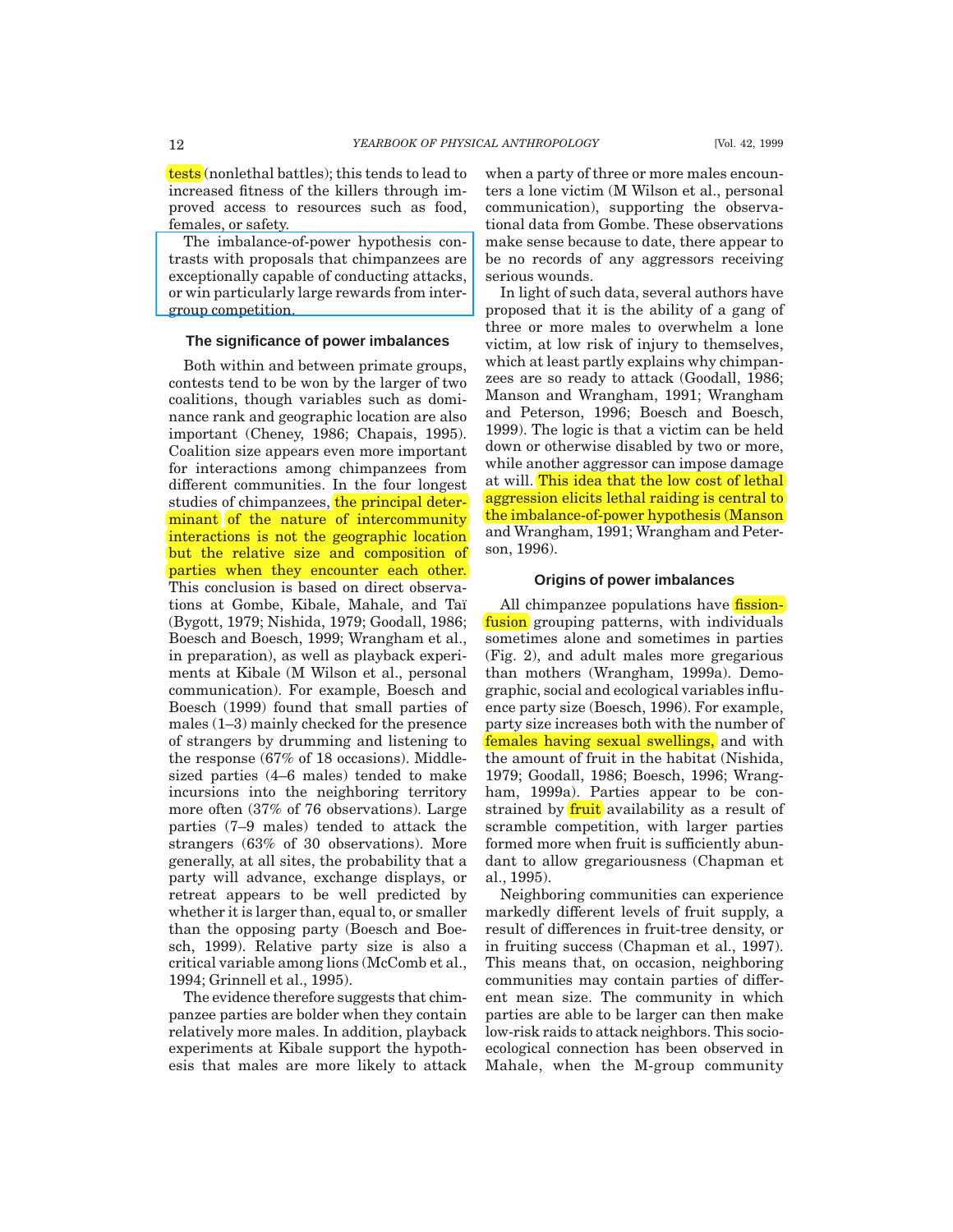tests (nonlethal battles); this tends to lead to increased fitness of the killers through improved access to resources such as food, females, or safety.

The imbalance-of-power hypothesis contrasts with proposals that chimpanzees are exceptionally capable of conducting attacks, or win particularly large rewards from intergroup competition.

#### **The significance of power imbalances**

Both within and between primate groups, contests tend to be won by the larger of two coalitions, though variables such as dominance rank and geographic location are also important (Cheney, 1986; Chapais, 1995). Coalition size appears even more important for interactions among chimpanzees from different communities. In the four longest studies of chimpanzees, the principal determinant of the nature of intercommunity interactions is not the geographic location but the relative size and composition of parties when they encounter each other. This conclusion is based on direct observations at Gombe, Kibale, Mahale, and Taï (Bygott, 1979; Nishida, 1979; Goodall, 1986; Boesch and Boesch, 1999; Wrangham et al., in preparation), as well as playback experiments at Kibale (M Wilson et al., personal communication). For example, Boesch and Boesch (1999) found that small parties of males (1–3) mainly checked for the presence of strangers by drumming and listening to the response (67% of 18 occasions). Middlesized parties (4–6 males) tended to make incursions into the neighboring territory more often (37% of 76 observations). Large parties (7–9 males) tended to attack the strangers (63% of 30 observations). More generally, at all sites, the probability that a party will advance, exchange displays, or retreat appears to be well predicted by whether it is larger than, equal to, or smaller than the opposing party (Boesch and Boesch, 1999). Relative party size is also a critical variable among lions (McComb et al., 1994; Grinnell et al., 1995).

The evidence therefore suggests that chimpanzee parties are bolder when they contain relatively more males. In addition, playback experiments at Kibale support the hypothesis that males are more likely to attack when a party of three or more males encounters a lone victim (M Wilson et al., personal communication), supporting the observational data from Gombe. These observations make sense because to date, there appear to be no records of any aggressors receiving serious wounds.

In light of such data, several authors have proposed that it is the ability of a gang of three or more males to overwhelm a lone victim, at low risk of injury to themselves, which at least partly explains why chimpanzees are so ready to attack (Goodall, 1986; Manson and Wrangham, 1991; Wrangham and Peterson, 1996; Boesch and Boesch, 1999). The logic is that a victim can be held down or otherwise disabled by two or more, while another aggressor can impose damage at will. This idea that the low cost of lethal aggression elicits lethal raiding is central to the imbalance-of-power hypothesis (Manson and Wrangham, 1991; Wrangham and Peterson, 1996).

#### **Origins of power imbalances**

All chimpanzee populations have fissionfusion grouping patterns, with individuals sometimes alone and sometimes in parties (Fig. 2), and adult males more gregarious than mothers (Wrangham, 1999a). Demographic, social and ecological variables influence party size (Boesch, 1996). For example, party size increases both with the number of females having sexual swellings, and with the amount of fruit in the habitat (Nishida, 1979; Goodall, 1986; Boesch, 1996; Wrangham, 1999a). Parties appear to be constrained by  $(\text{fruit})$  availability as a result of scramble competition, with larger parties formed more when fruit is sufficiently abundant to allow gregariousness (Chapman et al., 1995).

Neighboring communities can experience markedly different levels of fruit supply, a result of differences in fruit-tree density, or in fruiting success (Chapman et al., 1997). This means that, on occasion, neighboring communities may contain parties of different mean size. The community in which parties are able to be larger can then make low-risk raids to attack neighbors. This socioecological connection has been observed in Mahale, when the M-group community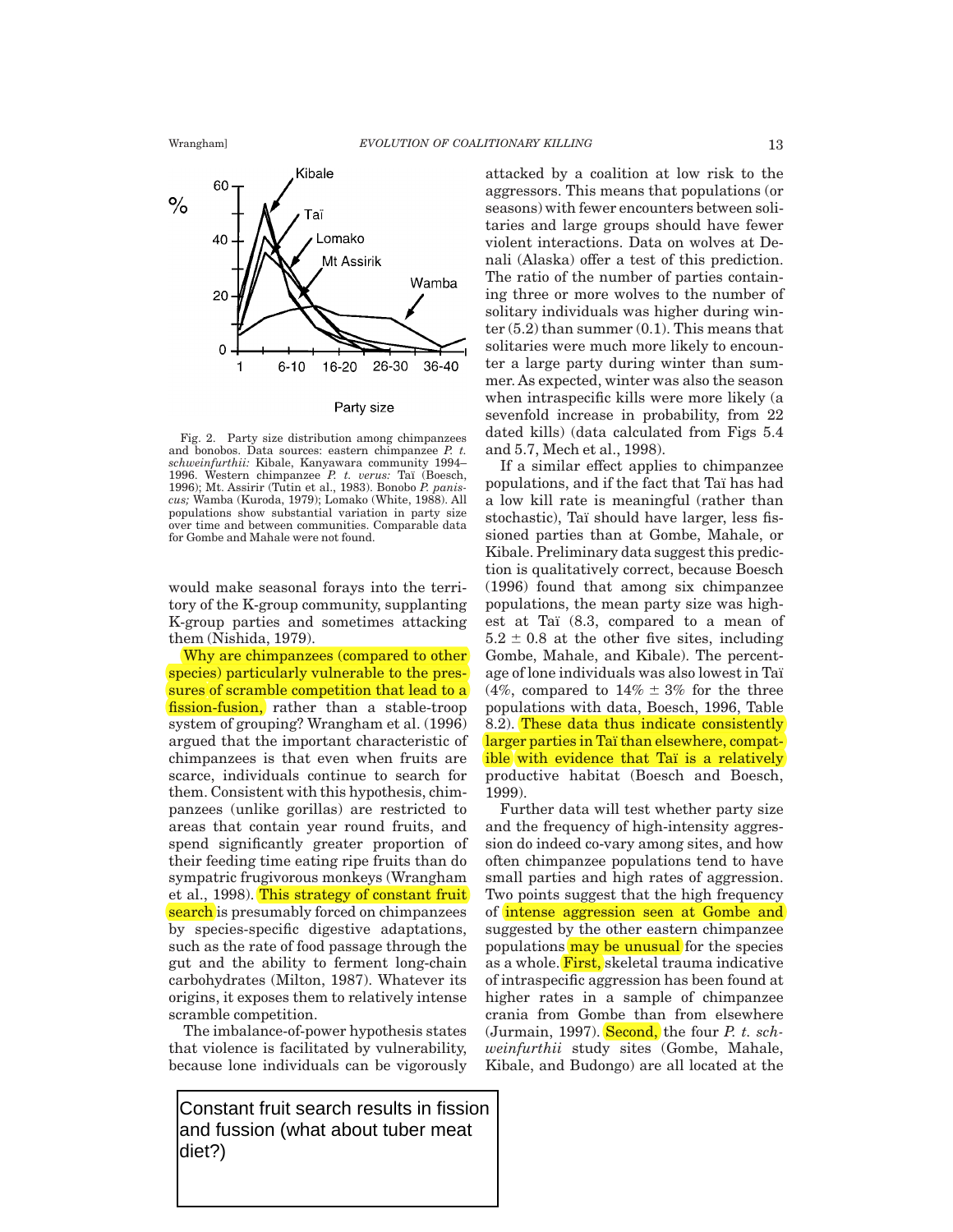

Party size

Fig. 2. Party size distribution among chimpanzees and bonobos. Data sources: eastern chimpanzee *P. t. schweinfurthii:* Kibale, Kanyawara community 1994– 1996. Western chimpanzee *P. t. verus:* Taı¨ (Boesch, 1996); Mt. Assirir (Tutin et al., 1983). Bonobo *P. paniscus;* Wamba (Kuroda, 1979); Lomako (White, 1988). All populations show substantial variation in party size over time and between communities. Comparable data for Gombe and Mahale were not found.

would make seasonal forays into the territory of the K-group community, supplanting K-group parties and sometimes attacking them (Nishida, 1979).

Why are chimpanzees (compared to other species) particularly vulnerable to the pressures of scramble competition that lead to a fission-fusion, rather than a stable-troop system of grouping? Wrangham et al. (1996) argued that the important characteristic of chimpanzees is that even when fruits are scarce, individuals continue to search for them. Consistent with this hypothesis, chimpanzees (unlike gorillas) are restricted to areas that contain year round fruits, and spend significantly greater proportion of their feeding time eating ripe fruits than do sympatric frugivorous monkeys (Wrangham et al., 1998). This strategy of constant fruit search is presumably forced on chimpanzees by species-specific digestive adaptations, such as the rate of food passage through the gut and the ability to ferment long-chain carbohydrates (Milton, 1987). Whatever its origins, it exposes them to relatively intense scramble competition.

The imbalance-of-power hypothesis states that violence is facilitated by vulnerability, because lone individuals can be vigorously

Constant fruit search results in fission and fussion (what about tuber meat diet?)

attacked by a coalition at low risk to the aggressors. This means that populations (or seasons) with fewer encounters between solitaries and large groups should have fewer violent interactions. Data on wolves at Denali (Alaska) offer a test of this prediction. The ratio of the number of parties containing three or more wolves to the number of solitary individuals was higher during winter  $(5.2)$  than summer  $(0.1)$ . This means that solitaries were much more likely to encounter a large party during winter than summer. As expected, winter was also the season when intraspecific kills were more likely (a sevenfold increase in probability, from 22 dated kills) (data calculated from Figs 5.4 and 5.7, Mech et al., 1998).

If a similar effect applies to chimpanzee populations, and if the fact that Taı¨ has had a low kill rate is meaningful (rather than stochastic), Taï should have larger, less fissioned parties than at Gombe, Mahale, or Kibale. Preliminary data suggest this prediction is qualitatively correct, because Boesch (1996) found that among six chimpanzee populations, the mean party size was highest at Taï  $(8.3,$  compared to a mean of  $5.2 \pm 0.8$  at the other five sites, including Gombe, Mahale, and Kibale). The percentage of lone individuals was also lowest in Taı¨ (4%, compared to  $14\% \pm 3\%$  for the three populations with data, Boesch, 1996, Table 8.2). These data thus indicate consistently larger parties in Taï than elsewhere, compatible with evidence that Tai is a relatively productive habitat (Boesch and Boesch, 1999).

Further data will test whether party size and the frequency of high-intensity aggression do indeed co-vary among sites, and how often chimpanzee populations tend to have small parties and high rates of aggression. Two points suggest that the high frequency of intense aggression seen at Gombe and suggested by the other eastern chimpanzee populations may be unusual for the species as a whole. First, skeletal trauma indicative of intraspecific aggression has been found at higher rates in a sample of chimpanzee crania from Gombe than from elsewhere (Jurmain, 1997). Second, the four *P. t. schweinfurthii* study sites (Gombe, Mahale, Kibale, and Budongo) are all located at the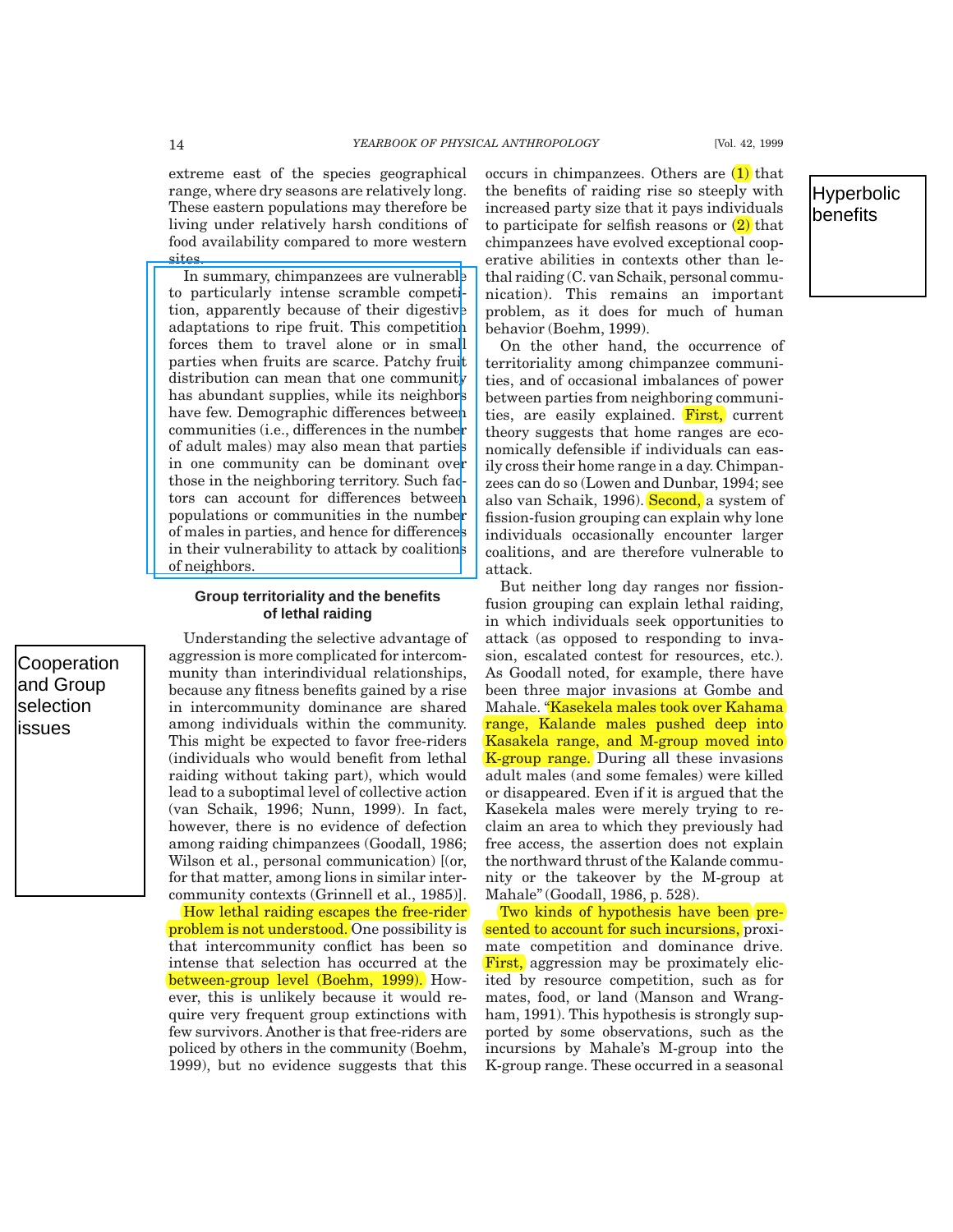extreme east of the species geographical range, where dry seasons are relatively long. These eastern populations may therefore be living under relatively harsh conditions of food availability compared to more western sites.

In summary, chimpanzees are vulnerable to particularly intense scramble competition, apparently because of their digestive adaptations to ripe fruit. This competition forces them to travel alone or in small parties when fruits are scarce. Patchy fruit distribution can mean that one community has abundant supplies, while its neighbors have few. Demographic differences between communities (i.e., differences in the number of adult males) may also mean that parties in one community can be dominant over those in the neighboring territory. Such factors can account for differences between populations or communities in the number of males in parties, and hence for differences in their vulnerability to attack by coalitions of neighbors.

# **Group territoriality and the benefits of lethal raiding**

Understanding the selective advantage of aggression is more complicated for intercommunity than interindividual relationships, because any fitness benefits gained by a rise in intercommunity dominance are shared among individuals within the community. This might be expected to favor free-riders (individuals who would benefit from lethal raiding without taking part), which would lead to a suboptimal level of collective action (van Schaik, 1996; Nunn, 1999). In fact, however, there is no evidence of defection among raiding chimpanzees (Goodall, 1986; Wilson et al., personal communication) [(or, for that matter, among lions in similar intercommunity contexts (Grinnell et al., 1985)].

How lethal raiding escapes the free-rider problem is not understood. One possibility is that intercommunity conflict has been so intense that selection has occurred at the between-group level (Boehm, 1999). However, this is unlikely because it would require very frequent group extinctions with few survivors. Another is that free-riders are policed by others in the community (Boehm, 1999), but no evidence suggests that this

occurs in chimpanzees. Others are  $(1)$  that the benefits of raiding rise so steeply with increased party size that it pays individuals to participate for selfish reasons or  $(2)$  that chimpanzees have evolved exceptional cooperative abilities in contexts other than lethal raiding (C. van Schaik, personal communication). This remains an important problem, as it does for much of human behavior (Boehm, 1999).

On the other hand, the occurrence of territoriality among chimpanzee communities, and of occasional imbalances of power between parties from neighboring communities, are easily explained. First, current theory suggests that home ranges are economically defensible if individuals can easily cross their home range in a day. Chimpanzees can do so (Lowen and Dunbar, 1994; see also van Schaik, 1996). Second, a system of fission-fusion grouping can explain why lone individuals occasionally encounter larger coalitions, and are therefore vulnerable to attack.

But neither long day ranges nor fissionfusion grouping can explain lethal raiding, in which individuals seek opportunities to attack (as opposed to responding to invasion, escalated contest for resources, etc.). As Goodall noted, for example, there have been three major invasions at Gombe and Mahale. 'Kasekela males took over Kahama range, Kalande males pushed deep into Kasakela range, and M-group moved into K-group range. During all these invasions adult males (and some females) were killed or disappeared. Even if it is argued that the Kasekela males were merely trying to reclaim an area to which they previously had free access, the assertion does not explain the northward thrust of the Kalande community or the takeover by the M-group at Mahale'' (Goodall, 1986, p. 528).

Two kinds of hypothesis have been presented to account for such incursions, proximate competition and dominance drive. First, aggression may be proximately elicited by resource competition, such as for mates, food, or land (Manson and Wrangham, 1991). This hypothesis is strongly supported by some observations, such as the incursions by Mahale's M-group into the K-group range. These occurred in a seasonal

**Cooperation** and Group selection issues

Hyperbolic benefits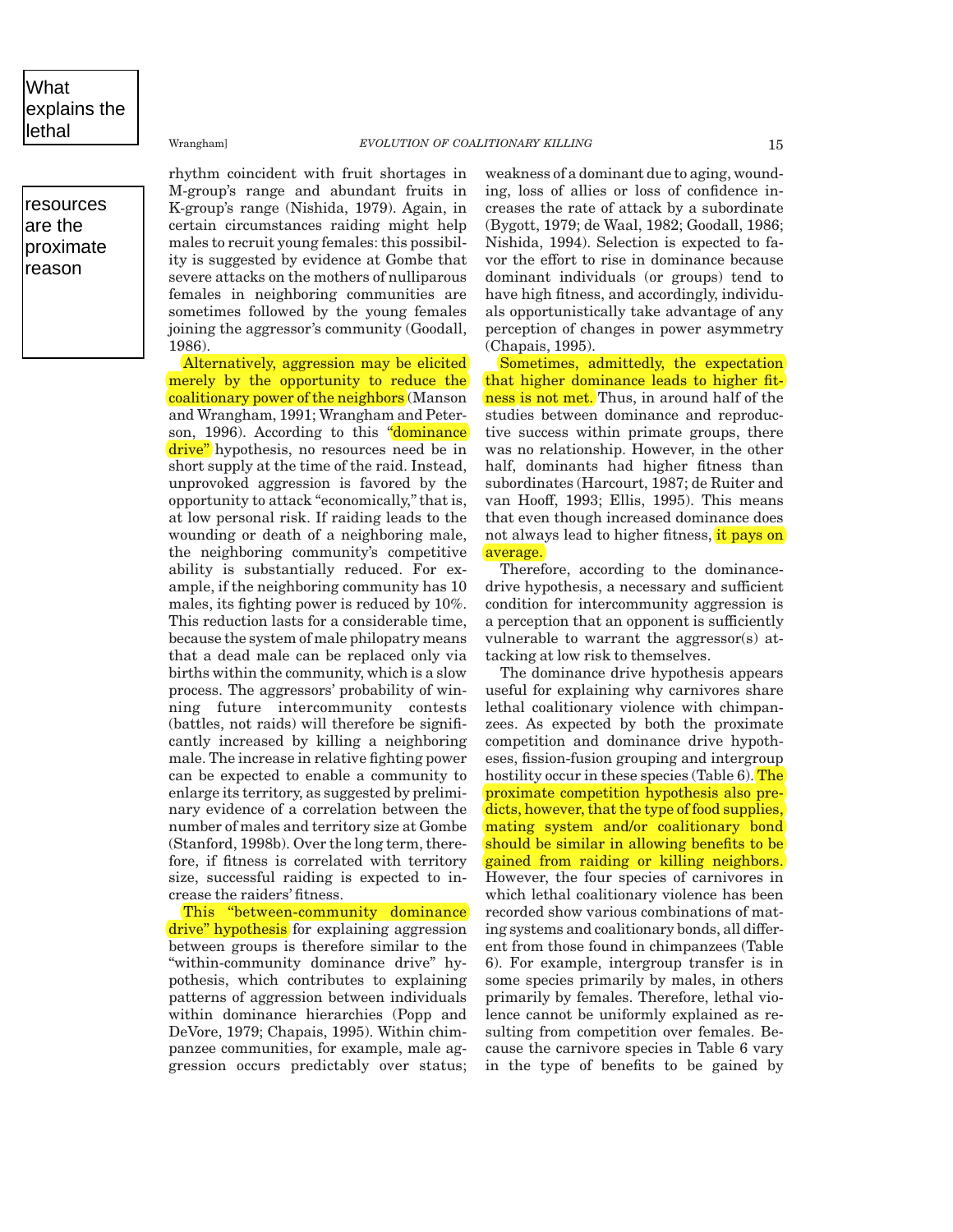resources are the proximate reason

raiding?

rhythm coincident with fruit shortages in M-group's range and abundant fruits in K-group's range (Nishida, 1979). Again, in certain circumstances raiding might help males to recruit young females: this possibility is suggested by evidence at Gombe that severe attacks on the mothers of nulliparous females in neighboring communities are sometimes followed by the young females joining the aggressor's community (Goodall, 1986).

Alternatively, aggression may be elicited merely by the opportunity to reduce the coalitionary power of the neighbors (Manson and Wrangham, 1991; Wrangham and Peterson, 1996). According to this "dominance" drive'' hypothesis, no resources need be in short supply at the time of the raid. Instead, unprovoked aggression is favored by the opportunity to attack ''economically,'' that is, at low personal risk. If raiding leads to the wounding or death of a neighboring male, the neighboring community's competitive ability is substantially reduced. For example, if the neighboring community has 10 males, its fighting power is reduced by 10%. This reduction lasts for a considerable time, because the system of male philopatry means that a dead male can be replaced only via births within the community, which is a slow process. The aggressors' probability of winning future intercommunity contests (battles, not raids) will therefore be significantly increased by killing a neighboring male. The increase in relative fighting power can be expected to enable a community to enlarge its territory, as suggested by preliminary evidence of a correlation between the number of males and territory size at Gombe (Stanford, 1998b). Over the long term, therefore, if fitness is correlated with territory size, successful raiding is expected to increase the raiders' fitness.

This ''between-community dominance drive'' hypothesis for explaining aggression between groups is therefore similar to the ''within-community dominance drive'' hypothesis, which contributes to explaining patterns of aggression between individuals within dominance hierarchies (Popp and DeVore, 1979; Chapais, 1995). Within chimpanzee communities, for example, male aggression occurs predictably over status;

weakness of a dominant due to aging, wounding, loss of allies or loss of confidence increases the rate of attack by a subordinate (Bygott, 1979; de Waal, 1982; Goodall, 1986; Nishida, 1994). Selection is expected to favor the effort to rise in dominance because dominant individuals (or groups) tend to have high fitness, and accordingly, individuals opportunistically take advantage of any perception of changes in power asymmetry (Chapais, 1995).

Sometimes, admittedly, the expectation that higher dominance leads to higher fitness is not met. Thus, in around half of the studies between dominance and reproductive success within primate groups, there was no relationship. However, in the other half, dominants had higher fitness than subordinates (Harcourt, 1987; de Ruiter and van Hooff, 1993; Ellis, 1995). This means that even though increased dominance does not always lead to higher fitness, it pays on average.

Therefore, according to the dominancedrive hypothesis, a necessary and sufficient condition for intercommunity aggression is a perception that an opponent is sufficiently vulnerable to warrant the aggressor(s) attacking at low risk to themselves.

The dominance drive hypothesis appears useful for explaining why carnivores share lethal coalitionary violence with chimpanzees. As expected by both the proximate competition and dominance drive hypotheses, fission-fusion grouping and intergroup hostility occur in these species (Table 6). The proximate competition hypothesis also predicts, however, that the type of food supplies, mating system and/or coalitionary bond should be similar in allowing benefits to be gained from raiding or killing neighbors. However, the four species of carnivores in which lethal coalitionary violence has been recorded show various combinations of mating systems and coalitionary bonds, all different from those found in chimpanzees (Table 6). For example, intergroup transfer is in some species primarily by males, in others primarily by females. Therefore, lethal violence cannot be uniformly explained as resulting from competition over females. Because the carnivore species in Table 6 vary in the type of benefits to be gained by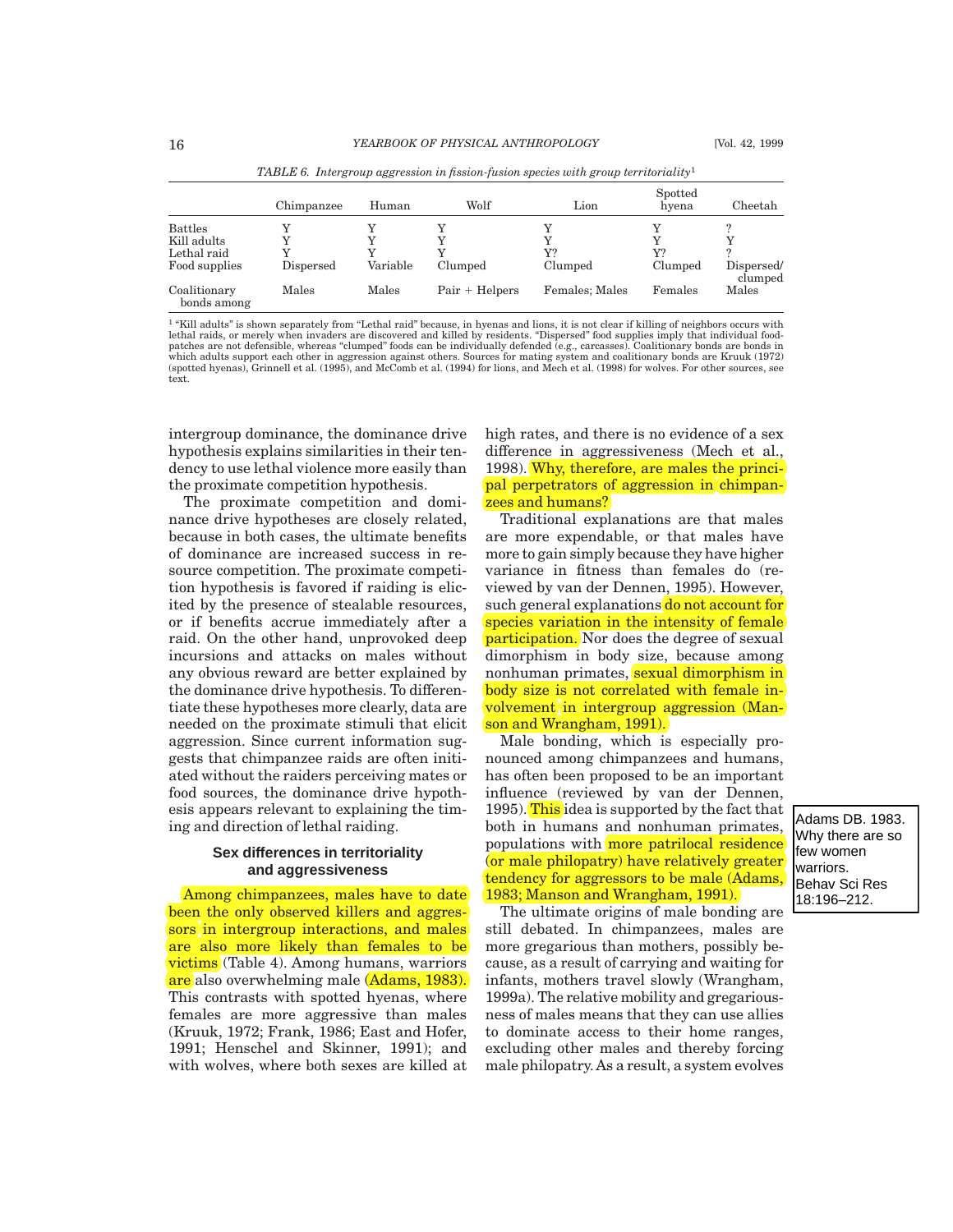|                             |            |          |                  |                | Spotted |                       |
|-----------------------------|------------|----------|------------------|----------------|---------|-----------------------|
|                             | Chimpanzee | Human    | Wolf             | Lion           | hyena   | Cheetah               |
| <b>Battles</b>              |            |          |                  |                |         |                       |
| Kill adults                 |            |          |                  |                |         |                       |
| Lethal raid                 |            |          |                  | Y?             | V?      |                       |
| Food supplies               | Dispersed  | Variable | Clumped          | Clumped        | Clumped | Dispersed/<br>clumped |
| Coalitionary<br>bonds among | Males      | Males    | $Pair + Helpers$ | Females; Males | Females | Males                 |

*TABLE 6. Intergroup aggression in fission-fusion species with group territoriality*<sup>1</sup>

<sup>1</sup> "Kill adults" is shown separately from "Lethal raid" because, in hyenas and lions, it is not clear if killing of neighbors occurs with<br>lethal raids, or merely when invaders are discovered and killed by residents. "Disp patches are not defensible, whereas ''clumped'' foods can be individually defended (e.g., carcasses). Coalitionary bonds are bonds in which adults support each other in aggression against others. Sources for mating system and coalitionary bonds are Kruuk (1972)<br>(spotted hyenas), Grinnell et al. (1995), and McComb et al. (1994) for lions, and Mech et al. text.

intergroup dominance, the dominance drive hypothesis explains similarities in their tendency to use lethal violence more easily than the proximate competition hypothesis.

The proximate competition and dominance drive hypotheses are closely related, because in both cases, the ultimate benefits of dominance are increased success in resource competition. The proximate competition hypothesis is favored if raiding is elicited by the presence of stealable resources, or if benefits accrue immediately after a raid. On the other hand, unprovoked deep incursions and attacks on males without any obvious reward are better explained by the dominance drive hypothesis. To differentiate these hypotheses more clearly, data are needed on the proximate stimuli that elicit aggression. Since current information suggests that chimpanzee raids are often initiated without the raiders perceiving mates or food sources, the dominance drive hypothesis appears relevant to explaining the timing and direction of lethal raiding.

# **Sex differences in territoriality and aggressiveness**

Among chimpanzees, males have to date been the only observed killers and aggressors in intergroup interactions, and males are also more likely than females to be victims (Table 4). Among humans, warriors are also overwhelming male (Adams, 1983). This contrasts with spotted hyenas, where females are more aggressive than males (Kruuk, 1972; Frank, 1986; East and Hofer, 1991; Henschel and Skinner, 1991); and with wolves, where both sexes are killed at

high rates, and there is no evidence of a sex difference in aggressiveness (Mech et al., 1998). Why, therefore, are males the principal perpetrators of aggression in chimpanzees and humans?

Traditional explanations are that males are more expendable, or that males have more to gain simply because they have higher variance in fitness than females do (reviewed by van der Dennen, 1995). However, such general explanations do not account for species variation in the intensity of female participation. Nor does the degree of sexual dimorphism in body size, because among nonhuman primates, sexual dimorphism in body size is not correlated with female in- $\sqrt{\text{volvement}}$  in intergroup aggression (Manson and Wrangham, 1991).

Male bonding, which is especially pronounced among chimpanzees and humans, has often been proposed to be an important influence (reviewed by van der Dennen, 1995). This idea is supported by the fact that both in humans and nonhuman primates, populations with more patrilocal residence (or male philopatry) have relatively greater tendency for aggressors to be male (Adams, 1983; Manson and Wrangham, 1991).

The ultimate origins of male bonding are still debated. In chimpanzees, males are more gregarious than mothers, possibly because, as a result of carrying and waiting for infants, mothers travel slowly (Wrangham, 1999a). The relative mobility and gregariousness of males means that they can use allies to dominate access to their home ranges, excluding other males and thereby forcing male philopatry.As a result, a system evolves

Adams DB. 1983. Why there are so few women warriors. Behav Sci Res 18:196–212.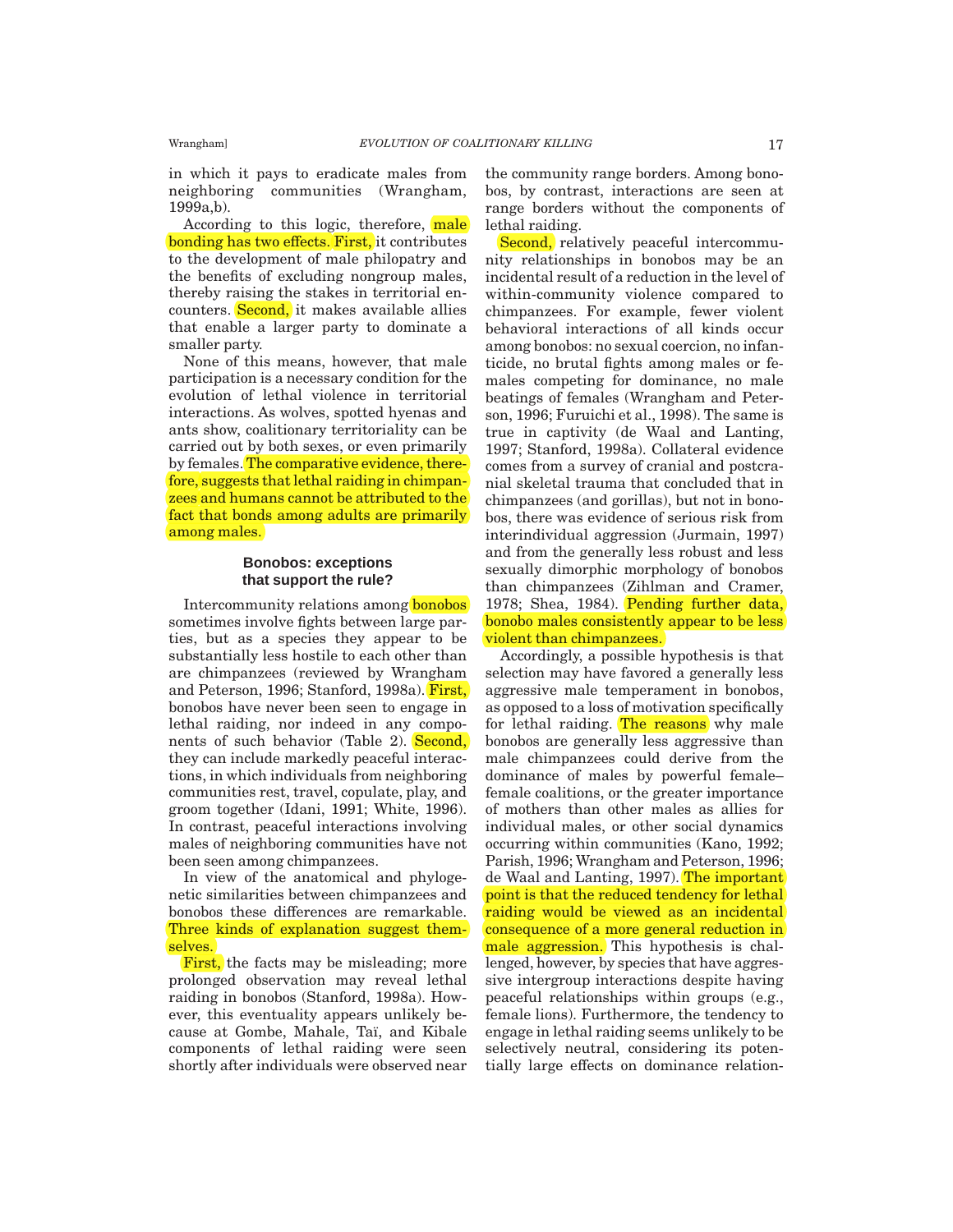in which it pays to eradicate males from neighboring communities (Wrangham, 1999a,b).

According to this logic, therefore, male bonding has two effects. First, it contributes to the development of male philopatry and the benefits of excluding nongroup males, thereby raising the stakes in territorial encounters. Second, it makes available allies that enable a larger party to dominate a smaller party.

None of this means, however, that male participation is a necessary condition for the evolution of lethal violence in territorial interactions. As wolves, spotted hyenas and ants show, coalitionary territoriality can be carried out by both sexes, or even primarily by females. The comparative evidence, therefore, suggests that lethal raiding in chimpanzees and humans cannot be attributed to the fact that bonds among adults are primarily among males.

# **Bonobos: exceptions that support the rule?**

Intercommunity relations among bonobos sometimes involve fights between large parties, but as a species they appear to be substantially less hostile to each other than are chimpanzees (reviewed by Wrangham and Peterson, 1996; Stanford, 1998a). First, bonobos have never been seen to engage in lethal raiding, nor indeed in any components of such behavior (Table 2). Second, they can include markedly peaceful interactions, in which individuals from neighboring communities rest, travel, copulate, play, and groom together (Idani, 1991; White, 1996). In contrast, peaceful interactions involving males of neighboring communities have not been seen among chimpanzees.

In view of the anatomical and phylogenetic similarities between chimpanzees and bonobos these differences are remarkable. Three kinds of explanation suggest themselves.

First, the facts may be misleading; more prolonged observation may reveal lethal raiding in bonobos (Stanford, 1998a). However, this eventuality appears unlikely because at Gombe, Mahale, Taï, and Kibale components of lethal raiding were seen shortly after individuals were observed near the community range borders. Among bonobos, by contrast, interactions are seen at range borders without the components of lethal raiding.

Second, relatively peaceful intercommunity relationships in bonobos may be an incidental result of a reduction in the level of within-community violence compared to chimpanzees. For example, fewer violent behavioral interactions of all kinds occur among bonobos: no sexual coercion, no infanticide, no brutal fights among males or females competing for dominance, no male beatings of females (Wrangham and Peterson, 1996; Furuichi et al., 1998). The same is true in captivity (de Waal and Lanting, 1997; Stanford, 1998a). Collateral evidence comes from a survey of cranial and postcranial skeletal trauma that concluded that in chimpanzees (and gorillas), but not in bonobos, there was evidence of serious risk from interindividual aggression (Jurmain, 1997) and from the generally less robust and less sexually dimorphic morphology of bonobos than chimpanzees (Zihlman and Cramer, 1978; Shea, 1984). Pending further data, bonobo males consistently appear to be less violent than chimpanzees.

Accordingly, a possible hypothesis is that selection may have favored a generally less aggressive male temperament in bonobos, as opposed to a loss of motivation specifically for lethal raiding. The reasons why male bonobos are generally less aggressive than male chimpanzees could derive from the dominance of males by powerful female– female coalitions, or the greater importance of mothers than other males as allies for individual males, or other social dynamics occurring within communities (Kano, 1992; Parish, 1996; Wrangham and Peterson, 1996; de Waal and Lanting, 1997). The important point is that the reduced tendency for lethal raiding would be viewed as an incidental consequence of a more general reduction in male aggression. This hypothesis is challenged, however, by species that have aggressive intergroup interactions despite having peaceful relationships within groups (e.g., female lions). Furthermore, the tendency to engage in lethal raiding seems unlikely to be selectively neutral, considering its potentially large effects on dominance relation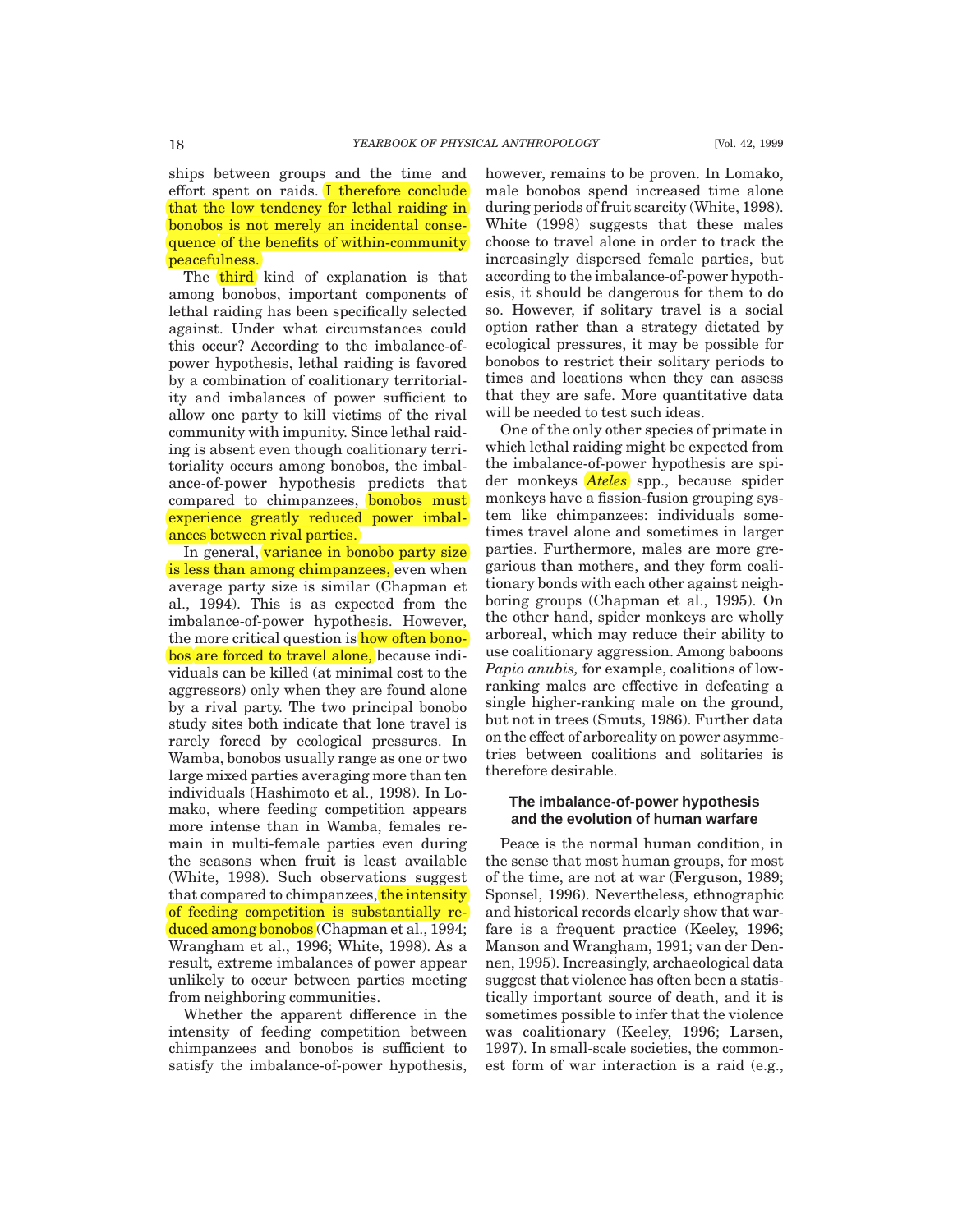ships between groups and the time and effort spent on raids. I therefore conclude that the low tendency for lethal raiding in bonobos is not merely an incidental consequence of the benefits of within-community peacefulness.

The third kind of explanation is that among bonobos, important components of lethal raiding has been specifically selected against. Under what circumstances could this occur? According to the imbalance-ofpower hypothesis, lethal raiding is favored by a combination of coalitionary territoriality and imbalances of power sufficient to allow one party to kill victims of the rival community with impunity. Since lethal raiding is absent even though coalitionary territoriality occurs among bonobos, the imbalance-of-power hypothesis predicts that compared to chimpanzees, bonobos must experience greatly reduced power imbalances between rival parties.

In general, variance in bonobo party size is less than among chimpanzees, even when average party size is similar (Chapman et al., 1994). This is as expected from the imbalance-of-power hypothesis. However, the more critical question is how often bonobos are forced to travel alone, because individuals can be killed (at minimal cost to the aggressors) only when they are found alone by a rival party. The two principal bonobo study sites both indicate that lone travel is rarely forced by ecological pressures. In Wamba, bonobos usually range as one or two large mixed parties averaging more than ten individuals (Hashimoto et al., 1998). In Lomako, where feeding competition appears more intense than in Wamba, females remain in multi-female parties even during the seasons when fruit is least available (White, 1998). Such observations suggest that compared to chimpanzees, the intensity of feeding competition is substantially reduced among bonobos (Chapman et al., 1994; Wrangham et al., 1996; White, 1998). As a result, extreme imbalances of power appear unlikely to occur between parties meeting from neighboring communities.

Whether the apparent difference in the intensity of feeding competition between chimpanzees and bonobos is sufficient to satisfy the imbalance-of-power hypothesis, however, remains to be proven. In Lomako, male bonobos spend increased time alone during periods of fruit scarcity (White, 1998). White (1998) suggests that these males choose to travel alone in order to track the increasingly dispersed female parties, but according to the imbalance-of-power hypothesis, it should be dangerous for them to do so. However, if solitary travel is a social option rather than a strategy dictated by ecological pressures, it may be possible for bonobos to restrict their solitary periods to times and locations when they can assess that they are safe. More quantitative data will be needed to test such ideas.

One of the only other species of primate in which lethal raiding might be expected from the imbalance-of-power hypothesis are spider monkeys *Ateles* spp., because spider monkeys have a fission-fusion grouping system like chimpanzees: individuals sometimes travel alone and sometimes in larger parties. Furthermore, males are more gregarious than mothers, and they form coalitionary bonds with each other against neighboring groups (Chapman et al., 1995). On the other hand, spider monkeys are wholly arboreal, which may reduce their ability to use coalitionary aggression. Among baboons *Papio anubis,* for example, coalitions of lowranking males are effective in defeating a single higher-ranking male on the ground, but not in trees (Smuts, 1986). Further data on the effect of arboreality on power asymmetries between coalitions and solitaries is therefore desirable.

# **The imbalance-of-power hypothesis and the evolution of human warfare**

Peace is the normal human condition, in the sense that most human groups, for most of the time, are not at war (Ferguson, 1989; Sponsel, 1996). Nevertheless, ethnographic and historical records clearly show that warfare is a frequent practice (Keeley, 1996; Manson and Wrangham, 1991; van der Dennen, 1995). Increasingly, archaeological data suggest that violence has often been a statistically important source of death, and it is sometimes possible to infer that the violence was coalitionary (Keeley, 1996; Larsen, 1997). In small-scale societies, the commonest form of war interaction is a raid (e.g.,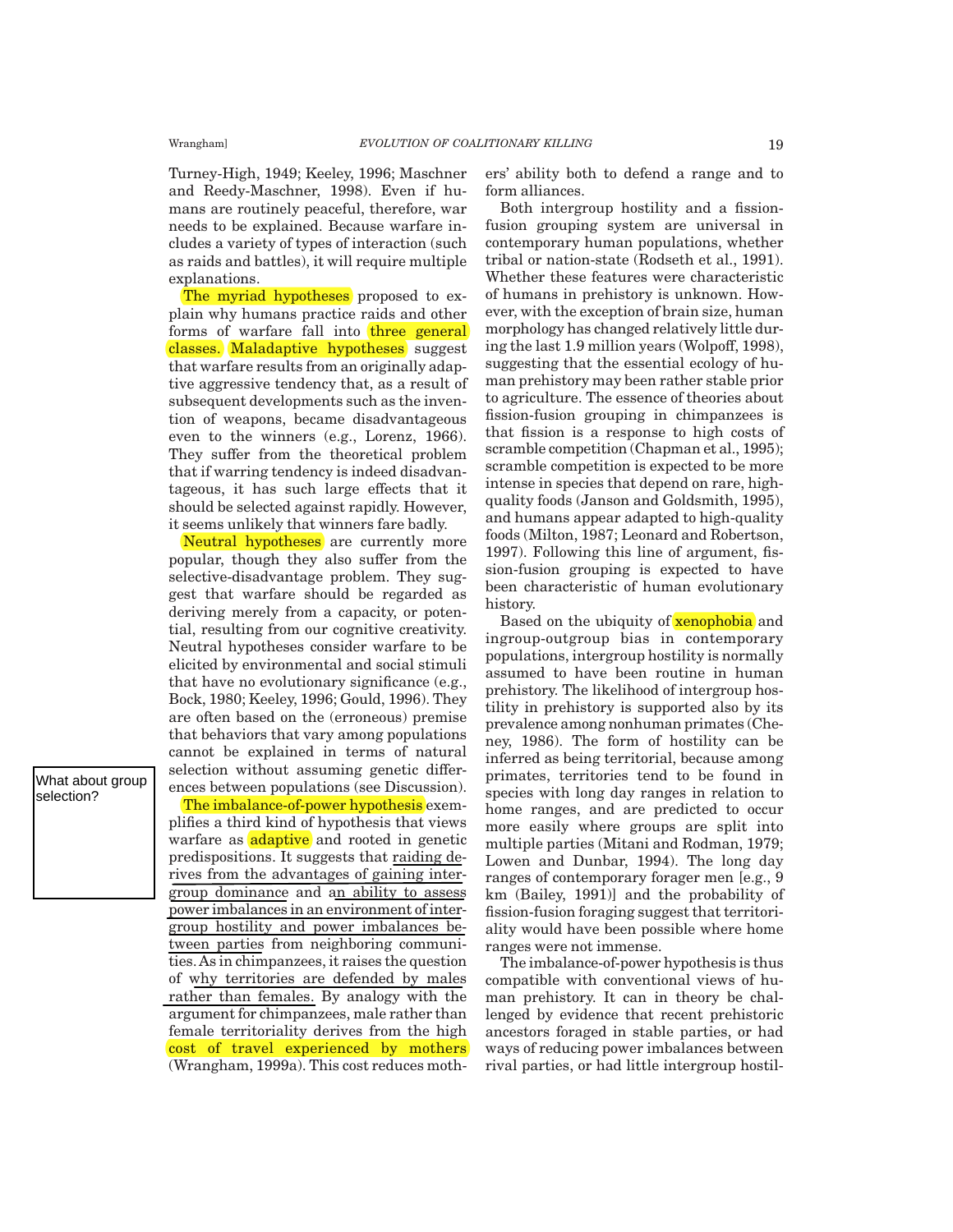Turney-High, 1949; Keeley, 1996; Maschner and Reedy-Maschner, 1998). Even if humans are routinely peaceful, therefore, war needs to be explained. Because warfare includes a variety of types of interaction (such as raids and battles), it will require multiple explanations.

The myriad hypotheses proposed to explain why humans practice raids and other forms of warfare fall into three general classes. Maladaptive hypotheses suggest that warfare results from an originally adaptive aggressive tendency that, as a result of subsequent developments such as the invention of weapons, became disadvantageous even to the winners (e.g., Lorenz, 1966). They suffer from the theoretical problem that if warring tendency is indeed disadvantageous, it has such large effects that it should be selected against rapidly. However, it seems unlikely that winners fare badly.

Neutral hypotheses are currently more popular, though they also suffer from the selective-disadvantage problem. They suggest that warfare should be regarded as deriving merely from a capacity, or potential, resulting from our cognitive creativity. Neutral hypotheses consider warfare to be elicited by environmental and social stimuli that have no evolutionary significance (e.g., Bock, 1980; Keeley, 1996; Gould, 1996). They are often based on the (erroneous) premise that behaviors that vary among populations cannot be explained in terms of natural selection without assuming genetic differences between populations (see Discussion).

What about group selection?

The imbalance-of-power hypothesis exemplifies a third kind of hypothesis that views warfare as adaptive and rooted in genetic predispositions. It suggests that raiding derives from the advantages of gaining intergroup dominance and an ability to assess power imbalances in an environment of intergroup hostility and power imbalances between parties from neighboring communities.As in chimpanzees, it raises the question of why territories are defended by males rather than females. By analogy with the argument for chimpanzees, male rather than female territoriality derives from the high cost of travel experienced by mothers (Wrangham, 1999a). This cost reduces mothers' ability both to defend a range and to form alliances.

Both intergroup hostility and a fissionfusion grouping system are universal in contemporary human populations, whether tribal or nation-state (Rodseth et al., 1991). Whether these features were characteristic of humans in prehistory is unknown. However, with the exception of brain size, human morphology has changed relatively little during the last 1.9 million years (Wolpoff, 1998), suggesting that the essential ecology of human prehistory may been rather stable prior to agriculture. The essence of theories about fission-fusion grouping in chimpanzees is that fission is a response to high costs of scramble competition (Chapman et al., 1995); scramble competition is expected to be more intense in species that depend on rare, highquality foods (Janson and Goldsmith, 1995), and humans appear adapted to high-quality foods (Milton, 1987; Leonard and Robertson, 1997). Following this line of argument, fission-fusion grouping is expected to have been characteristic of human evolutionary history.

Based on the ubiquity of xenophobia and ingroup-outgroup bias in contemporary populations, intergroup hostility is normally assumed to have been routine in human prehistory. The likelihood of intergroup hostility in prehistory is supported also by its prevalence among nonhuman primates (Cheney, 1986). The form of hostility can be inferred as being territorial, because among primates, territories tend to be found in species with long day ranges in relation to home ranges, and are predicted to occur more easily where groups are split into multiple parties (Mitani and Rodman, 1979; Lowen and Dunbar, 1994). The long day ranges of contemporary forager men [e.g., 9 km (Bailey, 1991)] and the probability of fission-fusion foraging suggest that territoriality would have been possible where home ranges were not immense.

The imbalance-of-power hypothesis is thus compatible with conventional views of human prehistory. It can in theory be challenged by evidence that recent prehistoric ancestors foraged in stable parties, or had ways of reducing power imbalances between rival parties, or had little intergroup hostil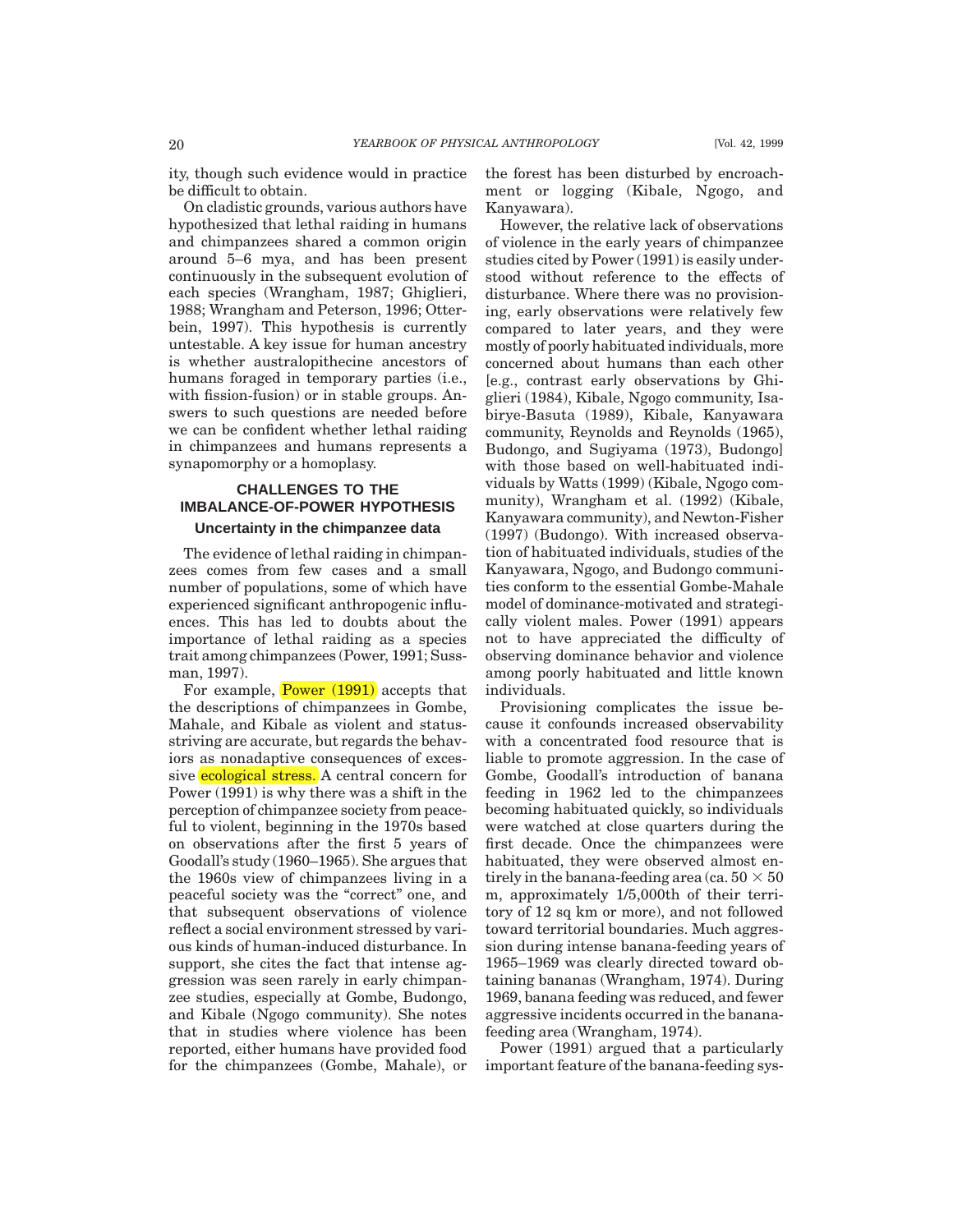ity, though such evidence would in practice be difficult to obtain.

On cladistic grounds, various authors have hypothesized that lethal raiding in humans and chimpanzees shared a common origin around 5–6 mya, and has been present continuously in the subsequent evolution of each species (Wrangham, 1987; Ghiglieri, 1988; Wrangham and Peterson, 1996; Otterbein, 1997). This hypothesis is currently untestable. A key issue for human ancestry is whether australopithecine ancestors of humans foraged in temporary parties (i.e., with fission-fusion) or in stable groups. Answers to such questions are needed before we can be confident whether lethal raiding in chimpanzees and humans represents a synapomorphy or a homoplasy.

# **CHALLENGES TO THE IMBALANCE-OF-POWER HYPOTHESIS Uncertainty in the chimpanzee data**

The evidence of lethal raiding in chimpanzees comes from few cases and a small number of populations, some of which have experienced significant anthropogenic influences. This has led to doubts about the importance of lethal raiding as a species trait among chimpanzees (Power, 1991; Sussman, 1997).

For example, Power (1991) accepts that the descriptions of chimpanzees in Gombe, Mahale, and Kibale as violent and statusstriving are accurate, but regards the behaviors as nonadaptive consequences of excessive ecological stress. A central concern for Power (1991) is why there was a shift in the perception of chimpanzee society from peaceful to violent, beginning in the 1970s based on observations after the first 5 years of Goodall's study (1960–1965). She argues that the 1960s view of chimpanzees living in a peaceful society was the "correct" one, and that subsequent observations of violence reflect a social environment stressed by various kinds of human-induced disturbance. In support, she cites the fact that intense aggression was seen rarely in early chimpanzee studies, especially at Gombe, Budongo, and Kibale (Ngogo community). She notes that in studies where violence has been reported, either humans have provided food for the chimpanzees (Gombe, Mahale), or

the forest has been disturbed by encroachment or logging (Kibale, Ngogo, and Kanyawara).

However, the relative lack of observations of violence in the early years of chimpanzee studies cited by Power (1991) is easily understood without reference to the effects of disturbance. Where there was no provisioning, early observations were relatively few compared to later years, and they were mostly of poorly habituated individuals, more concerned about humans than each other [e.g., contrast early observations by Ghiglieri (1984), Kibale, Ngogo community, Isabirye-Basuta (1989), Kibale, Kanyawara community, Reynolds and Reynolds (1965), Budongo, and Sugiyama (1973), Budongo] with those based on well-habituated individuals by Watts (1999) (Kibale, Ngogo community), Wrangham et al. (1992) (Kibale, Kanyawara community), and Newton-Fisher (1997) (Budongo). With increased observation of habituated individuals, studies of the Kanyawara, Ngogo, and Budongo communities conform to the essential Gombe-Mahale model of dominance-motivated and strategically violent males. Power (1991) appears not to have appreciated the difficulty of observing dominance behavior and violence among poorly habituated and little known individuals.

Provisioning complicates the issue because it confounds increased observability with a concentrated food resource that is liable to promote aggression. In the case of Gombe, Goodall's introduction of banana feeding in 1962 led to the chimpanzees becoming habituated quickly, so individuals were watched at close quarters during the first decade. Once the chimpanzees were habituated, they were observed almost entirely in the banana-feeding area (ca.  $50 \times 50$ m, approximately 1/5,000th of their territory of 12 sq km or more), and not followed toward territorial boundaries. Much aggression during intense banana-feeding years of 1965–1969 was clearly directed toward obtaining bananas (Wrangham, 1974). During 1969, banana feeding was reduced, and fewer aggressive incidents occurred in the bananafeeding area (Wrangham, 1974).

Power (1991) argued that a particularly important feature of the banana-feeding sys-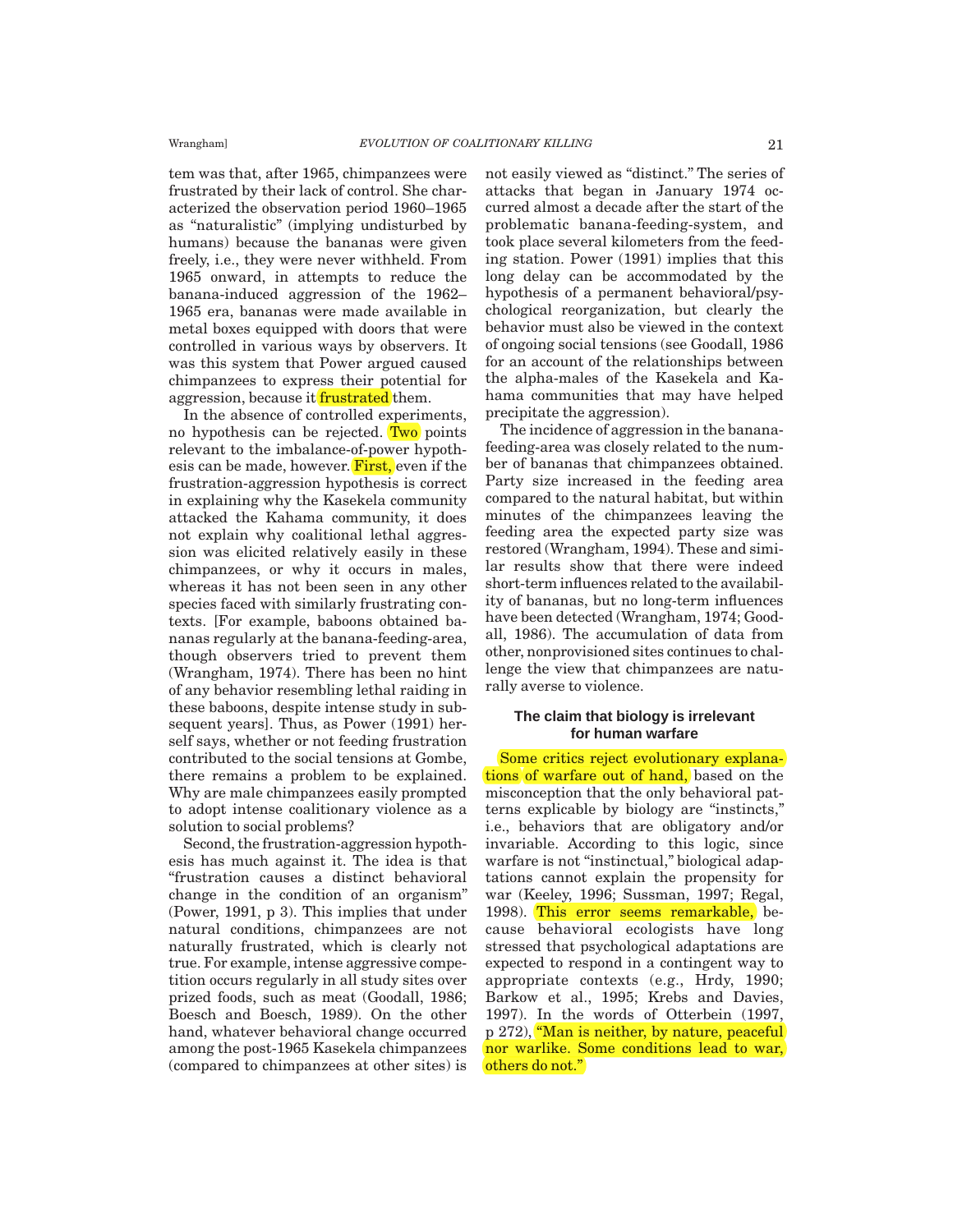tem was that, after 1965, chimpanzees were frustrated by their lack of control. She characterized the observation period 1960–1965 as ''naturalistic'' (implying undisturbed by humans) because the bananas were given freely, i.e., they were never withheld. From 1965 onward, in attempts to reduce the banana-induced aggression of the 1962– 1965 era, bananas were made available in metal boxes equipped with doors that were controlled in various ways by observers. It was this system that Power argued caused chimpanzees to express their potential for aggression, because it frustrated them.

In the absence of controlled experiments, no hypothesis can be rejected. Two points relevant to the imbalance-of-power hypothesis can be made, however. First, even if the frustration-aggression hypothesis is correct in explaining why the Kasekela community attacked the Kahama community, it does not explain why coalitional lethal aggression was elicited relatively easily in these chimpanzees, or why it occurs in males, whereas it has not been seen in any other species faced with similarly frustrating contexts. [For example, baboons obtained bananas regularly at the banana-feeding-area, though observers tried to prevent them (Wrangham, 1974). There has been no hint of any behavior resembling lethal raiding in these baboons, despite intense study in subsequent years]. Thus, as Power (1991) herself says, whether or not feeding frustration contributed to the social tensions at Gombe, there remains a problem to be explained. Why are male chimpanzees easily prompted to adopt intense coalitionary violence as a solution to social problems?

Second, the frustration-aggression hypothesis has much against it. The idea is that ''frustration causes a distinct behavioral change in the condition of an organism'' (Power, 1991, p 3). This implies that under natural conditions, chimpanzees are not naturally frustrated, which is clearly not true. For example, intense aggressive competition occurs regularly in all study sites over prized foods, such as meat (Goodall, 1986; Boesch and Boesch, 1989). On the other hand, whatever behavioral change occurred among the post-1965 Kasekela chimpanzees (compared to chimpanzees at other sites) is not easily viewed as ''distinct.'' The series of attacks that began in January 1974 occurred almost a decade after the start of the problematic banana-feeding-system, and took place several kilometers from the feeding station. Power (1991) implies that this long delay can be accommodated by the hypothesis of a permanent behavioral/psychological reorganization, but clearly the behavior must also be viewed in the context of ongoing social tensions (see Goodall, 1986 for an account of the relationships between the alpha-males of the Kasekela and Kahama communities that may have helped precipitate the aggression).

The incidence of aggression in the bananafeeding-area was closely related to the number of bananas that chimpanzees obtained. Party size increased in the feeding area compared to the natural habitat, but within minutes of the chimpanzees leaving the feeding area the expected party size was restored (Wrangham, 1994). These and similar results show that there were indeed short-term influences related to the availability of bananas, but no long-term influences have been detected (Wrangham, 1974; Goodall, 1986). The accumulation of data from other, nonprovisioned sites continues to challenge the view that chimpanzees are naturally averse to violence.

# **The claim that biology is irrelevant for human warfare**

Some critics reject evolutionary explanations of warfare out of hand, based on the misconception that the only behavioral patterns explicable by biology are ''instincts,'' i.e., behaviors that are obligatory and/or invariable. According to this logic, since warfare is not "instinctual," biological adaptations cannot explain the propensity for war (Keeley, 1996; Sussman, 1997; Regal, 1998). This error seems remarkable, because behavioral ecologists have long stressed that psychological adaptations are expected to respond in a contingent way to appropriate contexts (e.g., Hrdy, 1990; Barkow et al., 1995; Krebs and Davies, 1997). In the words of Otterbein (1997, p 272), ''Man is neither, by nature, peaceful nor warlike. Some conditions lead to war, others do not.''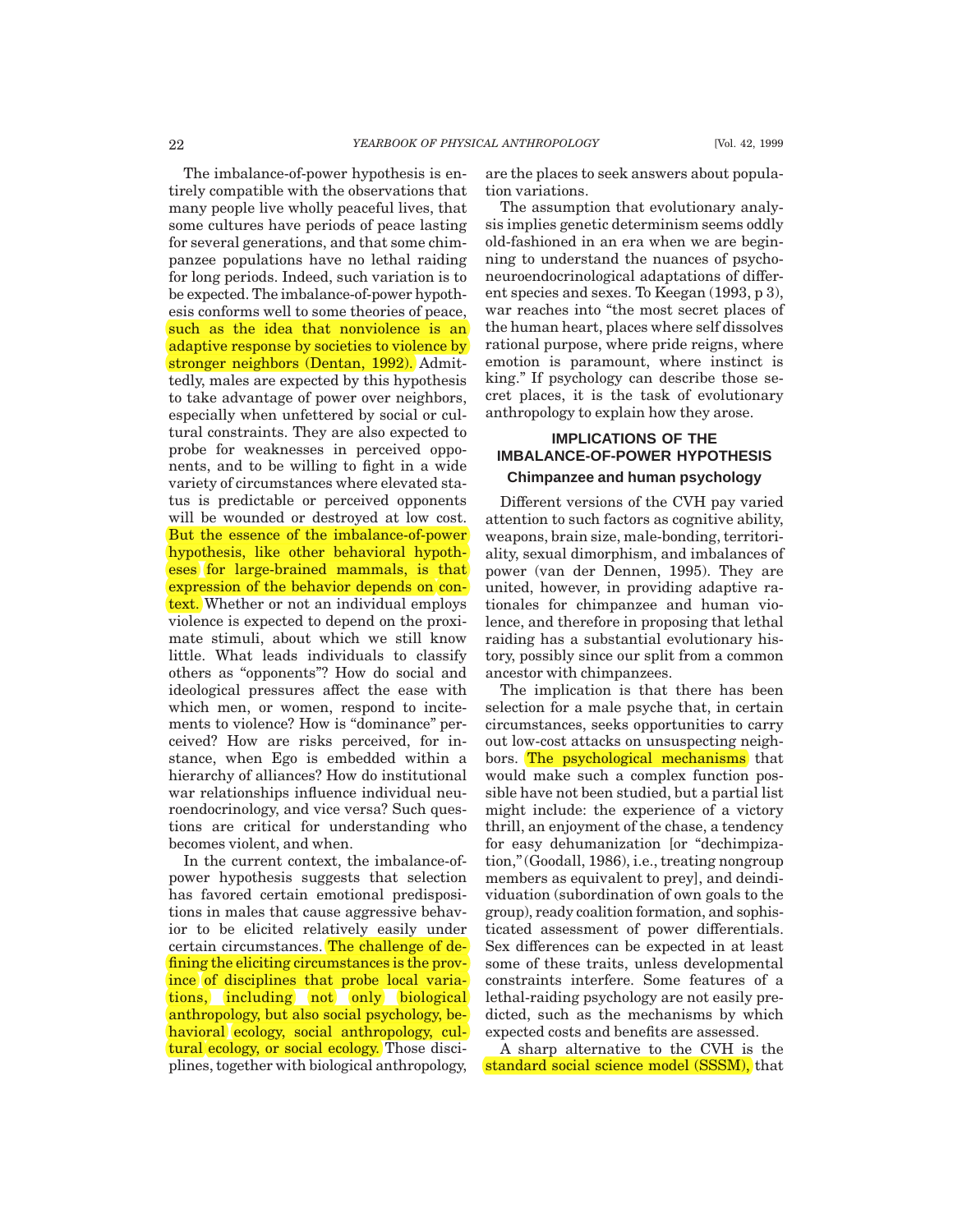The imbalance-of-power hypothesis is entirely compatible with the observations that many people live wholly peaceful lives, that some cultures have periods of peace lasting for several generations, and that some chimpanzee populations have no lethal raiding for long periods. Indeed, such variation is to be expected. The imbalance-of-power hypothesis conforms well to some theories of peace, such as the idea that nonviolence is an adaptive response by societies to violence by stronger neighbors (Dentan, 1992). Admittedly, males are expected by this hypothesis to take advantage of power over neighbors, especially when unfettered by social or cultural constraints. They are also expected to probe for weaknesses in perceived opponents, and to be willing to fight in a wide variety of circumstances where elevated status is predictable or perceived opponents will be wounded or destroyed at low cost. But the essence of the imbalance-of-power hypothesis, like other behavioral hypotheses for large-brained mammals, is that expression of the behavior depends on context. Whether or not an individual employs violence is expected to depend on the proximate stimuli, about which we still know little. What leads individuals to classify others as ''opponents''? How do social and ideological pressures affect the ease with which men, or women, respond to incitements to violence? How is "dominance" perceived? How are risks perceived, for instance, when Ego is embedded within a hierarchy of alliances? How do institutional war relationships influence individual neuroendocrinology, and vice versa? Such questions are critical for understanding who becomes violent, and when.

In the current context, the imbalance-ofpower hypothesis suggests that selection has favored certain emotional predispositions in males that cause aggressive behavior to be elicited relatively easily under certain circumstances. The challenge of defining the eliciting circumstances is the prov- $\langle$ ince $\rangle$  of disciplines that probe local variations, (including (not) (only biological anthropology, but also social psychology, behavioral ecology, social anthropology, cultural ecology, or social ecology. Those disciplines, together with biological anthropology, are the places to seek answers about population variations.

The assumption that evolutionary analysis implies genetic determinism seems oddly old-fashioned in an era when we are beginning to understand the nuances of psychoneuroendocrinological adaptations of different species and sexes. To Keegan (1993, p 3), war reaches into "the most secret places of the human heart, places where self dissolves rational purpose, where pride reigns, where emotion is paramount, where instinct is king.'' If psychology can describe those secret places, it is the task of evolutionary anthropology to explain how they arose.

# **IMPLICATIONS OF THE IMBALANCE-OF-POWER HYPOTHESIS Chimpanzee and human psychology**

Different versions of the CVH pay varied attention to such factors as cognitive ability, weapons, brain size, male-bonding, territoriality, sexual dimorphism, and imbalances of power (van der Dennen, 1995). They are united, however, in providing adaptive rationales for chimpanzee and human violence, and therefore in proposing that lethal raiding has a substantial evolutionary history, possibly since our split from a common ancestor with chimpanzees.

The implication is that there has been selection for a male psyche that, in certain circumstances, seeks opportunities to carry out low-cost attacks on unsuspecting neighbors. The psychological mechanisms that would make such a complex function possible have not been studied, but a partial list might include: the experience of a victory thrill, an enjoyment of the chase, a tendency for easy dehumanization [or "dechimpization,'' (Goodall, 1986), i.e., treating nongroup members as equivalent to prey], and deindividuation (subordination of own goals to the group), ready coalition formation, and sophisticated assessment of power differentials. Sex differences can be expected in at least some of these traits, unless developmental constraints interfere. Some features of a lethal-raiding psychology are not easily predicted, such as the mechanisms by which expected costs and benefits are assessed.

A sharp alternative to the CVH is the standard social science model (SSSM), that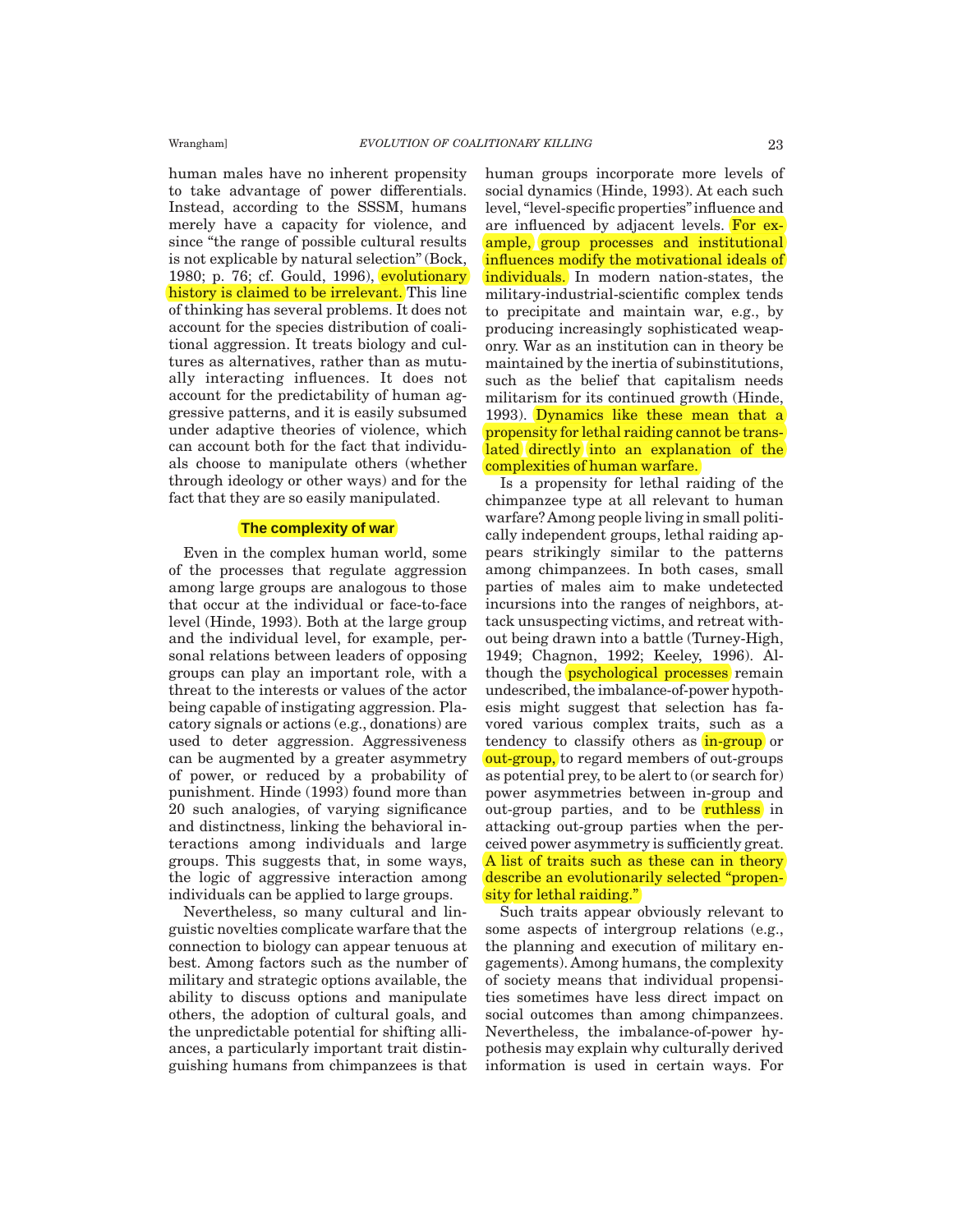human males have no inherent propensity to take advantage of power differentials. Instead, according to the SSSM, humans merely have a capacity for violence, and since ''the range of possible cultural results is not explicable by natural selection'' (Bock, 1980; p. 76; cf. Gould, 1996), evolutionary history is claimed to be irrelevant. This line of thinking has several problems. It does not account for the species distribution of coalitional aggression. It treats biology and cultures as alternatives, rather than as mutually interacting influences. It does not account for the predictability of human aggressive patterns, and it is easily subsumed under adaptive theories of violence, which can account both for the fact that individuals choose to manipulate others (whether through ideology or other ways) and for the fact that they are so easily manipulated.

### **The complexity of war**

Even in the complex human world, some of the processes that regulate aggression among large groups are analogous to those that occur at the individual or face-to-face level (Hinde, 1993). Both at the large group and the individual level, for example, personal relations between leaders of opposing groups can play an important role, with a threat to the interests or values of the actor being capable of instigating aggression. Placatory signals or actions (e.g., donations) are used to deter aggression. Aggressiveness can be augmented by a greater asymmetry of power, or reduced by a probability of punishment. Hinde (1993) found more than 20 such analogies, of varying significance and distinctness, linking the behavioral interactions among individuals and large groups. This suggests that, in some ways, the logic of aggressive interaction among individuals can be applied to large groups.

Nevertheless, so many cultural and linguistic novelties complicate warfare that the connection to biology can appear tenuous at best. Among factors such as the number of military and strategic options available, the ability to discuss options and manipulate others, the adoption of cultural goals, and the unpredictable potential for shifting alliances, a particularly important trait distinguishing humans from chimpanzees is that

human groups incorporate more levels of social dynamics (Hinde, 1993). At each such level, "level-specific properties" influence and are influenced by adjacent levels. For ex $ample,$  group processes and institutional influences modify the motivational ideals of individuals. In modern nation-states, the military-industrial-scientific complex tends to precipitate and maintain war, e.g., by producing increasingly sophisticated weaponry. War as an institution can in theory be maintained by the inertia of subinstitutions, such as the belief that capitalism needs militarism for its continued growth (Hinde, 1993). Dynamics like these mean that a propensity for lethal raiding cannot be translated directly into an explanation of the complexities of human warfare.

Is a propensity for lethal raiding of the chimpanzee type at all relevant to human warfare? Among people living in small politically independent groups, lethal raiding appears strikingly similar to the patterns among chimpanzees. In both cases, small parties of males aim to make undetected incursions into the ranges of neighbors, attack unsuspecting victims, and retreat without being drawn into a battle (Turney-High, 1949; Chagnon, 1992; Keeley, 1996). Although the psychological processes remain undescribed, the imbalance-of-power hypothesis might suggest that selection has favored various complex traits, such as a tendency to classify others as  $(in-group)$  or out-group, to regard members of out-groups as potential prey, to be alert to (or search for) power asymmetries between in-group and out-group parties, and to be ruthless in attacking out-group parties when the perceived power asymmetry is sufficiently great. A list of traits such as these can in theory describe an evolutionarily selected ''propensity for lethal raiding."

Such traits appear obviously relevant to some aspects of intergroup relations (e.g., the planning and execution of military engagements). Among humans, the complexity of society means that individual propensities sometimes have less direct impact on social outcomes than among chimpanzees. Nevertheless, the imbalance-of-power hypothesis may explain why culturally derived information is used in certain ways. For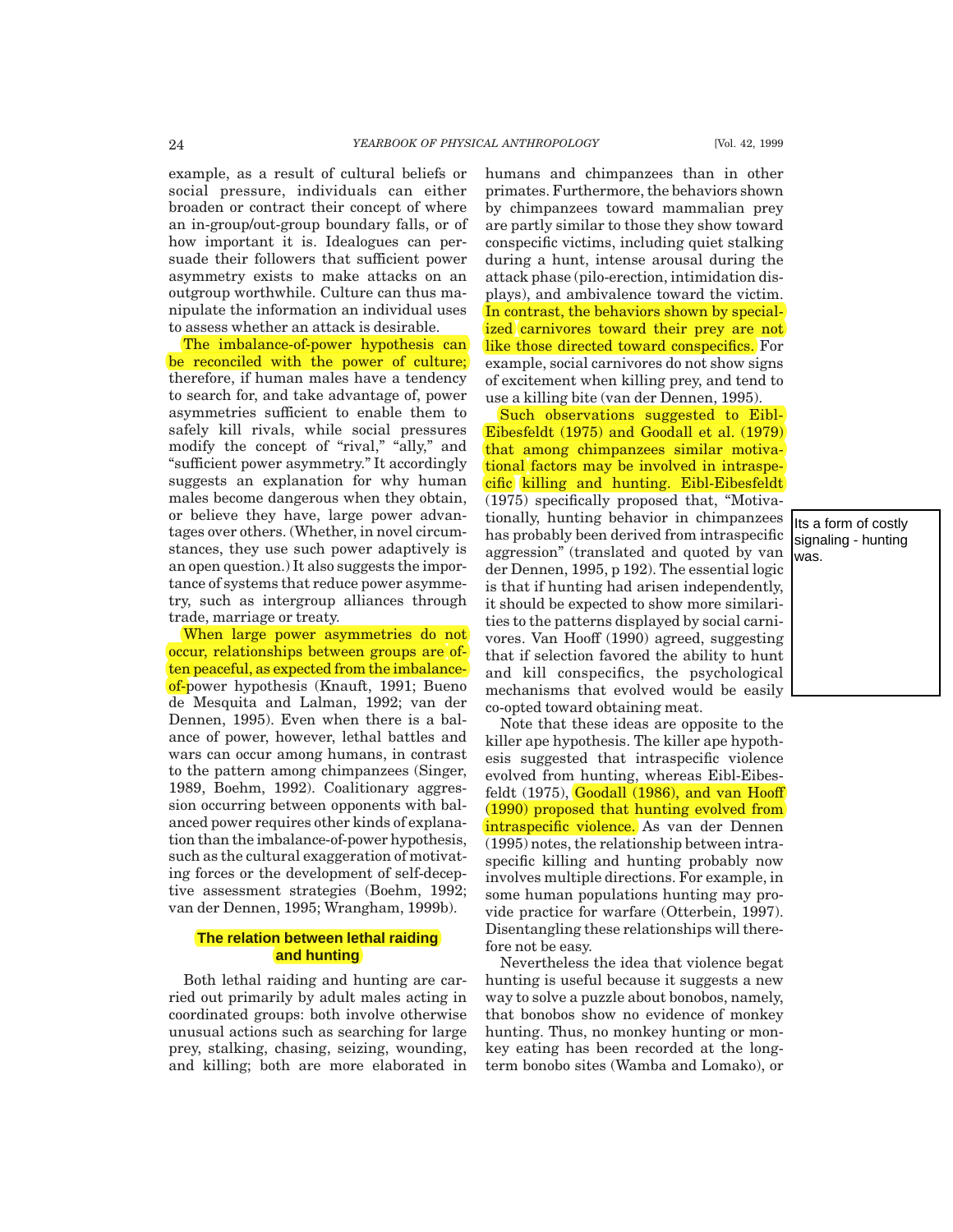example, as a result of cultural beliefs or social pressure, individuals can either broaden or contract their concept of where an in-group/out-group boundary falls, or of how important it is. Idealogues can persuade their followers that sufficient power asymmetry exists to make attacks on an outgroup worthwhile. Culture can thus manipulate the information an individual uses to assess whether an attack is desirable.

The imbalance-of-power hypothesis can be reconciled with the power of culture; therefore, if human males have a tendency to search for, and take advantage of, power asymmetries sufficient to enable them to safely kill rivals, while social pressures modify the concept of "rival," "ally," and ''sufficient power asymmetry.'' It accordingly suggests an explanation for why human males become dangerous when they obtain, or believe they have, large power advantages over others. (Whether, in novel circumstances, they use such power adaptively is an open question.) It also suggests the importance of systems that reduce power asymmetry, such as intergroup alliances through trade, marriage or treaty.

When large power asymmetries do not  $\alpha$  occur, relationships between groups are often peaceful, as expected from the imbalanceof-power hypothesis (Knauft, 1991; Bueno de Mesquita and Lalman, 1992; van der Dennen, 1995). Even when there is a balance of power, however, lethal battles and wars can occur among humans, in contrast to the pattern among chimpanzees (Singer, 1989, Boehm, 1992). Coalitionary aggression occurring between opponents with balanced power requires other kinds of explanation than the imbalance-of-power hypothesis, such as the cultural exaggeration of motivating forces or the development of self-deceptive assessment strategies (Boehm, 1992; van der Dennen, 1995; Wrangham, 1999b).

# **The relation between lethal raiding and hunting**

Both lethal raiding and hunting are carried out primarily by adult males acting in coordinated groups: both involve otherwise unusual actions such as searching for large prey, stalking, chasing, seizing, wounding, and killing; both are more elaborated in humans and chimpanzees than in other primates. Furthermore, the behaviors shown by chimpanzees toward mammalian prey are partly similar to those they show toward conspecific victims, including quiet stalking during a hunt, intense arousal during the attack phase (pilo-erection, intimidation displays), and ambivalence toward the victim. In contrast, the behaviors shown by specialized carnivores toward their prey are not like those directed toward conspecifics. For example, social carnivores do not show signs of excitement when killing prey, and tend to use a killing bite (van der Dennen, 1995).

Such observations suggested to Eibl-Eibesfeldt (1975) and Goodall et al. (1979) that among chimpanzees similar motivational factors may be involved in intraspe- $(cific)$  killing and hunting. Eibl-Eibesfeldt (1975) specifically proposed that, ''Motivationally, hunting behavior in chimpanzees has probably been derived from intraspecific aggression'' (translated and quoted by van der Dennen, 1995, p 192). The essential logic is that if hunting had arisen independently, it should be expected to show more similarities to the patterns displayed by social carnivores. Van Hooff (1990) agreed, suggesting that if selection favored the ability to hunt and kill conspecifics, the psychological mechanisms that evolved would be easily co-opted toward obtaining meat.

Note that these ideas are opposite to the killer ape hypothesis. The killer ape hypothesis suggested that intraspecific violence evolved from hunting, whereas Eibl-Eibesfeldt (1975), Goodall (1986), and van Hooff (1990) proposed that hunting evolved from intraspecific violence. As van der Dennen (1995) notes, the relationship between intraspecific killing and hunting probably now involves multiple directions. For example, in some human populations hunting may provide practice for warfare (Otterbein, 1997). Disentangling these relationships will therefore not be easy.

Nevertheless the idea that violence begat hunting is useful because it suggests a new way to solve a puzzle about bonobos, namely, that bonobos show no evidence of monkey hunting. Thus, no monkey hunting or monkey eating has been recorded at the longterm bonobo sites (Wamba and Lomako), or

Its a form of costly signaling - hunting was.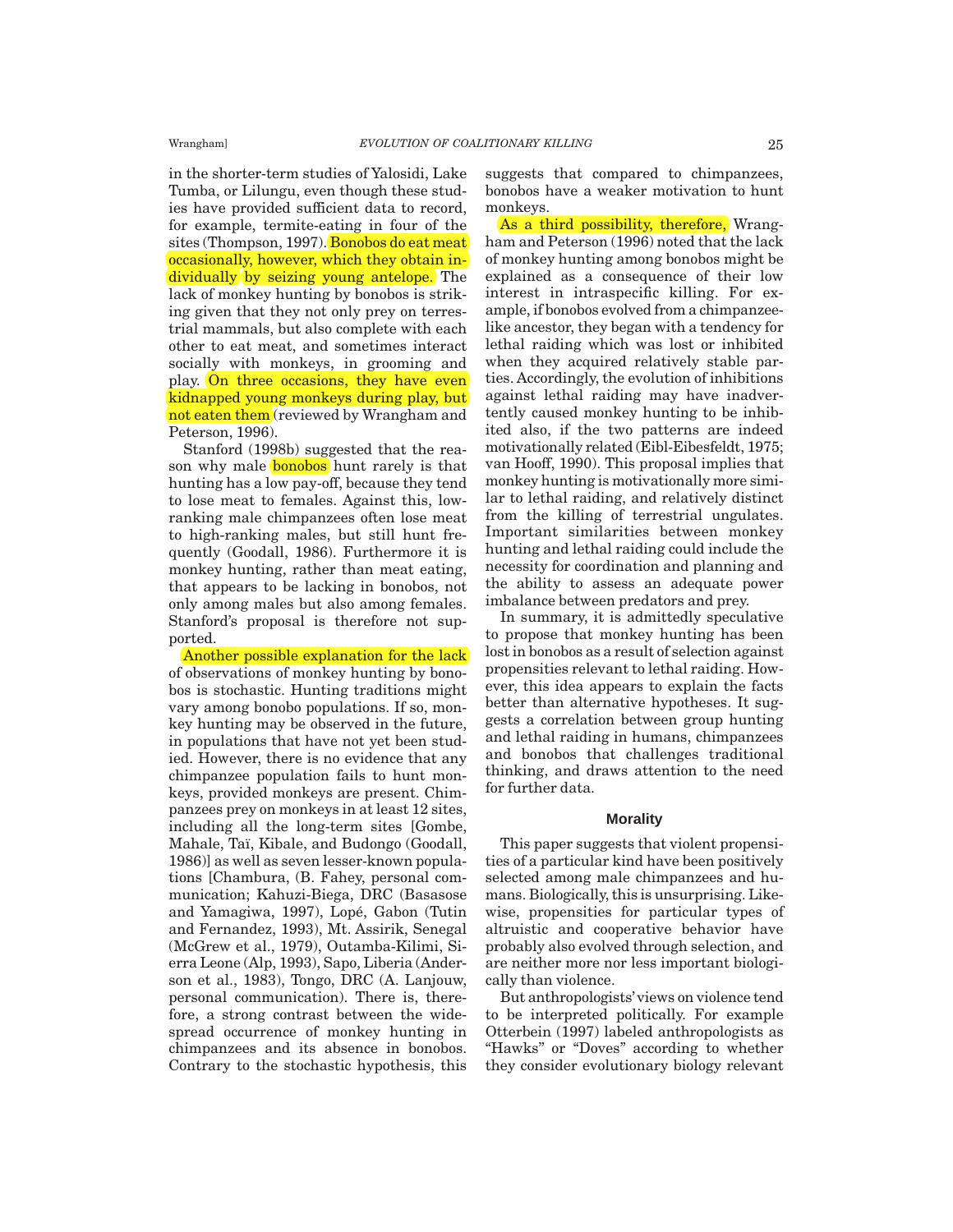in the shorter-term studies of Yalosidi, Lake Tumba, or Lilungu, even though these studies have provided sufficient data to record, for example, termite-eating in four of the sites (Thompson, 1997). Bonobos do eat meat occasionally, however, which they obtain in $dividually$  by seizing young antelope. The lack of monkey hunting by bonobos is striking given that they not only prey on terrestrial mammals, but also complete with each other to eat meat, and sometimes interact socially with monkeys, in grooming and play. On three occasions, they have even kidnapped young monkeys during play, but not eaten them (reviewed by Wrangham and Peterson, 1996).

Stanford (1998b) suggested that the reason why male bonobos hunt rarely is that hunting has a low pay-off, because they tend to lose meat to females. Against this, lowranking male chimpanzees often lose meat to high-ranking males, but still hunt frequently (Goodall, 1986). Furthermore it is monkey hunting, rather than meat eating, that appears to be lacking in bonobos, not only among males but also among females. Stanford's proposal is therefore not supported.

Another possible explanation for the lack of observations of monkey hunting by bonobos is stochastic. Hunting traditions might vary among bonobo populations. If so, monkey hunting may be observed in the future, in populations that have not yet been studied. However, there is no evidence that any chimpanzee population fails to hunt monkeys, provided monkeys are present. Chimpanzees prey on monkeys in at least 12 sites, including all the long-term sites [Gombe, Mahale, Taï, Kibale, and Budongo (Goodall, 1986)] as well as seven lesser-known populations [Chambura, (B. Fahey, personal communication; Kahuzi-Biega, DRC (Basasose and Yamagiwa, 1997), Lopé, Gabon (Tutin and Fernandez, 1993), Mt. Assirik, Senegal (McGrew et al., 1979), Outamba-Kilimi, Sierra Leone (Alp, 1993), Sapo, Liberia (Anderson et al., 1983), Tongo, DRC (A. Lanjouw, personal communication). There is, therefore, a strong contrast between the widespread occurrence of monkey hunting in chimpanzees and its absence in bonobos. Contrary to the stochastic hypothesis, this

suggests that compared to chimpanzees, bonobos have a weaker motivation to hunt monkeys.

As a third possibility, therefore, Wrangham and Peterson (1996) noted that the lack of monkey hunting among bonobos might be explained as a consequence of their low interest in intraspecific killing. For example, if bonobos evolved from a chimpanzeelike ancestor, they began with a tendency for lethal raiding which was lost or inhibited when they acquired relatively stable parties. Accordingly, the evolution of inhibitions against lethal raiding may have inadvertently caused monkey hunting to be inhibited also, if the two patterns are indeed motivationally related (Eibl-Eibesfeldt, 1975; van Hooff, 1990). This proposal implies that monkey hunting is motivationally more similar to lethal raiding, and relatively distinct from the killing of terrestrial ungulates. Important similarities between monkey hunting and lethal raiding could include the necessity for coordination and planning and the ability to assess an adequate power imbalance between predators and prey.

In summary, it is admittedly speculative to propose that monkey hunting has been lost in bonobos as a result of selection against propensities relevant to lethal raiding. However, this idea appears to explain the facts better than alternative hypotheses. It suggests a correlation between group hunting and lethal raiding in humans, chimpanzees and bonobos that challenges traditional thinking, and draws attention to the need for further data.

#### **Morality**

This paper suggests that violent propensities of a particular kind have been positively selected among male chimpanzees and humans. Biologically, this is unsurprising. Likewise, propensities for particular types of altruistic and cooperative behavior have probably also evolved through selection, and are neither more nor less important biologically than violence.

But anthropologists'views on violence tend to be interpreted politically. For example Otterbein (1997) labeled anthropologists as "Hawks" or "Doves" according to whether they consider evolutionary biology relevant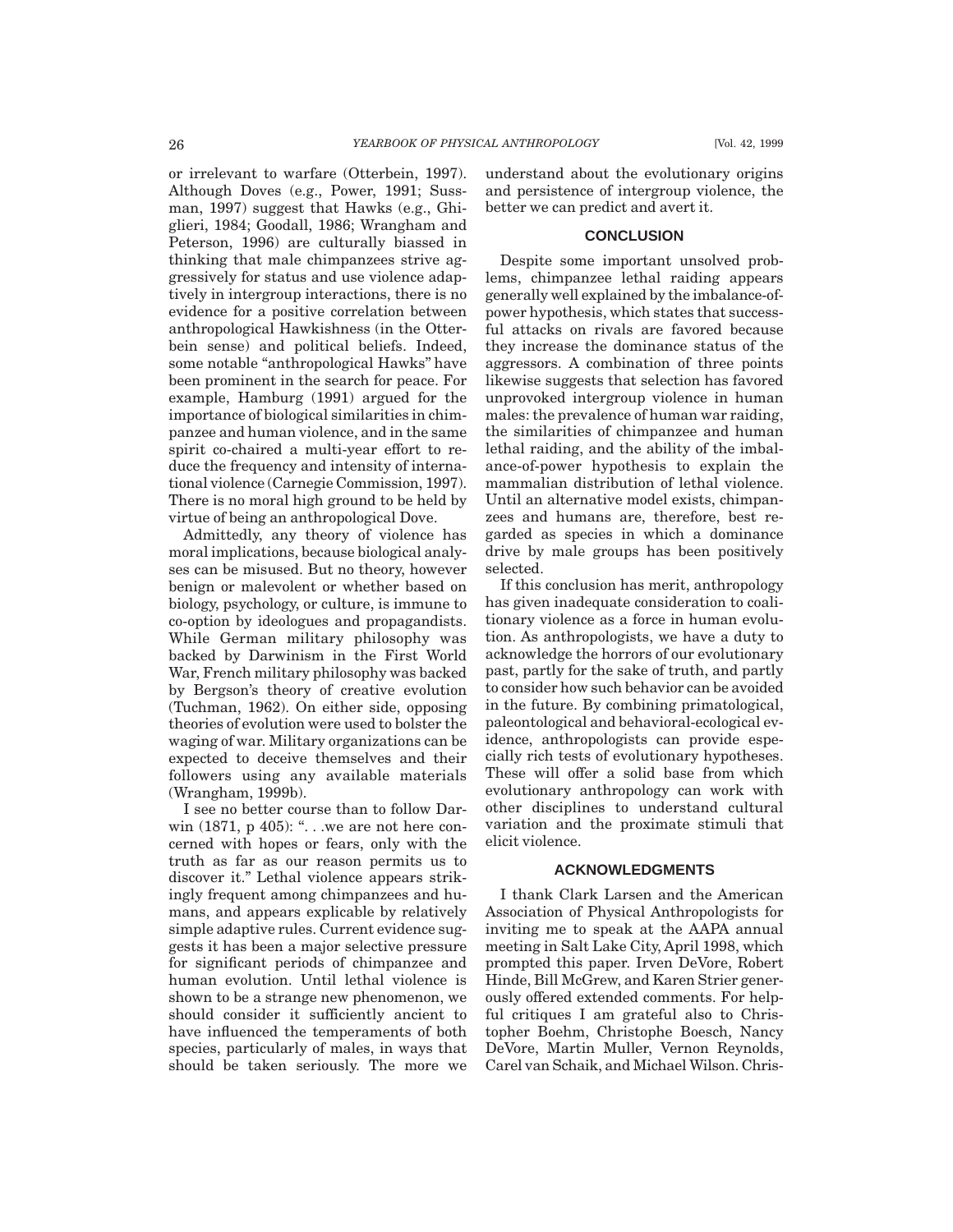or irrelevant to warfare (Otterbein, 1997). Although Doves (e.g., Power, 1991; Sussman, 1997) suggest that Hawks (e.g., Ghiglieri, 1984; Goodall, 1986; Wrangham and Peterson, 1996) are culturally biassed in thinking that male chimpanzees strive aggressively for status and use violence adaptively in intergroup interactions, there is no evidence for a positive correlation between anthropological Hawkishness (in the Otterbein sense) and political beliefs. Indeed, some notable "anthropological Hawks" have been prominent in the search for peace. For example, Hamburg (1991) argued for the importance of biological similarities in chimpanzee and human violence, and in the same spirit co-chaired a multi-year effort to reduce the frequency and intensity of international violence (Carnegie Commission, 1997). There is no moral high ground to be held by

Admittedly, any theory of violence has moral implications, because biological analyses can be misused. But no theory, however benign or malevolent or whether based on biology, psychology, or culture, is immune to co-option by ideologues and propagandists. While German military philosophy was backed by Darwinism in the First World War, French military philosophy was backed by Bergson's theory of creative evolution (Tuchman, 1962). On either side, opposing theories of evolution were used to bolster the waging of war. Military organizations can be expected to deceive themselves and their followers using any available materials (Wrangham, 1999b).

virtue of being an anthropological Dove.

I see no better course than to follow Darwin  $(1871, p 405)$ : "... we are not here concerned with hopes or fears, only with the truth as far as our reason permits us to discover it.'' Lethal violence appears strikingly frequent among chimpanzees and humans, and appears explicable by relatively simple adaptive rules. Current evidence suggests it has been a major selective pressure for significant periods of chimpanzee and human evolution. Until lethal violence is shown to be a strange new phenomenon, we should consider it sufficiently ancient to have influenced the temperaments of both species, particularly of males, in ways that should be taken seriously. The more we

understand about the evolutionary origins and persistence of intergroup violence, the better we can predict and avert it.

# **CONCLUSION**

Despite some important unsolved problems, chimpanzee lethal raiding appears generally well explained by the imbalance-ofpower hypothesis, which states that successful attacks on rivals are favored because they increase the dominance status of the aggressors. A combination of three points likewise suggests that selection has favored unprovoked intergroup violence in human males: the prevalence of human war raiding, the similarities of chimpanzee and human lethal raiding, and the ability of the imbalance-of-power hypothesis to explain the mammalian distribution of lethal violence. Until an alternative model exists, chimpanzees and humans are, therefore, best regarded as species in which a dominance drive by male groups has been positively selected.

If this conclusion has merit, anthropology has given inadequate consideration to coalitionary violence as a force in human evolution. As anthropologists, we have a duty to acknowledge the horrors of our evolutionary past, partly for the sake of truth, and partly to consider how such behavior can be avoided in the future. By combining primatological, paleontological and behavioral-ecological evidence, anthropologists can provide especially rich tests of evolutionary hypotheses. These will offer a solid base from which evolutionary anthropology can work with other disciplines to understand cultural variation and the proximate stimuli that elicit violence.

### **ACKNOWLEDGMENTS**

I thank Clark Larsen and the American Association of Physical Anthropologists for inviting me to speak at the AAPA annual meeting in Salt Lake City, April 1998, which prompted this paper. Irven DeVore, Robert Hinde, Bill McGrew, and Karen Strier generously offered extended comments. For helpful critiques I am grateful also to Christopher Boehm, Christophe Boesch, Nancy DeVore, Martin Muller, Vernon Reynolds, Carel van Schaik, and Michael Wilson. Chris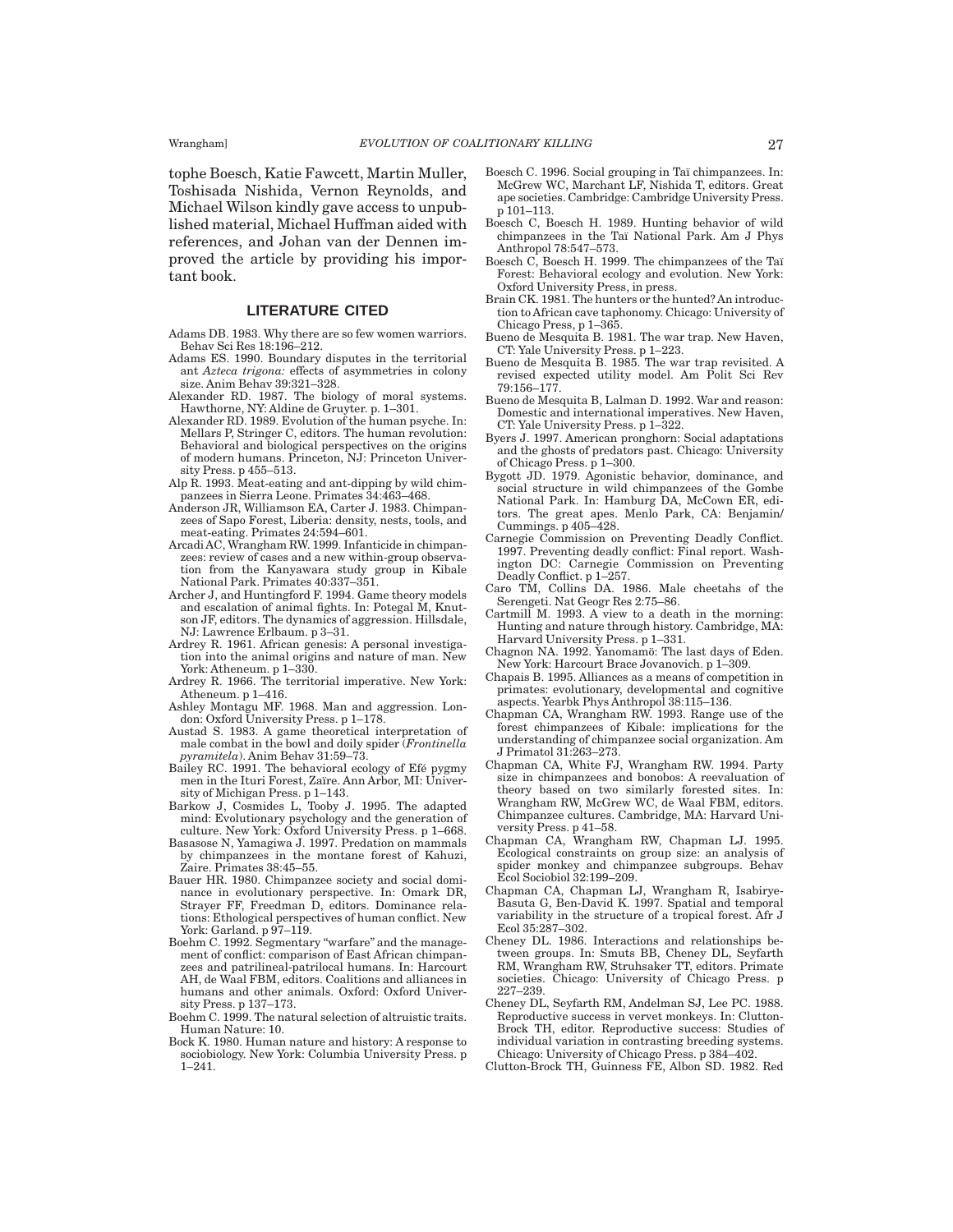tophe Boesch, Katie Fawcett, Martin Muller, Toshisada Nishida, Vernon Reynolds, and Michael Wilson kindly gave access to unpublished material, Michael Huffman aided with references, and Johan van der Dennen improved the article by providing his important book.

#### **LITERATURE CITED**

- Adams DB. 1983. Why there are so few women warriors. Behav Sci Res 18:196–212.
- Adams ES. 1990. Boundary disputes in the territorial ant *Azteca trigona:* effects of asymmetries in colony size. Anim Behav 39:321–328.
- Alexander RD. 1987. The biology of moral systems. Hawthorne, NY: Aldine de Gruyter. p. 1–301.
- Alexander RD. 1989. Evolution of the human psyche. In: Mellars P, Stringer C, editors. The human revolution: Behavioral and biological perspectives on the origins of modern humans. Princeton, NJ: Princeton University Press. p 455–513.
- Alp R. 1993. Meat-eating and ant-dipping by wild chimpanzees in Sierra Leone. Primates 34:463–468.
- Anderson JR, Williamson EA, Carter J. 1983. Chimpanzees of Sapo Forest, Liberia: density, nests, tools, and meat-eating. Primates 24:594–601.
- ArcadiAC, Wrangham RW. 1999. Infanticide in chimpanzees: review of cases and a new within-group observation from the Kanyawara study group in Kibale National Park. Primates 40:337–351.
- Archer J, and Huntingford F. 1994. Game theory models and escalation of animal fights. In: Potegal M, Knutson JF, editors. The dynamics of aggression. Hillsdale, NJ: Lawrence Erlbaum. p 3–31.
- Ardrey R. 1961. African genesis: A personal investigation into the animal origins and nature of man. New York: Atheneum. p 1-330.
- Ardrey R. 1966. The territorial imperative. New York: Atheneum. p 1–416.
- Ashley Montagu MF. 1968. Man and aggression. London: Oxford University Press. p 1–178.
- Austad S. 1983. A game theoretical interpretation of male combat in the bowl and doily spider (*Frontinella pyramitela*). Anim Behav 31:59–73.
- Bailey RC. 1991. The behavioral ecology of Efé pygmy men in the Ituri Forest, Zaïre. Ann Arbor, MI: Univer-
- sity of Michigan Press. p 1–143. Barkow J, Cosmides L, Tooby J. 1995. The adapted mind: Evolutionary psychology and the generation of culture. New York: Oxford University Press. p 1–668.
- Basasose N, Yamagiwa J. 1997. Predation on mammals by chimpanzees in the montane forest of Kahuzi, Zaire. Primates 38:45–55.
- Bauer HR. 1980. Chimpanzee society and social dominance in evolutionary perspective. In: Omark DR, Strayer FF, Freedman D, editors. Dominance relations: Ethological perspectives of human conflict. New York: Garland. p 97–119.
- Boehm C. 1992. Segmentary ''warfare'' and the management of conflict: comparison of East African chimpanzees and patrilineal-patrilocal humans. In: Harcourt AH, de Waal FBM, editors. Coalitions and alliances in humans and other animals. Oxford: Oxford University Press. p 137–173.
- Boehm C. 1999. The natural selection of altruistic traits. Human Nature: 10.
- Bock K. 1980. Human nature and history: A response to sociobiology. New York: Columbia University Press. p 1–241.
- Boesch C. 1996. Social grouping in Taï chimpanzees. In: McGrew WC, Marchant LF, Nishida T, editors. Great ape societies. Cambridge: Cambridge University Press. p 101–113.
- Boesch C, Boesch H. 1989. Hunting behavior of wild chimpanzees in the Taı¨ National Park. Am J Phys Anthropol 78:547–573.
- Boesch C, Boesch H. 1999. The chimpanzees of the Taı¨ Forest: Behavioral ecology and evolution. New York: Oxford University Press, in press.
- Brain CK. 1981. The hunters or the hunted?An introduction to African cave taphonomy. Chicago: University of Chicago Press, p 1–365.
- Bueno de Mesquita B. 1981. The war trap. New Haven, CT: Yale University Press. p 1–223.
- Bueno de Mesquita B. 1985. The war trap revisited. A revised expected utility model. Am Polit Sci Rev 79:156–177.
- Bueno de Mesquita B, Lalman D. 1992. War and reason: Domestic and international imperatives. New Haven, CT: Yale University Press. p 1–322.
- Byers J. 1997. American pronghorn: Social adaptations and the ghosts of predators past. Chicago: University of Chicago Press. p 1–300.
- Bygott JD. 1979. Agonistic behavior, dominance, and social structure in wild chimpanzees of the Gombe National Park. In: Hamburg DA, McCown ER, editors. The great apes. Menlo Park, CA: Benjamin/ Cummings. p 405–428.
- Carnegie Commission on Preventing Deadly Conflict. 1997. Preventing deadly conflict: Final report. Washington DC: Carnegie Commission on Preventing Deadly Conflict. p 1–257.
- Caro TM, Collins DA. 1986. Male cheetahs of the Serengeti. Nat Geogr Res 2:75–86.
- Cartmill M. 1993. A view to a death in the morning: Hunting and nature through history. Cambridge, MA: Harvard University Press. p 1–331.
- Chagnon NA. 1992. Yanomamö: The last days of Eden. New York: Harcourt Brace Jovanovich. p 1–309.
- Chapais B. 1995. Alliances as a means of competition in primates: evolutionary, developmental and cognitive aspects. Yearbk Phys Anthropol 38:115–136.
- Chapman CA, Wrangham RW. 1993. Range use of the forest chimpanzees of Kibale: implications for the understanding of chimpanzee social organization. Am J Primatol 31:263–273.
- Chapman CA, White FJ, Wrangham RW. 1994. Party size in chimpanzees and bonobos: A reevaluation of theory based on two similarly forested sites. In: Wrangham RW, McGrew WC, de Waal FBM, editors. Chimpanzee cultures. Cambridge, MA: Harvard University Press. p 41–58.
- Chapman CA, Wrangham RW, Chapman LJ. 1995. Ecological constraints on group size: an analysis of spider monkey and chimpanzee subgroups. Behav Ecol Sociobiol 32:199–209.
- Chapman CA, Chapman LJ, Wrangham R, Isabirye-Basuta G, Ben-David K. 1997. Spatial and temporal variability in the structure of a tropical forest. Afr J Ecol 35:287–302.
- Cheney DL. 1986. Interactions and relationships between groups. In: Smuts BB, Cheney DL, Seyfarth RM, Wrangham RW, Struhsaker TT, editors. Primate societies. Chicago: University of Chicago Press. p 227–239.
- Cheney DL, Seyfarth RM, Andelman SJ, Lee PC. 1988. Reproductive success in vervet monkeys. In: Clutton-Brock TH, editor. Reproductive success: Studies of individual variation in contrasting breeding systems. Chicago: University of Chicago Press. p 384–402.
- Clutton-Brock TH, Guinness FE, Albon SD. 1982. Red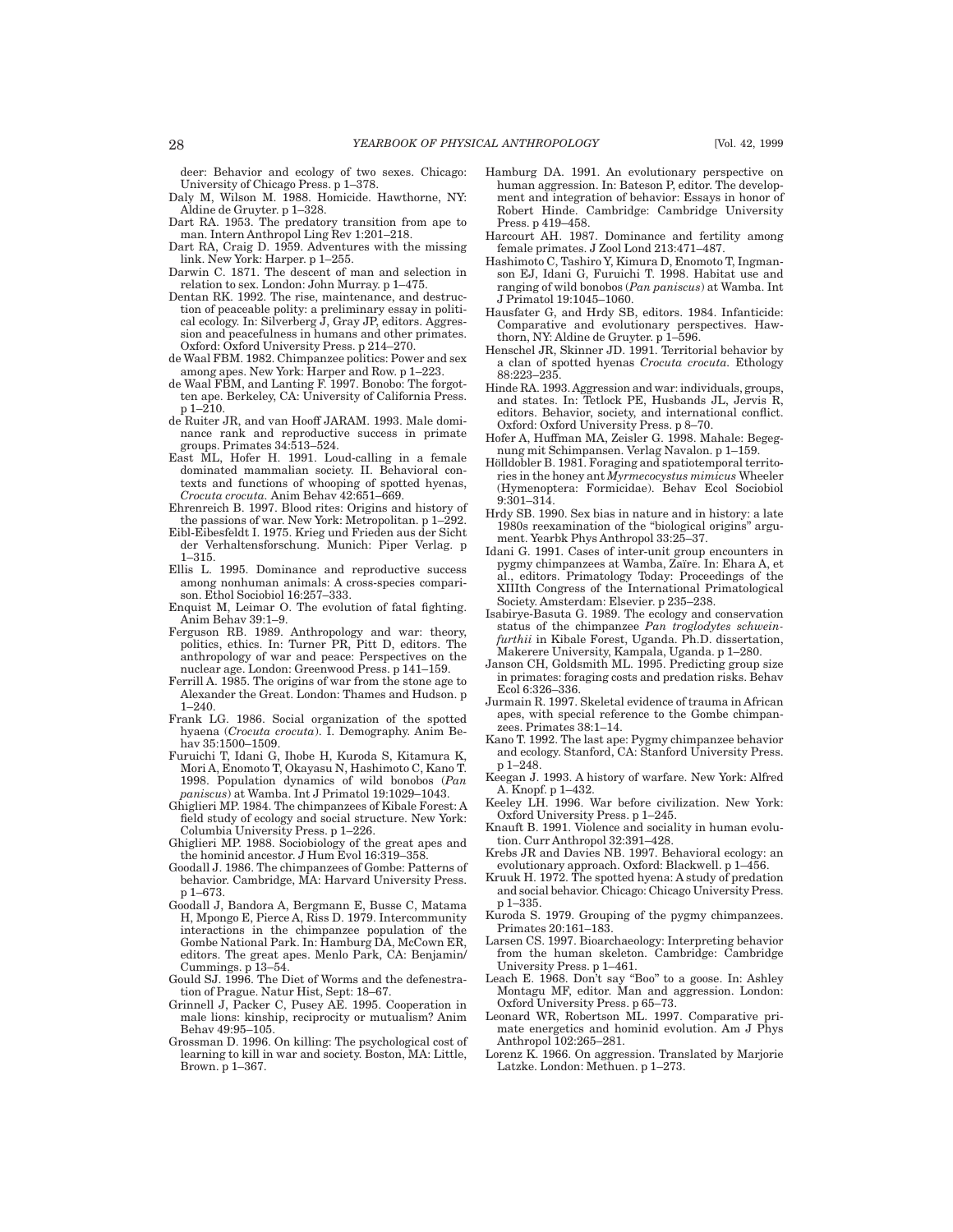deer: Behavior and ecology of two sexes. Chicago: University of Chicago Press. p 1–378.

- Daly M, Wilson M. 1988. Homicide. Hawthorne, NY: Aldine de Gruyter. p 1–328.
- Dart RA. 1953. The predatory transition from ape to man. Intern Anthropol Ling Rev 1:201–218.
- Dart RA, Craig D. 1959. Adventures with the missing link. New York: Harper. p 1–255.
- Darwin C. 1871. The descent of man and selection in relation to sex. London: John Murray. p 1–475.
- Dentan RK. 1992. The rise, maintenance, and destruction of peaceable polity: a preliminary essay in political ecology. In: Silverberg J, Gray JP, editors. Aggression and peacefulness in humans and other primates. Oxford: Oxford University Press. p 214–270.
- de Waal FBM. 1982. Chimpanzee politics: Power and sex
- among apes. New York: Harper and Row. p 1–223. de Waal FBM, and Lanting F. 1997. Bonobo: The forgotten ape. Berkeley, CA: University of California Press. p 1–210.
- de Ruiter JR, and van Hooff JARAM. 1993. Male dominance rank and reproductive success in primate groups. Primates 34:513–524.
- East ML, Hofer H. 1991. Loud-calling in a female dominated mammalian society. II. Behavioral contexts and functions of whooping of spotted hyenas, *Crocuta crocuta.* Anim Behav 42:651–669.
- Ehrenreich B. 1997. Blood rites: Origins and history of the passions of war. New York: Metropolitan. p 1–292.
- Eibl-Eibesfeldt I. 1975. Krieg und Frieden aus der Sicht der Verhaltensforschung. Munich: Piper Verlag. p 1–315.
- Ellis L. 1995. Dominance and reproductive success among nonhuman animals: A cross-species comparison. Ethol Sociobiol 16:257–333.
- Enquist M, Leimar O. The evolution of fatal fighting. Anim Behav 39:1–9.
- Ferguson RB. 1989. Anthropology and war: theory, politics, ethics. In: Turner PR, Pitt D, editors. The anthropology of war and peace: Perspectives on the nuclear age. London: Greenwood Press. p 141–159.
- Ferrill A. 1985. The origins of war from the stone age to Alexander the Great. London: Thames and Hudson. p  $1 - 240$ .
- Frank LG. 1986. Social organization of the spotted hyaena (*Crocuta crocuta*). I. Demography. Anim Behav 35:1500-1509.
- Furuichi T, Idani G, Ihobe H, Kuroda S, Kitamura K, Mori A, Enomoto T, Okayasu N, Hashimoto C, Kano T. 1998. Population dynamics of wild bonobos (*Pan paniscus*) at Wamba. Int J Primatol 19:1029–1043.
- Ghiglieri MP. 1984. The chimpanzees of Kibale Forest: A field study of ecology and social structure. New York: Columbia University Press. p 1–226.
- Ghiglieri MP. 1988. Sociobiology of the great apes and the hominid ancestor. J Hum Evol 16:319–358.
- Goodall J. 1986. The chimpanzees of Gombe: Patterns of behavior. Cambridge, MA: Harvard University Press. p 1–673.
- Goodall J, Bandora A, Bergmann E, Busse C, Matama H, Mpongo E, Pierce A, Riss D. 1979. Intercommunity interactions in the chimpanzee population of the Gombe National Park. In: Hamburg DA, McCown ER, editors. The great apes. Menlo Park, CA: Benjamin/ Cummings. p 13–54.
- Gould SJ. 1996. The Diet of Worms and the defenestration of Prague. Natur Hist, Sept: 18–67.
- Grinnell J, Packer C, Pusey AE. 1995. Cooperation in male lions: kinship, reciprocity or mutualism? Anim Behav 49:95–105.
- Grossman D. 1996. On killing: The psychological cost of learning to kill in war and society. Boston, MA: Little, Brown. p 1–367.
- Hamburg DA. 1991. An evolutionary perspective on human aggression. In: Bateson P, editor. The development and integration of behavior: Essays in honor of Robert Hinde. Cambridge: Cambridge University Press. p 419–458.
- Harcourt AH. 1987. Dominance and fertility among female primates. J Zool Lond 213:471–487.
- Hashimoto C, Tashiro Y, Kimura D, Enomoto T, Ingmanson EJ, Idani G, Furuichi T. 1998. Habitat use and ranging of wild bonobos (*Pan paniscus*) at Wamba. Int J Primatol 19:1045–1060.
- Hausfater G, and Hrdy SB, editors. 1984. Infanticide: Comparative and evolutionary perspectives. Hawthorn, NY: Aldine de Gruyter. p 1–596.
- Henschel JR, Skinner JD. 1991. Territorial behavior by a clan of spotted hyenas *Crocuta crocuta.* Ethology 88:223–235.
- Hinde RA. 1993.Aggression and war: individuals, groups, and states. In: Tetlock PE, Husbands JL, Jervis R, editors. Behavior, society, and international conflict. Oxford: Oxford University Press. p 8–70.
- Hofer A, Huffman MA, Zeisler G. 1998. Mahale: Begegnung mit Schimpansen. Verlag Navalon. p 1–159.
- Hölldobler B. 1981. Foraging and spatiotemporal territories in the honey ant *Myrmecocystus mimicus* Wheeler (Hymenoptera: Formicidae). Behav Ecol Sociobiol 9:301–314.
- Hrdy SB. 1990. Sex bias in nature and in history: a late 1980s reexamination of the ''biological origins'' argument. Yearbk Phys Anthropol 33:25–37.
- Idani G. 1991. Cases of inter-unit group encounters in pygmy chimpanzees at Wamba, Zaïre. In: Ehara A, et al., editors. Primatology Today: Proceedings of the XIIIth Congress of the International Primatological Society. Amsterdam: Elsevier. p 235–238.
- Isabirye-Basuta G. 1989. The ecology and conservation status of the chimpanzee *Pan troglodytes schweinfurthii* in Kibale Forest, Uganda. Ph.D. dissertation, Makerere University, Kampala, Uganda. p 1–280.
- Janson CH, Goldsmith ML. 1995. Predicting group size in primates: foraging costs and predation risks. Behav Ecol 6:326–336.
- Jurmain R. 1997. Skeletal evidence of trauma in African apes, with special reference to the Gombe chimpanzees. Primates 38:1–14.
- Kano T. 1992. The last ape: Pygmy chimpanzee behavior and ecology. Stanford, CA: Stanford University Press. p 1–248.
- Keegan J. 1993. A history of warfare. New York: Alfred A. Knopf. p 1–432.
- Keeley LH. 1996. War before civilization. New York: Oxford University Press. p 1–245.
- Knauft B. 1991. Violence and sociality in human evolution. Curr Anthropol 32:391–428.
- Krebs JR and Davies NB. 1997. Behavioral ecology: an evolutionary approach. Oxford: Blackwell. p 1–456.
- Kruuk H. 1972. The spotted hyena: A study of predation and social behavior. Chicago: Chicago University Press. p 1–335.
- Kuroda S. 1979. Grouping of the pygmy chimpanzees. Primates 20:161–183.
- Larsen CS. 1997. Bioarchaeology: Interpreting behavior from the human skeleton. Cambridge: Cambridge University Press. p 1–461.
- Leach E. 1968. Don't say "Boo" to a goose. In: Ashley Montagu MF, editor. Man and aggression. London: Oxford University Press. p 65–73.
- Leonard WR, Robertson ML. 1997. Comparative primate energetics and hominid evolution. Am J Phys Anthropol 102:265–281.
- Lorenz K. 1966. On aggression. Translated by Marjorie Latzke. London: Methuen. p 1–273.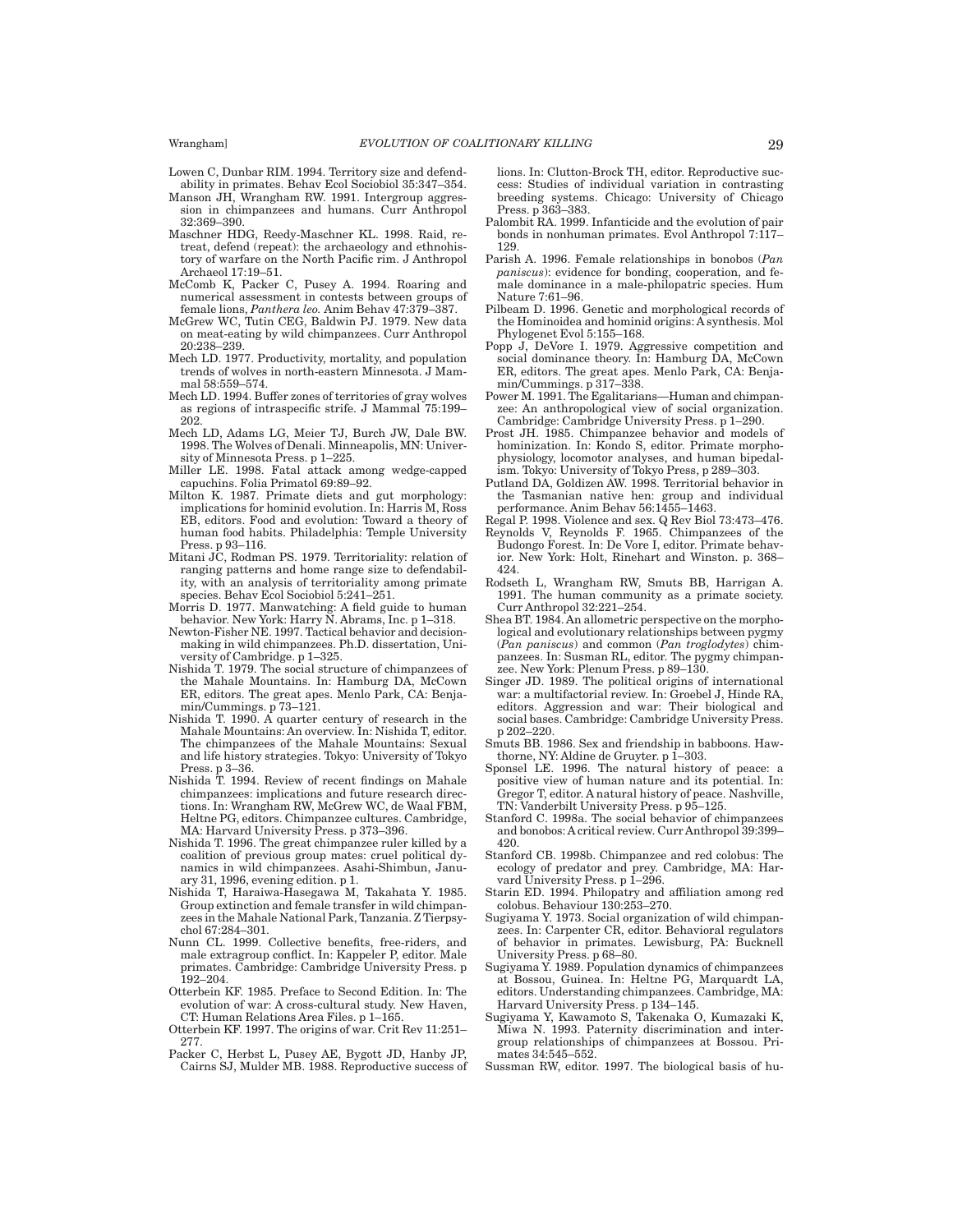- Lowen C, Dunbar RIM. 1994. Territory size and defendability in primates. Behav Ecol Sociobiol 35:347–354.
- Manson JH, Wrangham RW. 1991. Intergroup aggression in chimpanzees and humans. Curr Anthropol 32:369–390.
- Maschner HDG, Reedy-Maschner KL. 1998. Raid, retreat, defend (repeat): the archaeology and ethnohistory of warfare on the North Pacific rim. J Anthropol Archaeol 17:19–51.
- McComb K, Packer C, Pusey A. 1994. Roaring and numerical assessment in contests between groups of
- female lions, *Panthera leo.* Anim Behav 47:379–387. McGrew WC, Tutin CEG, Baldwin PJ. 1979. New data on meat-eating by wild chimpanzees. Curr Anthropol 20:238–239.
- Mech LD. 1977. Productivity, mortality, and population trends of wolves in north-eastern Minnesota. J Mammal 58:559–574.
- Mech LD. 1994. Buffer zones of territories of gray wolves as regions of intraspecific strife. J Mammal 75:199– 202.
- Mech LD, Adams LG, Meier TJ, Burch JW, Dale BW. 1998. The Wolves of Denali. Minneapolis, MN: University of Minnesota Press. p 1–225.
- Miller LE. 1998. Fatal attack among wedge-capped capuchins. Folia Primatol 69:89–92.
- Milton K. 1987. Primate diets and gut morphology: implications for hominid evolution. In: Harris M, Ross EB, editors. Food and evolution: Toward a theory of human food habits. Philadelphia: Temple University
- Press. p 93–116. Mitani JC, Rodman PS. 1979. Territoriality: relation of ranging patterns and home range size to defendability, with an analysis of territoriality among primate species. Behav Ecol Sociobiol 5:241–251.
- Morris D. 1977. Manwatching: A field guide to human behavior. New York: Harry N. Abrams, Inc. p 1–318.
- Newton-Fisher NE. 1997. Tactical behavior and decisionmaking in wild chimpanzees. Ph.D. dissertation, University of Cambridge. p 1–325.
- Nishida T. 1979. The social structure of chimpanzees of the Mahale Mountains. In: Hamburg DA, McCown ER, editors. The great apes. Menlo Park, CA: Benjamin/Cummings. p 73–121.
- Nishida T. 1990. A quarter century of research in the Mahale Mountains: An overview. In: Nishida T, editor. The chimpanzees of the Mahale Mountains: Sexual and life history strategies. Tokyo: University of Tokyo Press. p 3–36.
- Nishida T. 1994. Review of recent findings on Mahale chimpanzees: implications and future research directions. In: Wrangham RW, McGrew WC, de Waal FBM, Heltne PG, editors. Chimpanzee cultures. Cambridge, MA: Harvard University Press. p 373–396.
- Nishida T. 1996. The great chimpanzee ruler killed by a coalition of previous group mates: cruel political dynamics in wild chimpanzees. Asahi-Shimbun, January 31, 1996, evening edition. p 1.
- Nishida T, Haraiwa-Hasegawa M, Takahata Y. 1985. Group extinction and female transfer in wild chimpanzees in the Mahale National Park, Tanzania. Z Tierpsychol 67:284–301.
- Nunn CL. 1999. Collective benefits, free-riders, and male extragroup conflict. In: Kappeler P, editor. Male primates. Cambridge: Cambridge University Press. p 192–204.
- Otterbein KF. 1985. Preface to Second Edition. In: The evolution of war: A cross-cultural study. New Haven, CT: Human Relations Area Files. p 1–165.
- Otterbein KF. 1997. The origins of war. Crit Rev 11:251– 277.
- Packer C, Herbst L, Pusey AE, Bygott JD, Hanby JP, Cairns SJ, Mulder MB. 1988. Reproductive success of

lions. In: Clutton-Brock TH, editor. Reproductive success: Studies of individual variation in contrasting breeding systems. Chicago: University of Chicago Press. p 363-383.

- Palombit RA. 1999. Infanticide and the evolution of pair bonds in nonhuman primates. Evol Anthropol 7:117– 129.
- Parish A. 1996. Female relationships in bonobos (*Pan paniscus*): evidence for bonding, cooperation, and fe-male dominance in a male-philopatric species. Hum Nature 7:61–96.
- Pilbeam D. 1996. Genetic and morphological records of the Hominoidea and hominid origins: A synthesis. Mol Phylogenet Evol 5:155–168.
- Popp J, DeVore I. 1979. Aggressive competition and social dominance theory. In: Hamburg DA, McCown ER, editors. The great apes. Menlo Park, CA: Benja-min/Cummings. p 317–338.
- Power M. 1991. The Egalitarians—Human and chimpanzee: An anthropological view of social organization. Cambridge: Cambridge University Press. p 1–290.
- Prost JH. 1985. Chimpanzee behavior and models of hominization. In: Kondo S, editor. Primate morphophysiology, locomotor analyses, and human bipedalism. Tokyo: University of Tokyo Press, p 289–303.
- Putland DA, Goldizen AW. 1998. Territorial behavior in the Tasmanian native hen: group and individual performance. Anim Behav 56:1455–1463.
- Regal P. 1998. Violence and sex. Q Rev Biol 73:473–476.
- Reynolds V, Reynolds F. 1965. Chimpanzees of the Budongo Forest. In: De Vore I, editor. Primate behavior. New York: Holt, Rinehart and Winston. p. 368– 424.
- Rodseth L, Wrangham RW, Smuts BB, Harrigan A. 1991. The human community as a primate society. Curr Anthropol 32:221–254.
- Shea BT. 1984. An allometric perspective on the morphological and evolutionary relationships between pygmy (*Pan paniscus*) and common (*Pan troglodytes*) chimpanzees. In: Susman RL, editor. The pygmy chimpanzee. New York: Plenum Press. p 89-130.
- Singer JD. 1989. The political origins of international war: a multifactorial review. In: Groebel J, Hinde RA, editors. Aggression and war: Their biological and social bases. Cambridge: Cambridge University Press. p 202–220.
- Smuts BB. 1986. Sex and friendship in babboons. Haw-
- thorne, NY: Aldine de Gruyter. p 1–303. Sponsel LE. 1996. The natural history of peace: a positive view of human nature and its potential. In: Gregor T, editor. A natural history of peace. Nashville, TN: Vanderbilt University Press. p 95–125.
- Stanford C. 1998a. The social behavior of chimpanzees and bonobos: A critical review. Curr Anthropol 39:399– 420.
- Stanford CB. 1998b. Chimpanzee and red colobus: The ecology of predator and prey. Cambridge, MA: Harvard University Press. p 1–296.
- Starin ED. 1994. Philopatry and affiliation among red colobus. Behaviour 130:253–270.
- Sugiyama Y. 1973. Social organization of wild chimpanzees. In: Carpenter CR, editor. Behavioral regulators of behavior in primates. Lewisburg, PA: Bucknell University Press. p 68–80.
- Sugiyama Y. 1989. Population dynamics of chimpanzees at Bossou, Guinea. In: Heltne PG, Marquardt LA, editors. Understanding chimpanzees. Cambridge, MA: Harvard University Press. p 134–145.
- Sugiyama Y, Kawamoto S, Takenaka O, Kumazaki K, Miwa N. 1993. Paternity discrimination and intergroup relationships of chimpanzees at Bossou. Primates 34:545–552.
- Sussman RW, editor. 1997. The biological basis of hu-